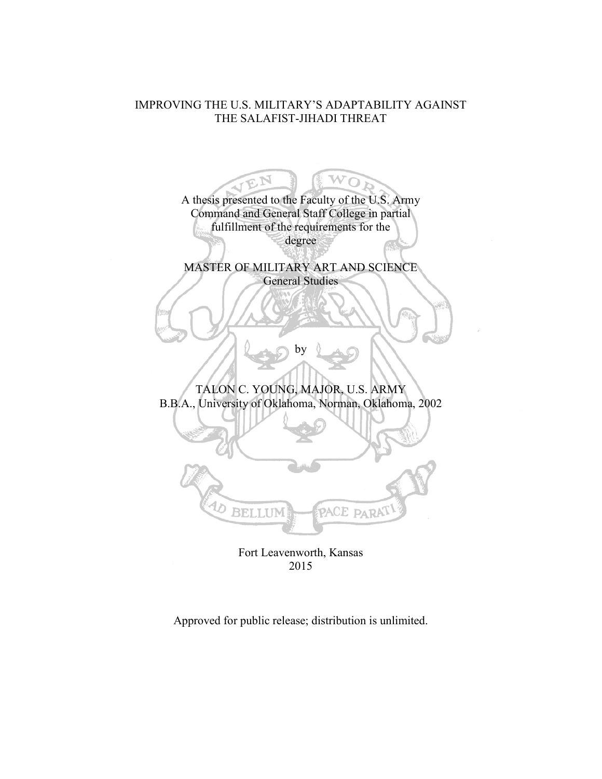# IMPROVING THE U.S. MILITARY'S ADAPTABILITY AGAINST THE SALAFIST-JIHADI THREAT

EN A thesis presented to the Faculty of the U.S. Army Command and General Staff College in partial fulfillment of the requirements for the degree MASTER OF MILITARY ART AND SCIENCE General Studies by TALON C. YOUNG, MAJOR, U.S. ARMY B.B.A., University of Oklahoma, Norman, Oklahoma, 2002 BELLUM PACE PARA

Fort Leavenworth, Kansas 2015

Approved for public release; distribution is unlimited.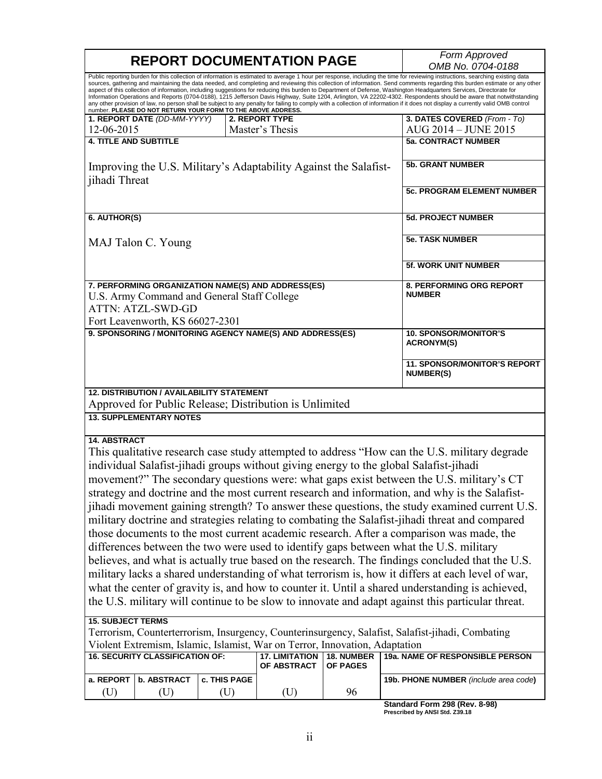| <b>REPORT DOCUMENTATION PAGE</b>                                                                                                                                                                                                  |                     |                                      |                                           | Form Approved                                                                                                                                                                                                                                                                                                                                                                                                                                                                                                                                                                                                                                                                                                                                                                                                                                                                                                                                                                                       |
|-----------------------------------------------------------------------------------------------------------------------------------------------------------------------------------------------------------------------------------|---------------------|--------------------------------------|-------------------------------------------|-----------------------------------------------------------------------------------------------------------------------------------------------------------------------------------------------------------------------------------------------------------------------------------------------------------------------------------------------------------------------------------------------------------------------------------------------------------------------------------------------------------------------------------------------------------------------------------------------------------------------------------------------------------------------------------------------------------------------------------------------------------------------------------------------------------------------------------------------------------------------------------------------------------------------------------------------------------------------------------------------------|
|                                                                                                                                                                                                                                   |                     |                                      |                                           | OMB No. 0704-0188                                                                                                                                                                                                                                                                                                                                                                                                                                                                                                                                                                                                                                                                                                                                                                                                                                                                                                                                                                                   |
| number. PLEASE DO NOT RETURN YOUR FORM TO THE ABOVE ADDRESS.                                                                                                                                                                      |                     |                                      |                                           | Public reporting burden for this collection of information is estimated to average 1 hour per response, including the time for reviewing instructions, searching existing data<br>sources, gathering and maintaining the data needed, and completing and reviewing this collection of information. Send comments regarding this burden estimate or any other<br>aspect of this collection of information, including suggestions for reducing this burden to Department of Defense, Washington Headquarters Services, Directorate for<br>Information Operations and Reports (0704-0188), 1215 Jefferson Davis Highway, Suite 1204, Arlington, VA 22202-4302. Respondents should be aware that notwithstanding<br>any other provision of law, no person shall be subject to any penalty for failing to comply with a collection of information if it does not display a currently valid OMB control                                                                                                   |
| 1. REPORT DATE (DD-MM-YYYY)                                                                                                                                                                                                       |                     | 2. REPORT TYPE                       |                                           | 3. DATES COVERED (From - To)                                                                                                                                                                                                                                                                                                                                                                                                                                                                                                                                                                                                                                                                                                                                                                                                                                                                                                                                                                        |
| 12-06-2015                                                                                                                                                                                                                        |                     | Master's Thesis                      |                                           | AUG 2014 - JUNE 2015                                                                                                                                                                                                                                                                                                                                                                                                                                                                                                                                                                                                                                                                                                                                                                                                                                                                                                                                                                                |
| <b>4. TITLE AND SUBTITLE</b>                                                                                                                                                                                                      |                     |                                      |                                           | <b>5a. CONTRACT NUMBER</b>                                                                                                                                                                                                                                                                                                                                                                                                                                                                                                                                                                                                                                                                                                                                                                                                                                                                                                                                                                          |
| Improving the U.S. Military's Adaptability Against the Salafist-                                                                                                                                                                  |                     | <b>5b. GRANT NUMBER</b>              |                                           |                                                                                                                                                                                                                                                                                                                                                                                                                                                                                                                                                                                                                                                                                                                                                                                                                                                                                                                                                                                                     |
| jihadi Threat                                                                                                                                                                                                                     |                     |                                      |                                           | <b>5c. PROGRAM ELEMENT NUMBER</b>                                                                                                                                                                                                                                                                                                                                                                                                                                                                                                                                                                                                                                                                                                                                                                                                                                                                                                                                                                   |
| 6. AUTHOR(S)                                                                                                                                                                                                                      |                     |                                      |                                           | <b>5d. PROJECT NUMBER</b>                                                                                                                                                                                                                                                                                                                                                                                                                                                                                                                                                                                                                                                                                                                                                                                                                                                                                                                                                                           |
| MAJ Talon C. Young                                                                                                                                                                                                                |                     |                                      | <b>5e. TASK NUMBER</b>                    |                                                                                                                                                                                                                                                                                                                                                                                                                                                                                                                                                                                                                                                                                                                                                                                                                                                                                                                                                                                                     |
|                                                                                                                                                                                                                                   |                     |                                      |                                           | <b>5f. WORK UNIT NUMBER</b>                                                                                                                                                                                                                                                                                                                                                                                                                                                                                                                                                                                                                                                                                                                                                                                                                                                                                                                                                                         |
| 7. PERFORMING ORGANIZATION NAME(S) AND ADDRESS(ES)<br>U.S. Army Command and General Staff College<br><b>ATTN: ATZL-SWD-GD</b><br>Fort Leavenworth, KS 66027-2301                                                                  |                     |                                      | 8. PERFORMING ORG REPORT<br><b>NUMBER</b> |                                                                                                                                                                                                                                                                                                                                                                                                                                                                                                                                                                                                                                                                                                                                                                                                                                                                                                                                                                                                     |
| 9. SPONSORING / MONITORING AGENCY NAME(S) AND ADDRESS(ES)                                                                                                                                                                         |                     |                                      |                                           | <b>10. SPONSOR/MONITOR'S</b><br><b>ACRONYM(S)</b>                                                                                                                                                                                                                                                                                                                                                                                                                                                                                                                                                                                                                                                                                                                                                                                                                                                                                                                                                   |
|                                                                                                                                                                                                                                   |                     |                                      |                                           | <b>11. SPONSOR/MONITOR'S REPORT</b><br><b>NUMBER(S)</b>                                                                                                                                                                                                                                                                                                                                                                                                                                                                                                                                                                                                                                                                                                                                                                                                                                                                                                                                             |
| <b>12. DISTRIBUTION / AVAILABILITY STATEMENT</b><br>Approved for Public Release; Distribution is Unlimited                                                                                                                        |                     |                                      |                                           |                                                                                                                                                                                                                                                                                                                                                                                                                                                                                                                                                                                                                                                                                                                                                                                                                                                                                                                                                                                                     |
| <b>13. SUPPLEMENTARY NOTES</b>                                                                                                                                                                                                    |                     |                                      |                                           |                                                                                                                                                                                                                                                                                                                                                                                                                                                                                                                                                                                                                                                                                                                                                                                                                                                                                                                                                                                                     |
| <b>14. ABSTRACT</b><br>individual Salafist-jihadi groups without giving energy to the global Salafist-jihadi<br>differences between the two were used to identify gaps between what the U.S. military<br><b>15. SUBJECT TERMS</b> |                     |                                      |                                           | This qualitative research case study attempted to address "How can the U.S. military degrade<br>movement?" The secondary questions were: what gaps exist between the U.S. military's CT<br>strategy and doctrine and the most current research and information, and why is the Salafist-<br>jihadi movement gaining strength? To answer these questions, the study examined current U.S.<br>military doctrine and strategies relating to combating the Salafist-jihadi threat and compared<br>those documents to the most current academic research. After a comparison was made, the<br>believes, and what is actually true based on the research. The findings concluded that the U.S.<br>military lacks a shared understanding of what terrorism is, how it differs at each level of war,<br>what the center of gravity is, and how to counter it. Until a shared understanding is achieved,<br>the U.S. military will continue to be slow to innovate and adapt against this particular threat. |
| Violent Extremism, Islamic, Islamist, War on Terror, Innovation, Adaptation                                                                                                                                                       |                     |                                      |                                           | Terrorism, Counterterrorism, Insurgency, Counterinsurgency, Salafist, Salafist-jihadi, Combating                                                                                                                                                                                                                                                                                                                                                                                                                                                                                                                                                                                                                                                                                                                                                                                                                                                                                                    |
| <b>16. SECURITY CLASSIFICATION OF:</b>                                                                                                                                                                                            |                     | <b>17. LIMITATION</b><br>OF ABSTRACT | 18. NUMBER<br><b>OF PAGES</b>             | 19a. NAME OF RESPONSIBLE PERSON                                                                                                                                                                                                                                                                                                                                                                                                                                                                                                                                                                                                                                                                                                                                                                                                                                                                                                                                                                     |
| <b>b. ABSTRACT</b><br>a. REPORT<br>(U)<br>(U)                                                                                                                                                                                     | c. THIS PAGE<br>(U) | (U)                                  | 96                                        | 19b. PHONE NUMBER (include area code)                                                                                                                                                                                                                                                                                                                                                                                                                                                                                                                                                                                                                                                                                                                                                                                                                                                                                                                                                               |
|                                                                                                                                                                                                                                   |                     |                                      |                                           | Standard Form 208 (Rev. 8-08)                                                                                                                                                                                                                                                                                                                                                                                                                                                                                                                                                                                                                                                                                                                                                                                                                                                                                                                                                                       |

**Standard Form 298 (Rev. 8-98) Prescribed by ANSI Std. Z39.18**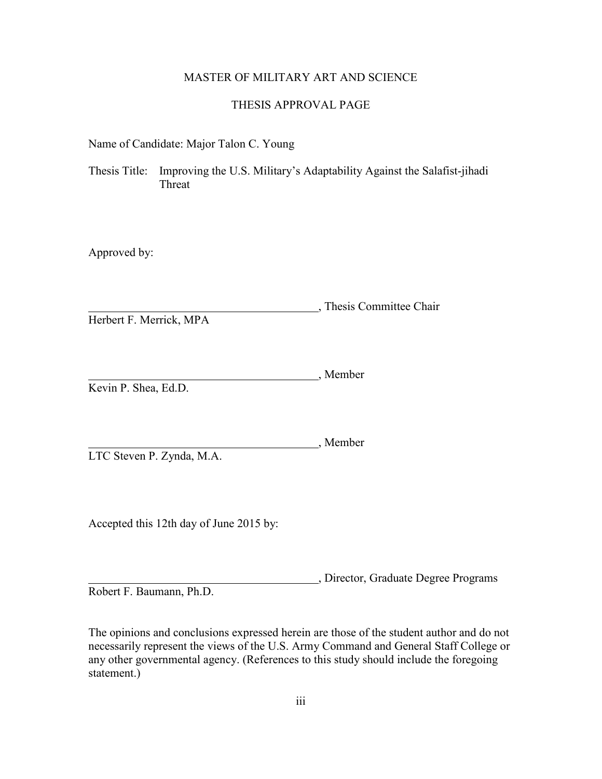## MASTER OF MILITARY ART AND SCIENCE

#### THESIS APPROVAL PAGE

Name of Candidate: Major Talon C. Young

Thesis Title: Improving the U.S. Military's Adaptability Against the Salafist-jihadi Threat

Approved by:

<sub>2</sub>, Thesis Committee Chair Herbert F. Merrick, MPA

, Member Kevin P. Shea, Ed.D.

, Member LTC Steven P. Zynda, M.A.

Accepted this 12th day of June 2015 by:

, Director, Graduate Degree Programs Robert F. Baumann, Ph.D.

The opinions and conclusions expressed herein are those of the student author and do not necessarily represent the views of the U.S. Army Command and General Staff College or any other governmental agency. (References to this study should include the foregoing statement.)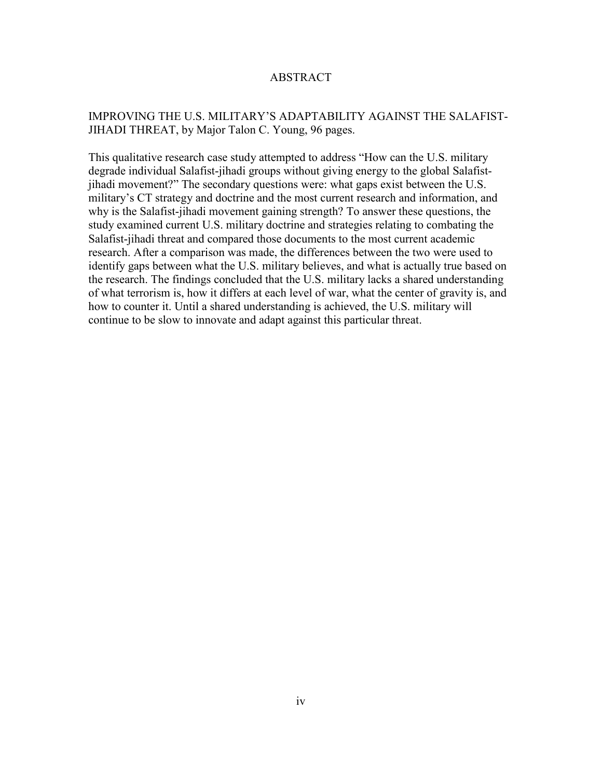# ABSTRACT

# IMPROVING THE U.S. MILITARY'S ADAPTABILITY AGAINST THE SALAFIST-JIHADI THREAT, by Major Talon C. Young, 96 pages.

This qualitative research case study attempted to address "How can the U.S. military degrade individual Salafist-jihadi groups without giving energy to the global Salafistjihadi movement?" The secondary questions were: what gaps exist between the U.S. military's CT strategy and doctrine and the most current research and information, and why is the Salafist-jihadi movement gaining strength? To answer these questions, the study examined current U.S. military doctrine and strategies relating to combating the Salafist-jihadi threat and compared those documents to the most current academic research. After a comparison was made, the differences between the two were used to identify gaps between what the U.S. military believes, and what is actually true based on the research. The findings concluded that the U.S. military lacks a shared understanding of what terrorism is, how it differs at each level of war, what the center of gravity is, and how to counter it. Until a shared understanding is achieved, the U.S. military will continue to be slow to innovate and adapt against this particular threat.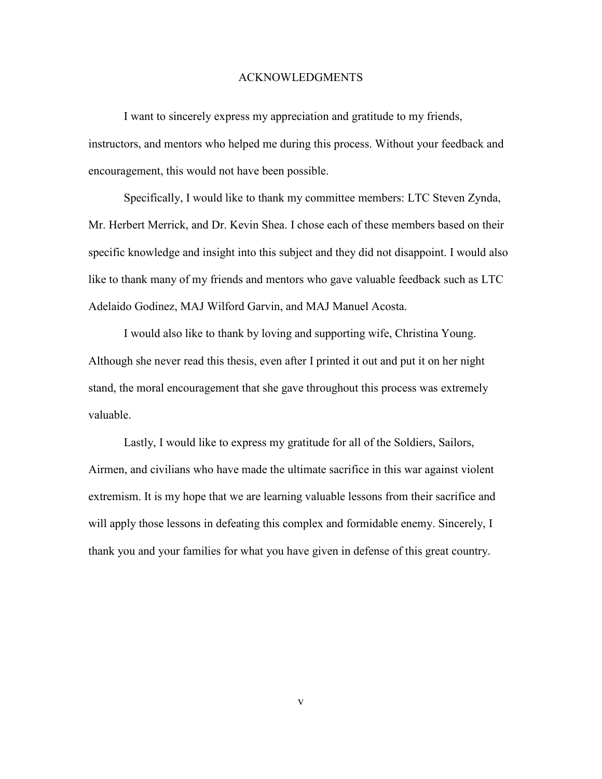#### ACKNOWLEDGMENTS

I want to sincerely express my appreciation and gratitude to my friends, instructors, and mentors who helped me during this process. Without your feedback and encouragement, this would not have been possible.

Specifically, I would like to thank my committee members: LTC Steven Zynda, Mr. Herbert Merrick, and Dr. Kevin Shea. I chose each of these members based on their specific knowledge and insight into this subject and they did not disappoint. I would also like to thank many of my friends and mentors who gave valuable feedback such as LTC Adelaido Godinez, MAJ Wilford Garvin, and MAJ Manuel Acosta.

I would also like to thank by loving and supporting wife, Christina Young. Although she never read this thesis, even after I printed it out and put it on her night stand, the moral encouragement that she gave throughout this process was extremely valuable.

Lastly, I would like to express my gratitude for all of the Soldiers, Sailors, Airmen, and civilians who have made the ultimate sacrifice in this war against violent extremism. It is my hope that we are learning valuable lessons from their sacrifice and will apply those lessons in defeating this complex and formidable enemy. Sincerely, I thank you and your families for what you have given in defense of this great country.

v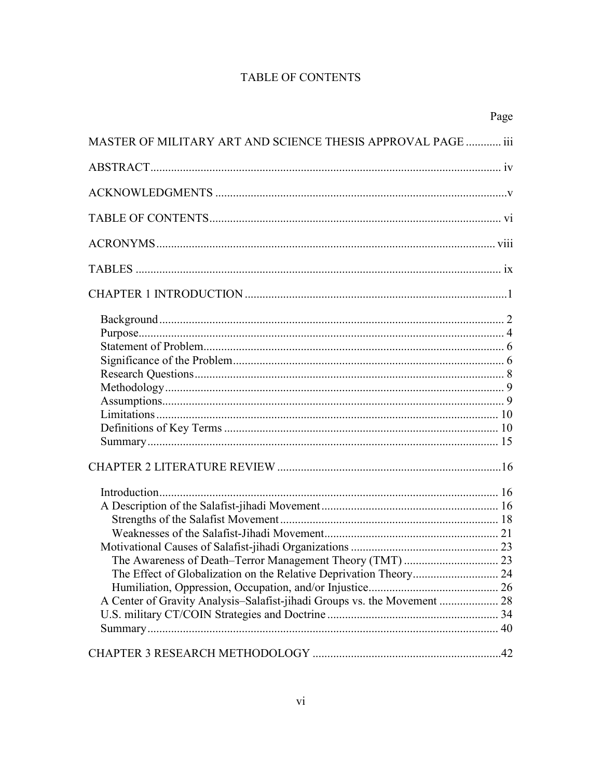# **TABLE OF CONTENTS**

|                                                                          | Page |
|--------------------------------------------------------------------------|------|
| MASTER OF MILITARY ART AND SCIENCE THESIS APPROVAL PAGE  iii             |      |
|                                                                          |      |
|                                                                          |      |
|                                                                          |      |
|                                                                          |      |
|                                                                          |      |
|                                                                          |      |
|                                                                          |      |
|                                                                          |      |
|                                                                          |      |
|                                                                          |      |
|                                                                          |      |
|                                                                          |      |
|                                                                          |      |
|                                                                          |      |
|                                                                          |      |
|                                                                          |      |
|                                                                          |      |
|                                                                          |      |
|                                                                          |      |
|                                                                          |      |
|                                                                          |      |
|                                                                          |      |
|                                                                          |      |
|                                                                          |      |
|                                                                          |      |
| A Center of Gravity Analysis-Salafist-jihadi Groups vs. the Movement  28 |      |
|                                                                          |      |
|                                                                          |      |
|                                                                          |      |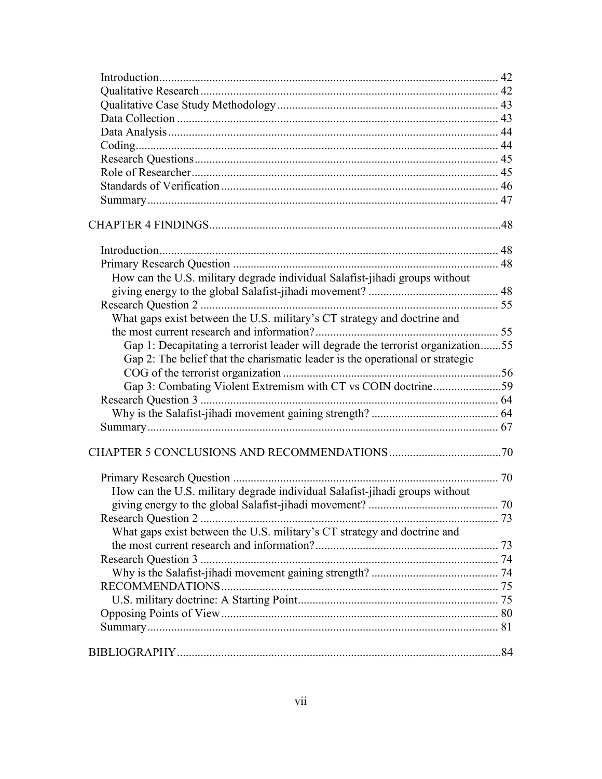| How can the U.S. military degrade individual Salafist-jihadi groups without      |  |
|----------------------------------------------------------------------------------|--|
|                                                                                  |  |
|                                                                                  |  |
| What gaps exist between the U.S. military's CT strategy and doctrine and         |  |
|                                                                                  |  |
| Gap 1: Decapitating a terrorist leader will degrade the terrorist organization55 |  |
| Gap 2: The belief that the charismatic leader is the operational or strategic    |  |
|                                                                                  |  |
| Gap 3: Combating Violent Extremism with CT vs COIN doctrine59                    |  |
|                                                                                  |  |
|                                                                                  |  |
|                                                                                  |  |
|                                                                                  |  |
|                                                                                  |  |
| How can the U.S. military degrade individual Salafist-jihadi groups without      |  |
|                                                                                  |  |
|                                                                                  |  |
| What gaps exist between the U.S. military's CT strategy and doctrine and         |  |
|                                                                                  |  |
|                                                                                  |  |
|                                                                                  |  |
|                                                                                  |  |
|                                                                                  |  |
|                                                                                  |  |
|                                                                                  |  |
|                                                                                  |  |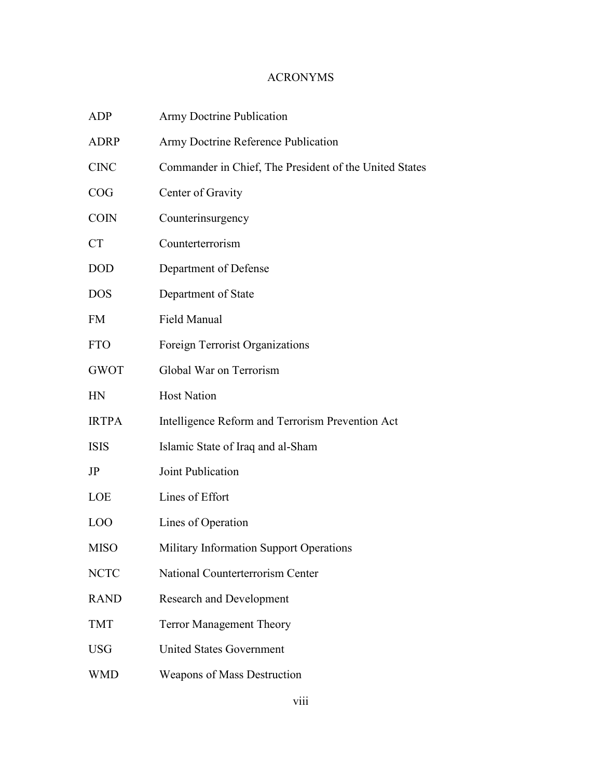# ACRONYMS

| <b>ADP</b>      | <b>Army Doctrine Publication</b>                       |
|-----------------|--------------------------------------------------------|
| <b>ADRP</b>     | Army Doctrine Reference Publication                    |
| <b>CINC</b>     | Commander in Chief, The President of the United States |
| COG             | Center of Gravity                                      |
| <b>COIN</b>     | Counterinsurgency                                      |
| <b>CT</b>       | Counterterrorism                                       |
| <b>DOD</b>      | Department of Defense                                  |
| <b>DOS</b>      | Department of State                                    |
| <b>FM</b>       | <b>Field Manual</b>                                    |
| <b>FTO</b>      | Foreign Terrorist Organizations                        |
| <b>GWOT</b>     | Global War on Terrorism                                |
| HN              | <b>Host Nation</b>                                     |
| <b>IRTPA</b>    | Intelligence Reform and Terrorism Prevention Act       |
| <b>ISIS</b>     | Islamic State of Iraq and al-Sham                      |
| JP              | Joint Publication                                      |
| LOE             | Lines of Effort                                        |
| LO <sub>O</sub> | Lines of Operation                                     |
| <b>MISO</b>     | Military Information Support Operations                |
| <b>NCTC</b>     | National Counterterrorism Center                       |
| <b>RAND</b>     | <b>Research and Development</b>                        |
| <b>TMT</b>      | <b>Terror Management Theory</b>                        |
| <b>USG</b>      | <b>United States Government</b>                        |
| <b>WMD</b>      | <b>Weapons of Mass Destruction</b>                     |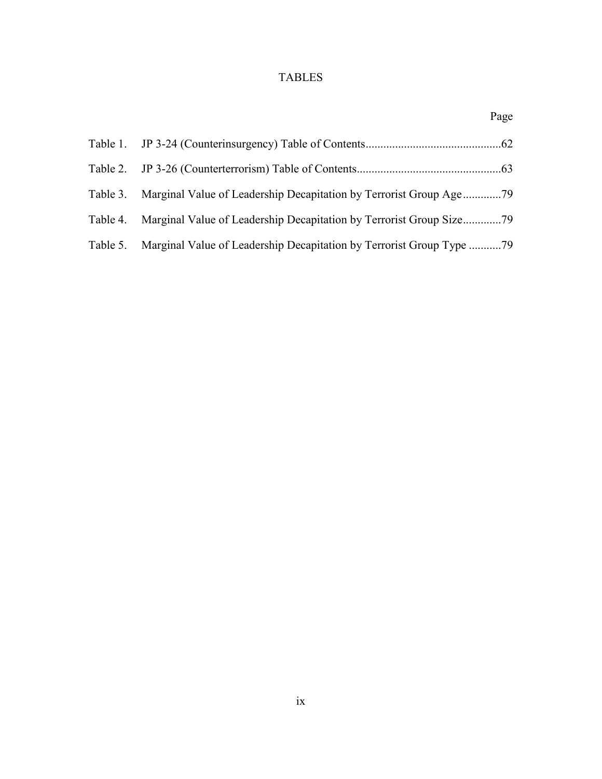# TABLES

|                                                                               | Page |
|-------------------------------------------------------------------------------|------|
|                                                                               |      |
|                                                                               |      |
|                                                                               |      |
|                                                                               |      |
| Table 5. Marginal Value of Leadership Decapitation by Terrorist Group Type 79 |      |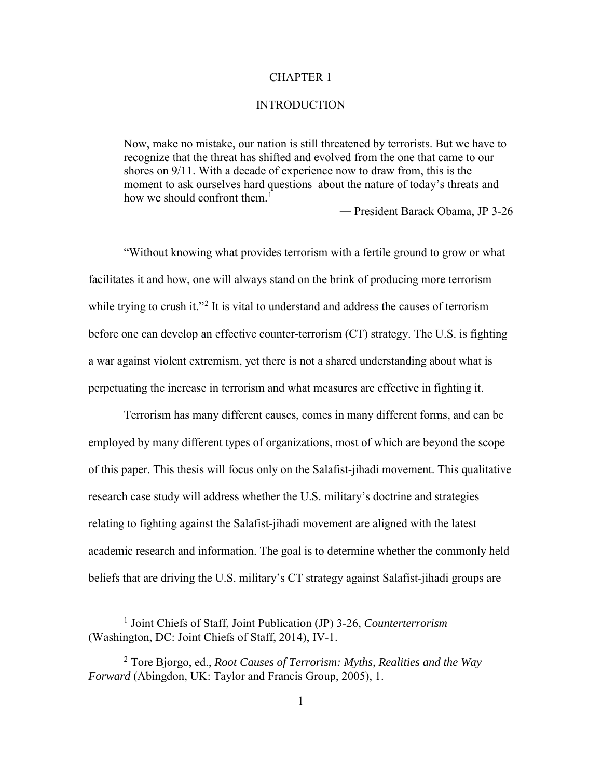## CHAPTER 1

#### INTRODUCTION

Now, make no mistake, our nation is still threatened by terrorists. But we have to recognize that the threat has shifted and evolved from the one that came to our shores on 9/11. With a decade of experience now to draw from, this is the moment to ask ourselves hard questions–about the nature of today's threats and how we should confront them.<sup>[1](#page-9-0)</sup>

― President Barack Obama, JP 3-26

"Without knowing what provides terrorism with a fertile ground to grow or what facilitates it and how, one will always stand on the brink of producing more terrorism while trying to crush it."<sup>[2](#page-9-1)</sup> It is vital to understand and address the causes of terrorism before one can develop an effective counter-terrorism (CT) strategy. The U.S. is fighting a war against violent extremism, yet there is not a shared understanding about what is perpetuating the increase in terrorism and what measures are effective in fighting it.

Terrorism has many different causes, comes in many different forms, and can be employed by many different types of organizations, most of which are beyond the scope of this paper. This thesis will focus only on the Salafist-jihadi movement. This qualitative research case study will address whether the U.S. military's doctrine and strategies relating to fighting against the Salafist-jihadi movement are aligned with the latest academic research and information. The goal is to determine whether the commonly held beliefs that are driving the U.S. military's CT strategy against Salafist-jihadi groups are

<span id="page-9-0"></span><sup>&</sup>lt;u>1</u> <sup>1</sup> Joint Chiefs of Staff, Joint Publication (JP) 3-26, *Counterterrorism* (Washington, DC: Joint Chiefs of Staff, 2014), IV-1.

<span id="page-9-1"></span><sup>2</sup> Tore Bjorgo, ed., *Root Causes of Terrorism: Myths, Realities and the Way Forward* (Abingdon, UK: Taylor and Francis Group, 2005), 1.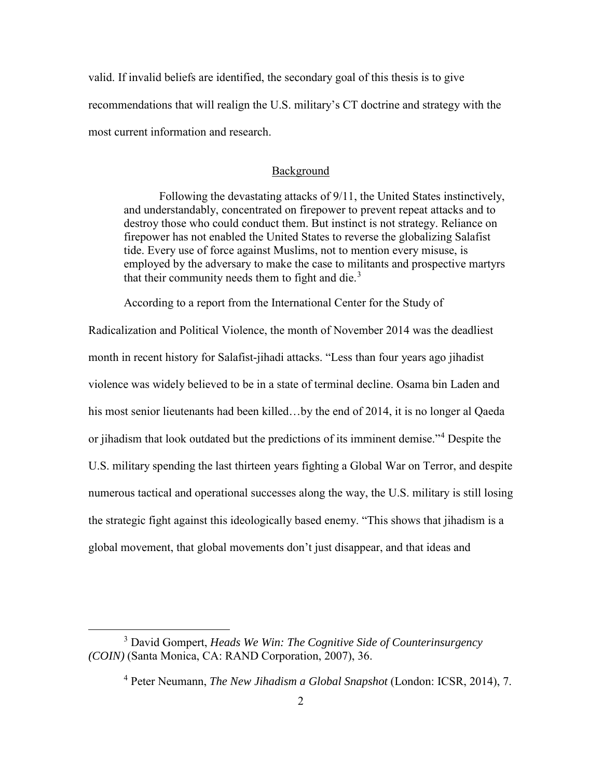valid. If invalid beliefs are identified, the secondary goal of this thesis is to give recommendations that will realign the U.S. military's CT doctrine and strategy with the most current information and research.

#### Background

Following the devastating attacks of 9/11, the United States instinctively, and understandably, concentrated on firepower to prevent repeat attacks and to destroy those who could conduct them. But instinct is not strategy. Reliance on firepower has not enabled the United States to reverse the globalizing Salafist tide. Every use of force against Muslims, not to mention every misuse, is employed by the adversary to make the case to militants and prospective martyrs that their community needs them to fight and die. $3$ 

According to a report from the International Center for the Study of

Radicalization and Political Violence, the month of November 2014 was the deadliest month in recent history for Salafist-jihadi attacks. "Less than four years ago jihadist violence was widely believed to be in a state of terminal decline. Osama bin Laden and his most senior lieutenants had been killed…by the end of 2014, it is no longer al Qaeda or jihadism that look outdated but the predictions of its imminent demise."[4](#page-10-1) Despite the U.S. military spending the last thirteen years fighting a Global War on Terror, and despite numerous tactical and operational successes along the way, the U.S. military is still losing the strategic fight against this ideologically based enemy. "This shows that jihadism is a global movement, that global movements don't just disappear, and that ideas and

<span id="page-10-1"></span><span id="page-10-0"></span> $\overline{\phantom{a}}$  3 David Gompert, *Heads We Win: The Cognitive Side of Counterinsurgency (COIN)* (Santa Monica, CA: RAND Corporation, 2007), 36.

<sup>4</sup> Peter Neumann, *The New Jihadism a Global Snapshot* (London: ICSR, 2014), 7.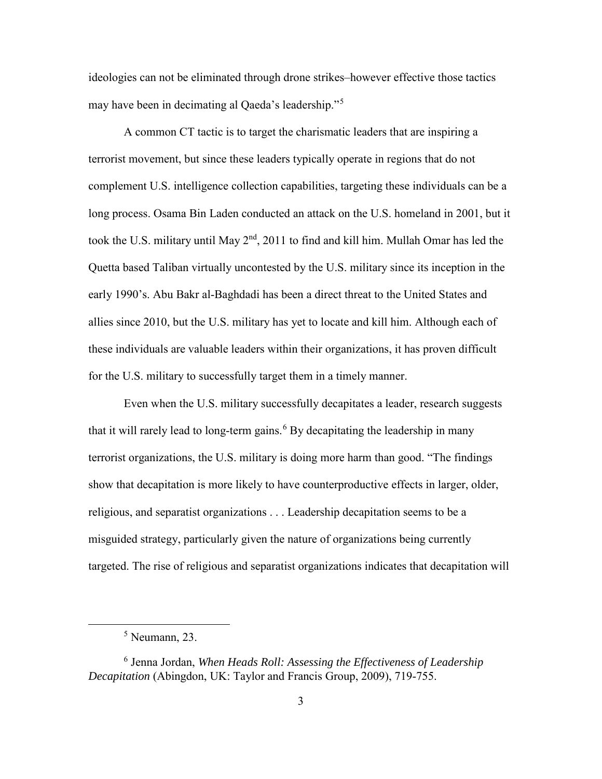ideologies can not be eliminated through drone strikes–however effective those tactics may have been in decimating al Qaeda's leadership."[5](#page-11-0)

A common CT tactic is to target the charismatic leaders that are inspiring a terrorist movement, but since these leaders typically operate in regions that do not complement U.S. intelligence collection capabilities, targeting these individuals can be a long process. Osama Bin Laden conducted an attack on the U.S. homeland in 2001, but it took the U.S. military until May  $2<sup>nd</sup>$ , 2011 to find and kill him. Mullah Omar has led the Quetta based Taliban virtually uncontested by the U.S. military since its inception in the early 1990's. Abu Bakr al-Baghdadi has been a direct threat to the United States and allies since 2010, but the U.S. military has yet to locate and kill him. Although each of these individuals are valuable leaders within their organizations, it has proven difficult for the U.S. military to successfully target them in a timely manner.

Even when the U.S. military successfully decapitates a leader, research suggests that it will rarely lead to long-term gains.<sup>[6](#page-11-1)</sup> By decapitating the leadership in many terrorist organizations, the U.S. military is doing more harm than good. "The findings show that decapitation is more likely to have counterproductive effects in larger, older, religious, and separatist organizations . . . Leadership decapitation seems to be a misguided strategy, particularly given the nature of organizations being currently targeted. The rise of religious and separatist organizations indicates that decapitation will

<span id="page-11-0"></span> $rac{1}{5}$  $<sup>5</sup>$  Neumann, 23.</sup>

<span id="page-11-1"></span><sup>6</sup> Jenna Jordan, *When Heads Roll: Assessing the Effectiveness of Leadership Decapitation* (Abingdon, UK: Taylor and Francis Group, 2009), 719-755.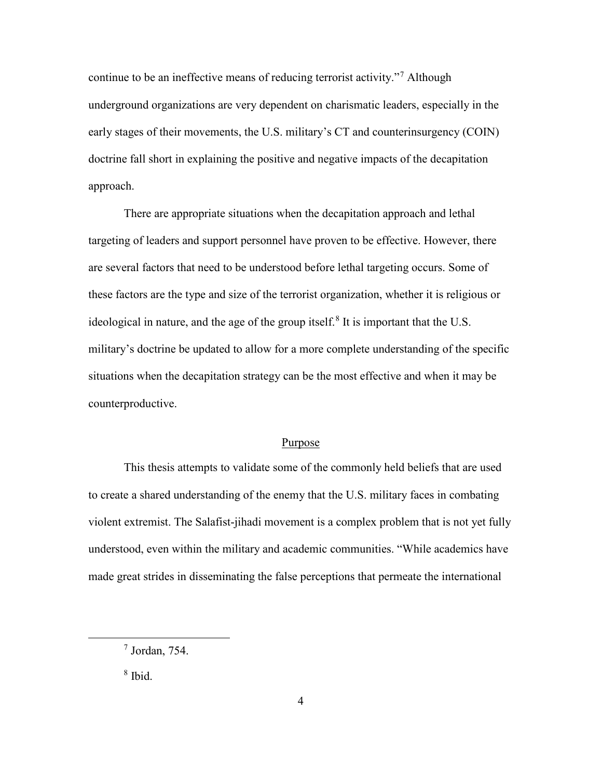continue to be an ineffective means of reducing terrorist activity."[7](#page-12-0) Although underground organizations are very dependent on charismatic leaders, especially in the early stages of their movements, the U.S. military's CT and counterinsurgency (COIN) doctrine fall short in explaining the positive and negative impacts of the decapitation approach.

There are appropriate situations when the decapitation approach and lethal targeting of leaders and support personnel have proven to be effective. However, there are several factors that need to be understood before lethal targeting occurs. Some of these factors are the type and size of the terrorist organization, whether it is religious or ideological in nature, and the age of the group itself.<sup>[8](#page-12-1)</sup> It is important that the U.S. military's doctrine be updated to allow for a more complete understanding of the specific situations when the decapitation strategy can be the most effective and when it may be counterproductive.

#### Purpose

This thesis attempts to validate some of the commonly held beliefs that are used to create a shared understanding of the enemy that the U.S. military faces in combating violent extremist. The Salafist-jihadi movement is a complex problem that is not yet fully understood, even within the military and academic communities. "While academics have made great strides in disseminating the false perceptions that permeate the international

8 Ibid.

<span id="page-12-1"></span><span id="page-12-0"></span> <sup>7</sup> <sup>7</sup> Jordan, 754.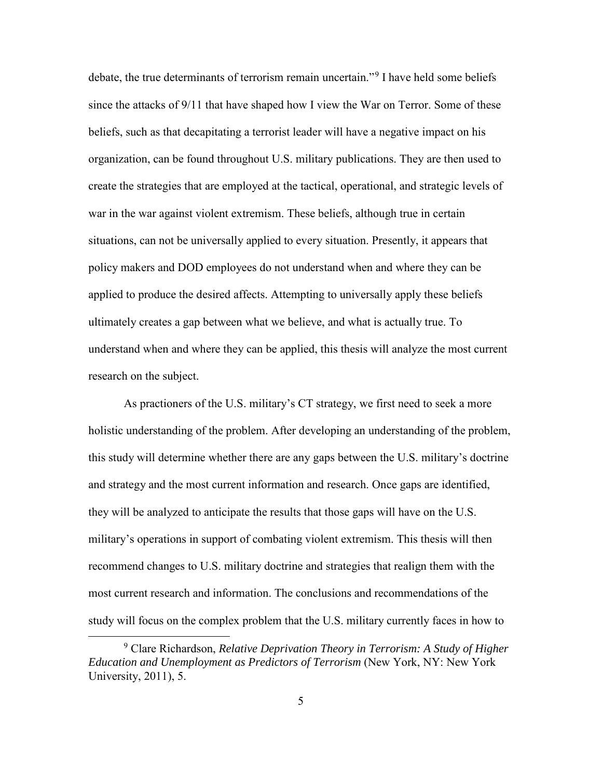debate, the true determinants of terrorism remain uncertain."[9](#page-13-0) I have held some beliefs since the attacks of 9/11 that have shaped how I view the War on Terror. Some of these beliefs, such as that decapitating a terrorist leader will have a negative impact on his organization, can be found throughout U.S. military publications. They are then used to create the strategies that are employed at the tactical, operational, and strategic levels of war in the war against violent extremism. These beliefs, although true in certain situations, can not be universally applied to every situation. Presently, it appears that policy makers and DOD employees do not understand when and where they can be applied to produce the desired affects. Attempting to universally apply these beliefs ultimately creates a gap between what we believe, and what is actually true. To understand when and where they can be applied, this thesis will analyze the most current research on the subject.

As practioners of the U.S. military's CT strategy, we first need to seek a more holistic understanding of the problem. After developing an understanding of the problem, this study will determine whether there are any gaps between the U.S. military's doctrine and strategy and the most current information and research. Once gaps are identified, they will be analyzed to anticipate the results that those gaps will have on the U.S. military's operations in support of combating violent extremism. This thesis will then recommend changes to U.S. military doctrine and strategies that realign them with the most current research and information. The conclusions and recommendations of the study will focus on the complex problem that the U.S. military currently faces in how to

<span id="page-13-0"></span> <sup>9</sup> Clare Richardson, *Relative Deprivation Theory in Terrorism: A Study of Higher Education and Unemployment as Predictors of Terrorism* (New York, NY: New York University, 2011), 5.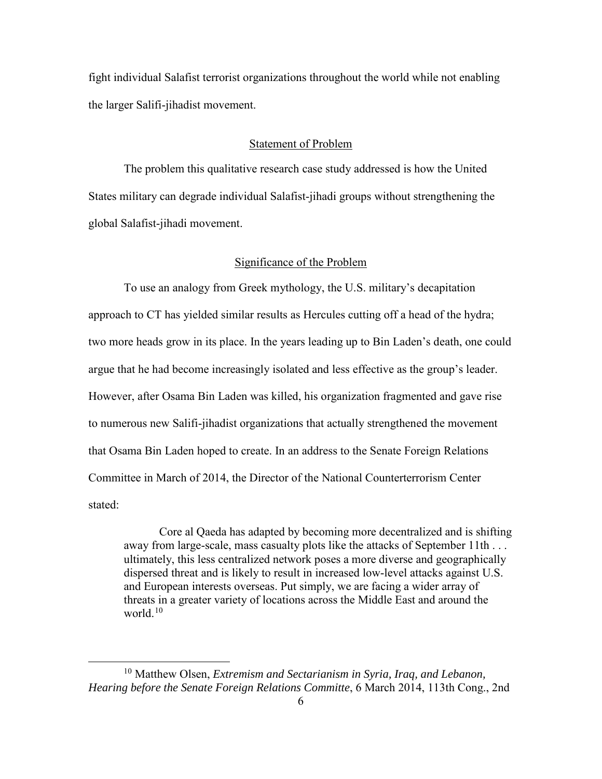fight individual Salafist terrorist organizations throughout the world while not enabling the larger Salifi-jihadist movement.

## Statement of Problem

The problem this qualitative research case study addressed is how the United States military can degrade individual Salafist-jihadi groups without strengthening the global Salafist-jihadi movement.

#### Significance of the Problem

To use an analogy from Greek mythology, the U.S. military's decapitation approach to CT has yielded similar results as Hercules cutting off a head of the hydra; two more heads grow in its place. In the years leading up to Bin Laden's death, one could argue that he had become increasingly isolated and less effective as the group's leader. However, after Osama Bin Laden was killed, his organization fragmented and gave rise to numerous new Salifi-jihadist organizations that actually strengthened the movement that Osama Bin Laden hoped to create. In an address to the Senate Foreign Relations Committee in March of 2014, the Director of the National Counterterrorism Center stated:

Core al Qaeda has adapted by becoming more decentralized and is shifting away from large-scale, mass casualty plots like the attacks of September 11th . . . ultimately, this less centralized network poses a more diverse and geographically dispersed threat and is likely to result in increased low-level attacks against U.S. and European interests overseas. Put simply, we are facing a wider array of threats in a greater variety of locations across the Middle East and around the world $10$ 

<span id="page-14-0"></span> <sup>10</sup> Matthew Olsen, *Extremism and Sectarianism in Syria, Iraq, and Lebanon, Hearing before the Senate Foreign Relations Committe*, 6 March 2014, 113th Cong., 2nd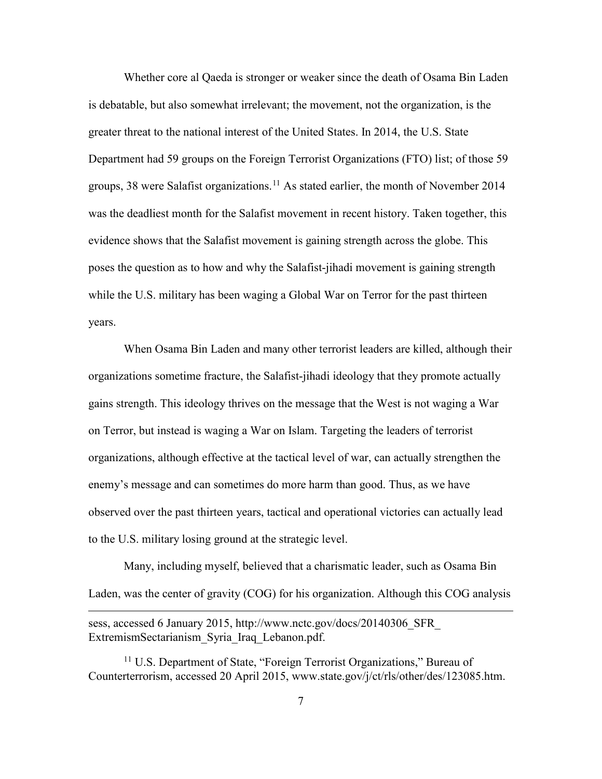Whether core al Qaeda is stronger or weaker since the death of Osama Bin Laden is debatable, but also somewhat irrelevant; the movement, not the organization, is the greater threat to the national interest of the United States. In 2014, the U.S. State Department had 59 groups on the Foreign Terrorist Organizations (FTO) list; of those 59 groups, 38 were Salafist organizations.<sup>[11](#page-15-0)</sup> As stated earlier, the month of November 2014 was the deadliest month for the Salafist movement in recent history. Taken together, this evidence shows that the Salafist movement is gaining strength across the globe. This poses the question as to how and why the Salafist-jihadi movement is gaining strength while the U.S. military has been waging a Global War on Terror for the past thirteen years.

When Osama Bin Laden and many other terrorist leaders are killed, although their organizations sometime fracture, the Salafist-jihadi ideology that they promote actually gains strength. This ideology thrives on the message that the West is not waging a War on Terror, but instead is waging a War on Islam. Targeting the leaders of terrorist organizations, although effective at the tactical level of war, can actually strengthen the enemy's message and can sometimes do more harm than good. Thus, as we have observed over the past thirteen years, tactical and operational victories can actually lead to the U.S. military losing ground at the strategic level.

Many, including myself, believed that a charismatic leader, such as Osama Bin Laden, was the center of gravity (COG) for his organization. Although this COG analysis

 $\overline{a}$ 

sess, accessed 6 January 2015, http://www.nctc.gov/docs/20140306\_SFR\_ ExtremismSectarianism\_Syria\_Iraq\_Lebanon.pdf.

<span id="page-15-0"></span><sup>&</sup>lt;sup>11</sup> U.S. Department of State, "Foreign Terrorist Organizations," Bureau of Counterterrorism, accessed 20 April 2015, www.state.gov/j/ct/rls/other/des/123085.htm.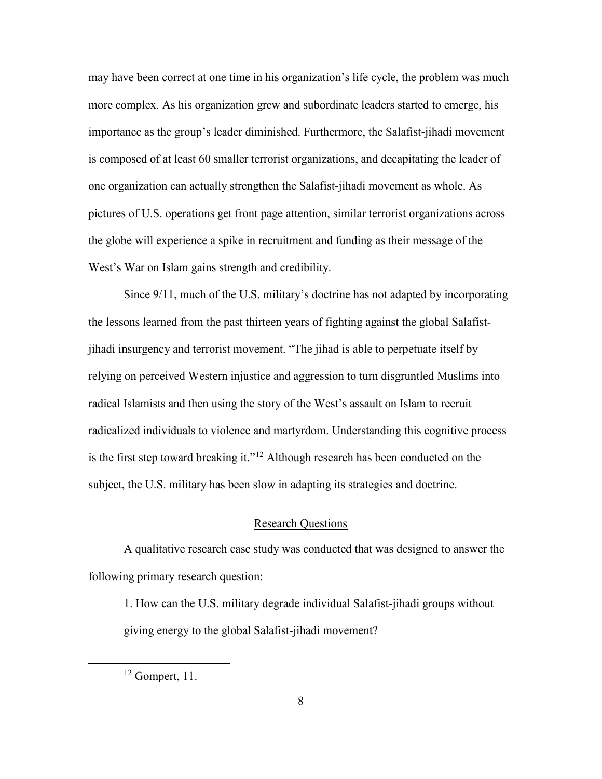may have been correct at one time in his organization's life cycle, the problem was much more complex. As his organization grew and subordinate leaders started to emerge, his importance as the group's leader diminished. Furthermore, the Salafist-jihadi movement is composed of at least 60 smaller terrorist organizations, and decapitating the leader of one organization can actually strengthen the Salafist-jihadi movement as whole. As pictures of U.S. operations get front page attention, similar terrorist organizations across the globe will experience a spike in recruitment and funding as their message of the West's War on Islam gains strength and credibility.

Since 9/11, much of the U.S. military's doctrine has not adapted by incorporating the lessons learned from the past thirteen years of fighting against the global Salafistjihadi insurgency and terrorist movement. "The jihad is able to perpetuate itself by relying on perceived Western injustice and aggression to turn disgruntled Muslims into radical Islamists and then using the story of the West's assault on Islam to recruit radicalized individuals to violence and martyrdom. Understanding this cognitive process is the first step toward breaking it."<sup>[12](#page-16-0)</sup> Although research has been conducted on the subject, the U.S. military has been slow in adapting its strategies and doctrine.

## Research Questions

A qualitative research case study was conducted that was designed to answer the following primary research question:

1. How can the U.S. military degrade individual Salafist-jihadi groups without giving energy to the global Salafist-jihadi movement?

<span id="page-16-0"></span> $12$  Gompert, 11.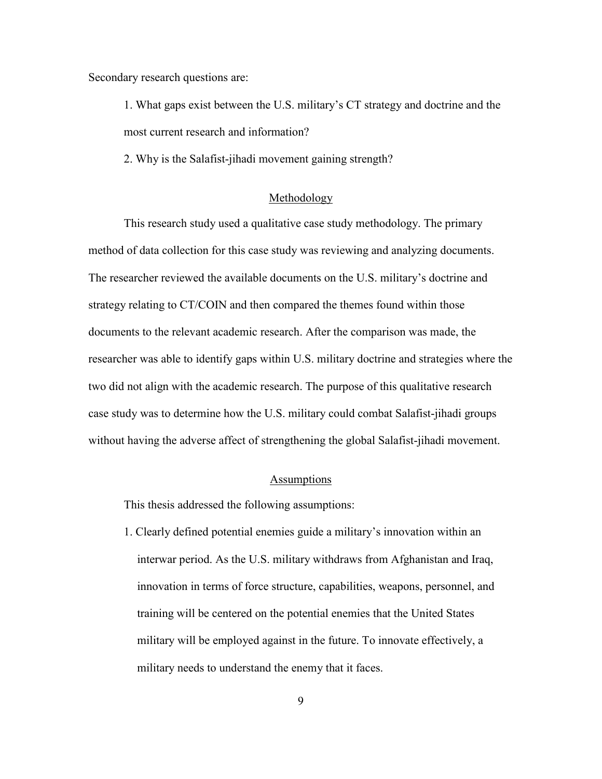Secondary research questions are:

1. What gaps exist between the U.S. military's CT strategy and doctrine and the most current research and information?

2. Why is the Salafist-jihadi movement gaining strength?

#### Methodology

This research study used a qualitative case study methodology. The primary method of data collection for this case study was reviewing and analyzing documents. The researcher reviewed the available documents on the U.S. military's doctrine and strategy relating to CT/COIN and then compared the themes found within those documents to the relevant academic research. After the comparison was made, the researcher was able to identify gaps within U.S. military doctrine and strategies where the two did not align with the academic research. The purpose of this qualitative research case study was to determine how the U.S. military could combat Salafist-jihadi groups without having the adverse affect of strengthening the global Salafist-jihadi movement.

#### Assumptions

This thesis addressed the following assumptions:

1. Clearly defined potential enemies guide a military's innovation within an interwar period. As the U.S. military withdraws from Afghanistan and Iraq, innovation in terms of force structure, capabilities, weapons, personnel, and training will be centered on the potential enemies that the United States military will be employed against in the future. To innovate effectively, a military needs to understand the enemy that it faces.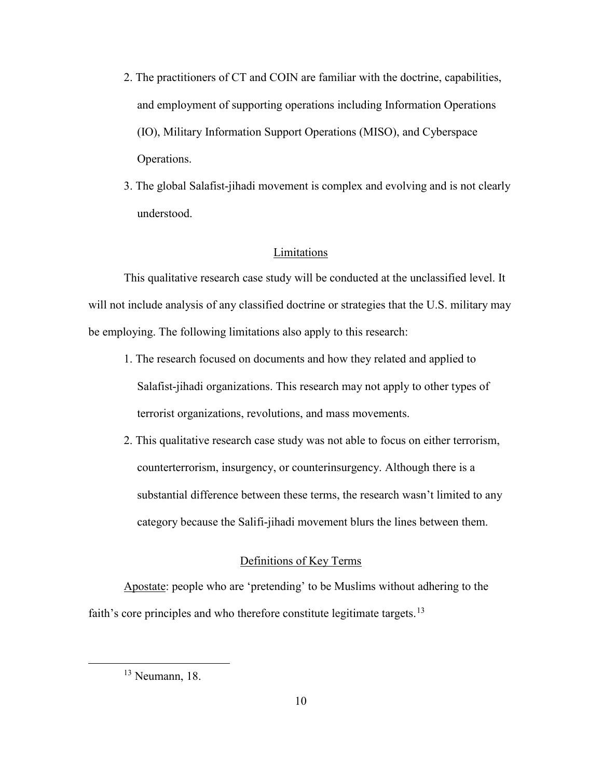- 2. The practitioners of CT and COIN are familiar with the doctrine, capabilities, and employment of supporting operations including Information Operations (IO), Military Information Support Operations (MISO), and Cyberspace Operations.
- 3. The global Salafist-jihadi movement is complex and evolving and is not clearly understood.

## Limitations

This qualitative research case study will be conducted at the unclassified level. It will not include analysis of any classified doctrine or strategies that the U.S. military may be employing. The following limitations also apply to this research:

- 1. The research focused on documents and how they related and applied to Salafist-jihadi organizations. This research may not apply to other types of terrorist organizations, revolutions, and mass movements.
- 2. This qualitative research case study was not able to focus on either terrorism, counterterrorism, insurgency, or counterinsurgency. Although there is a substantial difference between these terms, the research wasn't limited to any category because the Salifi-jihadi movement blurs the lines between them.

# Definitions of Key Terms

Apostate: people who are 'pretending' to be Muslims without adhering to the faith's core principles and who therefore constitute legitimate targets.<sup>[13](#page-18-0)</sup>

<span id="page-18-0"></span> $13$  Neumann, 18.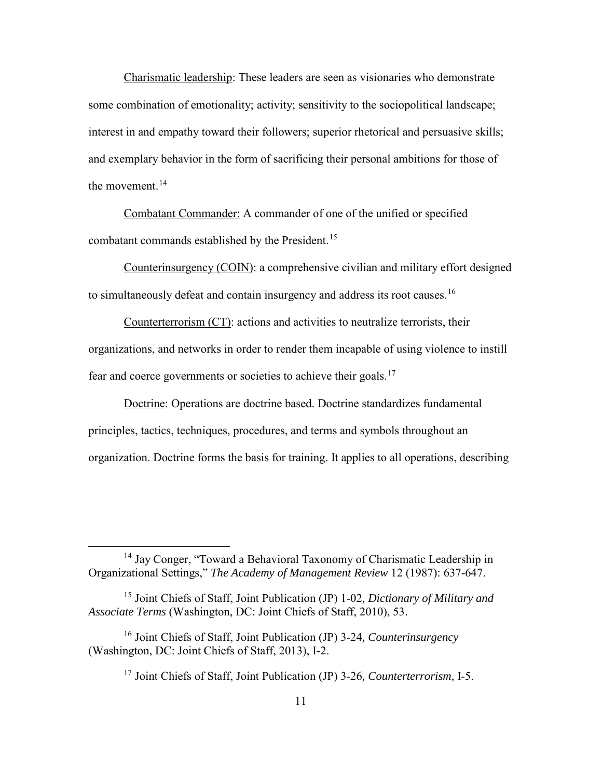Charismatic leadership: These leaders are seen as visionaries who demonstrate some combination of emotionality; activity; sensitivity to the sociopolitical landscape; interest in and empathy toward their followers; superior rhetorical and persuasive skills; and exemplary behavior in the form of sacrificing their personal ambitions for those of the movement.  $14$ 

Combatant Commander: A commander of one of the unified or specified combatant commands established by the President.<sup>[15](#page-19-1)</sup>

Counterinsurgency (COIN): a comprehensive civilian and military effort designed to simultaneously defeat and contain insurgency and address its root causes.<sup>[16](#page-19-2)</sup>

Counterterrorism (CT): actions and activities to neutralize terrorists, their organizations, and networks in order to render them incapable of using violence to instill fear and coerce governments or societies to achieve their goals.[17](#page-19-3)

Doctrine: Operations are doctrine based. Doctrine standardizes fundamental principles, tactics, techniques, procedures, and terms and symbols throughout an organization. Doctrine forms the basis for training. It applies to all operations, describing

<span id="page-19-0"></span> <sup>14</sup> Jay Conger, "Toward a Behavioral Taxonomy of Charismatic Leadership in Organizational Settings," *The Academy of Management Review* 12 (1987): 637-647.

<span id="page-19-1"></span><sup>15</sup> Joint Chiefs of Staff, Joint Publication (JP) 1-02*, Dictionary of Military and Associate Terms* (Washington, DC: Joint Chiefs of Staff, 2010), 53.

<span id="page-19-3"></span><span id="page-19-2"></span><sup>16</sup> Joint Chiefs of Staff, Joint Publication (JP) 3-24*, Counterinsurgency* (Washington, DC: Joint Chiefs of Staff, 2013), I-2.

<sup>17</sup> Joint Chiefs of Staff, Joint Publication (JP) 3-26*, Counterterrorism,* I-5.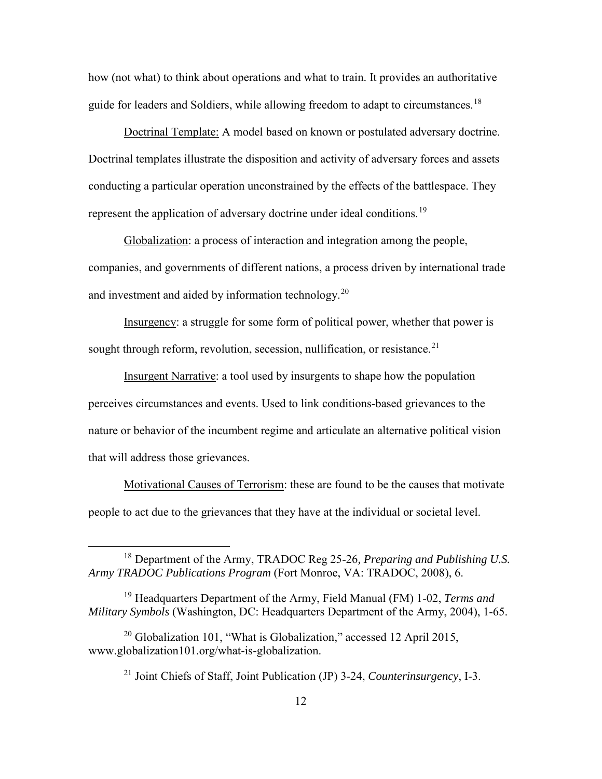how (not what) to think about operations and what to train. It provides an authoritative guide for leaders and Soldiers, while allowing freedom to adapt to circumstances.<sup>[18](#page-20-0)</sup>

Doctrinal Template: A model based on known or postulated adversary doctrine. Doctrinal templates illustrate the disposition and activity of adversary forces and assets conducting a particular operation unconstrained by the effects of the battlespace. They represent the application of adversary doctrine under ideal conditions.<sup>[19](#page-20-1)</sup>

Globalization: a process of interaction and integration among the people, companies, and governments of different nations, a process driven by international trade and investment and aided by information technology.<sup>[20](#page-20-2)</sup>

Insurgency: a struggle for some form of political power, whether that power is sought through reform, revolution, secession, nullification, or resistance.<sup>[21](#page-20-3)</sup>

Insurgent Narrative: a tool used by insurgents to shape how the population perceives circumstances and events. Used to link conditions-based grievances to the nature or behavior of the incumbent regime and articulate an alternative political vision that will address those grievances.

Motivational Causes of Terrorism: these are found to be the causes that motivate people to act due to the grievances that they have at the individual or societal level.

<span id="page-20-0"></span> <sup>18</sup> Department of the Army, TRADOC Reg 25-26*, Preparing and Publishing U.S. Army TRADOC Publications Program* (Fort Monroe, VA: TRADOC, 2008), 6.

<span id="page-20-1"></span><sup>19</sup> Headquarters Department of the Army, Field Manual (FM) 1-02, *Terms and Military Symbols* (Washington, DC: Headquarters Department of the Army, 2004), 1-65.

<span id="page-20-3"></span><span id="page-20-2"></span><sup>&</sup>lt;sup>20</sup> Globalization 101, "What is Globalization," accessed 12 April 2015, www.globalization101.org/what-is-globalization.

<sup>21</sup> Joint Chiefs of Staff, Joint Publication (JP) 3-24, *Counterinsurgency*, I-3.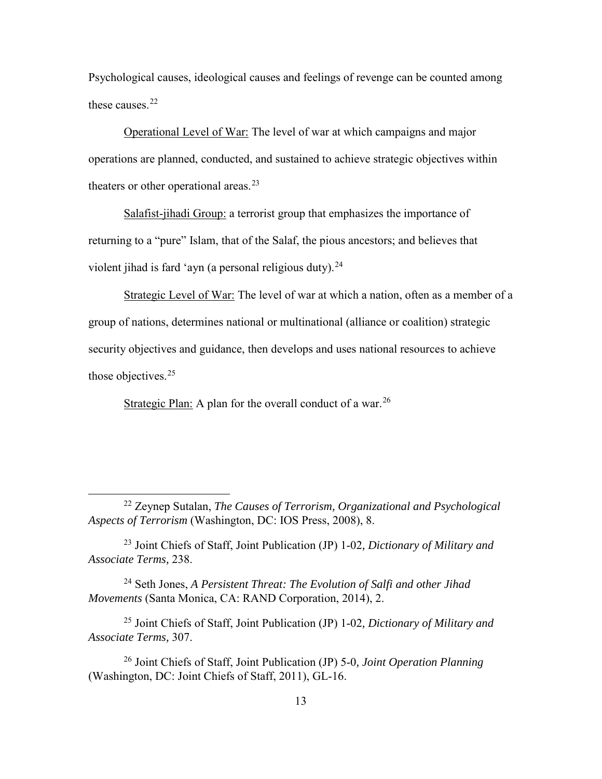Psychological causes, ideological causes and feelings of revenge can be counted among these causes. [22](#page-21-0)

Operational Level of War: The level of war at which campaigns and major operations are planned, conducted, and sustained to achieve strategic objectives within theaters or other operational areas.<sup>[23](#page-21-1)</sup>

Salafist-jihadi Group: a terrorist group that emphasizes the importance of returning to a "pure" Islam, that of the Salaf, the pious ancestors; and believes that violent jihad is fard 'ayn (a personal religious duty). $^{24}$  $^{24}$  $^{24}$ 

Strategic Level of War: The level of war at which a nation, often as a member of a group of nations, determines national or multinational (alliance or coalition) strategic security objectives and guidance, then develops and uses national resources to achieve those objectives.<sup>25</sup>

Strategic Plan: A plan for the overall conduct of a war.<sup>[26](#page-21-4)</sup>

<span id="page-21-2"></span>24 Seth Jones, *A Persistent Threat: The Evolution of Salfi and other Jihad Movements* (Santa Monica, CA: RAND Corporation, 2014), 2.

<span id="page-21-3"></span><sup>25</sup> Joint Chiefs of Staff, Joint Publication (JP) 1-02*, Dictionary of Military and Associate Terms,* 307.

<span id="page-21-4"></span><sup>26</sup> Joint Chiefs of Staff, Joint Publication (JP) 5-0*, Joint Operation Planning* (Washington, DC: Joint Chiefs of Staff, 2011), GL-16.

<span id="page-21-0"></span> <sup>22</sup> Zeynep Sutalan, *The Causes of Terrorism, Organizational and Psychological Aspects of Terrorism* (Washington, DC: IOS Press, 2008), 8.

<span id="page-21-1"></span><sup>23</sup> Joint Chiefs of Staff, Joint Publication (JP) 1-02*, Dictionary of Military and Associate Terms,* 238.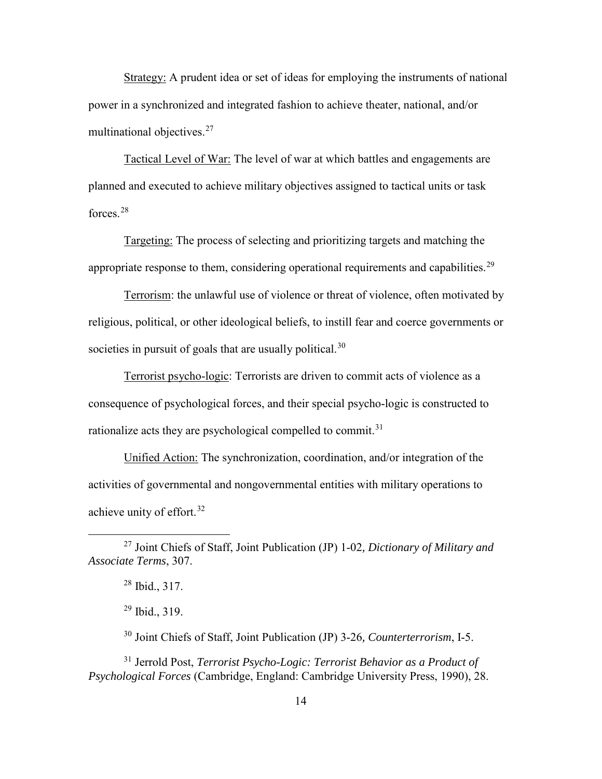Strategy: A prudent idea or set of ideas for employing the instruments of national power in a synchronized and integrated fashion to achieve theater, national, and/or multinational objectives.<sup>[27](#page-22-0)</sup>

Tactical Level of War: The level of war at which battles and engagements are planned and executed to achieve military objectives assigned to tactical units or task forces<sup>[28](#page-22-1)</sup>

Targeting: The process of selecting and prioritizing targets and matching the appropriate response to them, considering operational requirements and capabilities.<sup>[29](#page-22-2)</sup>

Terrorism: the unlawful use of violence or threat of violence, often motivated by religious, political, or other ideological beliefs, to instill fear and coerce governments or societies in pursuit of goals that are usually political.<sup>[30](#page-22-3)</sup>

Terrorist psycho-logic: Terrorists are driven to commit acts of violence as a consequence of psychological forces, and their special psycho-logic is constructed to rationalize acts they are psychological compelled to commit.<sup>[31](#page-22-4)</sup>

Unified Action: The synchronization, coordination, and/or integration of the activities of governmental and nongovernmental entities with military operations to achieve unity of effort.<sup>[32](#page-22-3)</sup>

<sup>30</sup> Joint Chiefs of Staff, Joint Publication (JP) 3-26*, Counterterrorism*, I-5.

<span id="page-22-4"></span><span id="page-22-3"></span><span id="page-22-2"></span>31 Jerrold Post, *Terrorist Psycho-Logic: Terrorist Behavior as a Product of Psychological Forces* (Cambridge, England: Cambridge University Press, 1990), 28.

<span id="page-22-1"></span><span id="page-22-0"></span> <sup>27</sup> Joint Chiefs of Staff, Joint Publication (JP) 1-02*, Dictionary of Military and Associate Terms*, 307.

<sup>28</sup> Ibid., 317.

<sup>29</sup> Ibid., 319.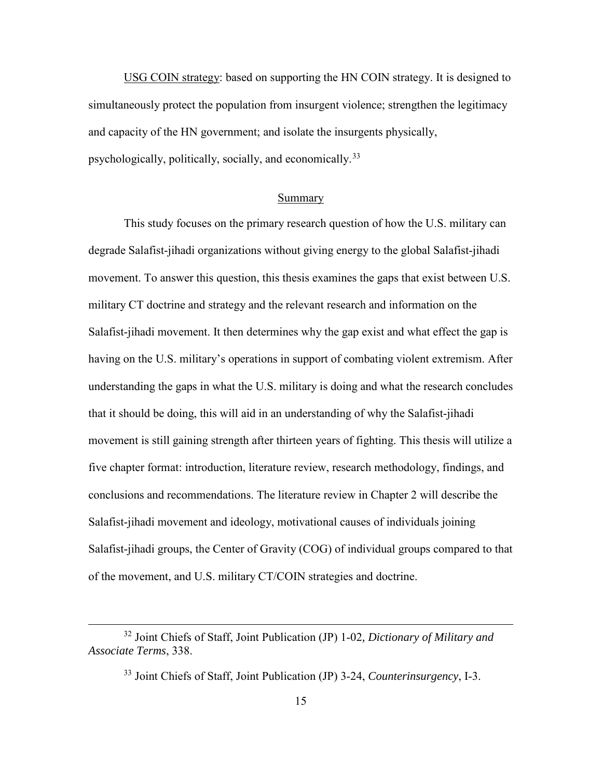USG COIN strategy: based on supporting the HN COIN strategy. It is designed to simultaneously protect the population from insurgent violence; strengthen the legitimacy and capacity of the HN government; and isolate the insurgents physically, psychologically, politically, socially, and economically.[33](#page-23-0)

#### Summary

This study focuses on the primary research question of how the U.S. military can degrade Salafist-jihadi organizations without giving energy to the global Salafist-jihadi movement. To answer this question, this thesis examines the gaps that exist between U.S. military CT doctrine and strategy and the relevant research and information on the Salafist-jihadi movement. It then determines why the gap exist and what effect the gap is having on the U.S. military's operations in support of combating violent extremism. After understanding the gaps in what the U.S. military is doing and what the research concludes that it should be doing, this will aid in an understanding of why the Salafist-jihadi movement is still gaining strength after thirteen years of fighting. This thesis will utilize a five chapter format: introduction, literature review, research methodology, findings, and conclusions and recommendations. The literature review in Chapter 2 will describe the Salafist-jihadi movement and ideology, motivational causes of individuals joining Salafist-jihadi groups, the Center of Gravity (COG) of individual groups compared to that of the movement, and U.S. military CT/COIN strategies and doctrine.

<span id="page-23-0"></span> <sup>32</sup> Joint Chiefs of Staff, Joint Publication (JP) 1-02*, Dictionary of Military and Associate Terms*, 338.

<sup>33</sup> Joint Chiefs of Staff, Joint Publication (JP) 3-24, *Counterinsurgency*, I-3.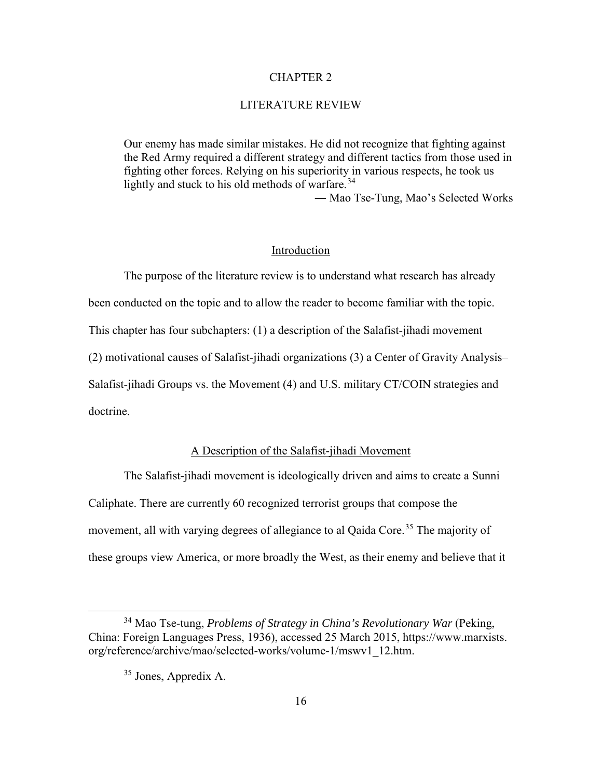#### CHAPTER 2

#### LITERATURE REVIEW

Our enemy has made similar mistakes. He did not recognize that fighting against the Red Army required a different strategy and different tactics from those used in fighting other forces. Relying on his superiority in various respects, he took us lightly and stuck to his old methods of warfare. $34$ 

― Mao Tse-Tung, Mao's Selected Works

## Introduction

The purpose of the literature review is to understand what research has already been conducted on the topic and to allow the reader to become familiar with the topic. This chapter has four subchapters: (1) a description of the Salafist-jihadi movement (2) motivational causes of Salafist-jihadi organizations (3) a Center of Gravity Analysis– Salafist-jihadi Groups vs. the Movement (4) and U.S. military CT/COIN strategies and doctrine.

## A Description of the Salafist-jihadi Movement

The Salafist-jihadi movement is ideologically driven and aims to create a Sunni Caliphate. There are currently 60 recognized terrorist groups that compose the movement, all with varying degrees of allegiance to al Qaida Core.<sup>35</sup> The majority of these groups view America, or more broadly the West, as their enemy and believe that it

<span id="page-24-1"></span><span id="page-24-0"></span> <sup>34</sup> Mao Tse-tung, *Problems of Strategy in China's Revolutionary War* (Peking, China: Foreign Languages Press, 1936), accessed 25 March 2015, https://www.marxists. org/reference/archive/mao/selected-works/volume-1/mswv1\_12.htm.

<sup>35</sup> Jones, Appredix A.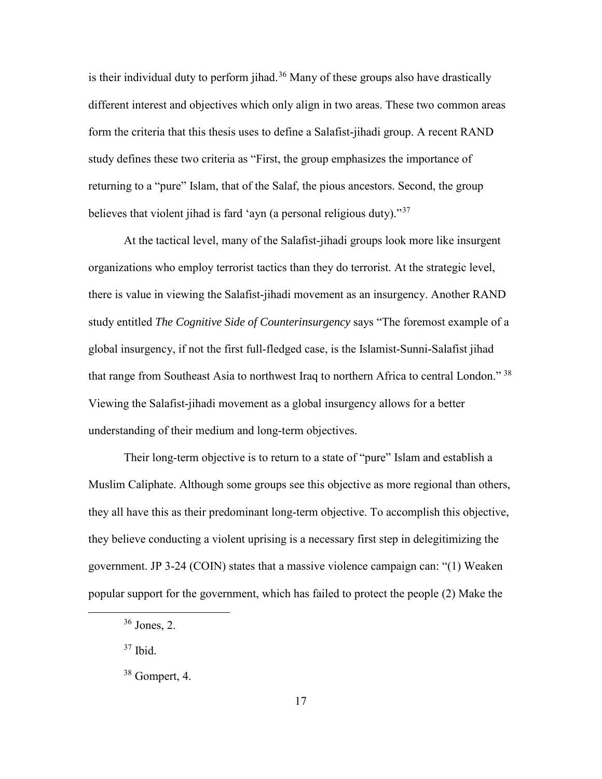is their individual duty to perform jihad.<sup>[36](#page-25-0)</sup> Many of these groups also have drastically different interest and objectives which only align in two areas. These two common areas form the criteria that this thesis uses to define a Salafist-jihadi group. A recent RAND study defines these two criteria as "First, the group emphasizes the importance of returning to a "pure" Islam, that of the Salaf, the pious ancestors. Second, the group believes that violent jihad is fard 'ayn (a personal religious duty)."[37](#page-25-1) 

At the tactical level, many of the Salafist-jihadi groups look more like insurgent organizations who employ terrorist tactics than they do terrorist. At the strategic level, there is value in viewing the Salafist-jihadi movement as an insurgency. Another RAND study entitled *The Cognitive Side of Counterinsurgency* says "The foremost example of a global insurgency, if not the first full-fledged case, is the Islamist-Sunni-Salafist jihad that range from Southeast Asia to northwest Iraq to northern Africa to central London."<sup>[38](#page-25-2)</sup> Viewing the Salafist-jihadi movement as a global insurgency allows for a better understanding of their medium and long-term objectives.

Their long-term objective is to return to a state of "pure" Islam and establish a Muslim Caliphate. Although some groups see this objective as more regional than others, they all have this as their predominant long-term objective. To accomplish this objective, they believe conducting a violent uprising is a necessary first step in delegitimizing the government. JP 3-24 (COIN) states that a massive violence campaign can: "(1) Weaken popular support for the government, which has failed to protect the people (2) Make the

<span id="page-25-1"></span> $37$  Ibid.

<span id="page-25-0"></span> <sup>36</sup> Jones, 2.

<span id="page-25-2"></span><sup>38</sup> Gompert, 4.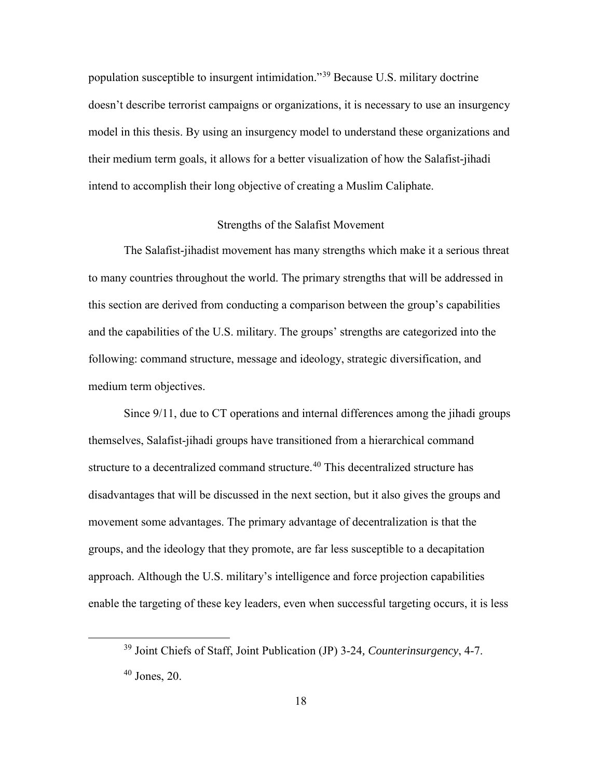population susceptible to insurgent intimidation."[39](#page-26-0) Because U.S. military doctrine doesn't describe terrorist campaigns or organizations, it is necessary to use an insurgency model in this thesis. By using an insurgency model to understand these organizations and their medium term goals, it allows for a better visualization of how the Salafist-jihadi intend to accomplish their long objective of creating a Muslim Caliphate.

# Strengths of the Salafist Movement

The Salafist-jihadist movement has many strengths which make it a serious threat to many countries throughout the world. The primary strengths that will be addressed in this section are derived from conducting a comparison between the group's capabilities and the capabilities of the U.S. military. The groups' strengths are categorized into the following: command structure, message and ideology, strategic diversification, and medium term objectives.

Since 9/11, due to CT operations and internal differences among the jihadi groups themselves, Salafist-jihadi groups have transitioned from a hierarchical command structure to a decentralized command structure.<sup>[40](#page-26-1)</sup> This decentralized structure has disadvantages that will be discussed in the next section, but it also gives the groups and movement some advantages. The primary advantage of decentralization is that the groups, and the ideology that they promote, are far less susceptible to a decapitation approach. Although the U.S. military's intelligence and force projection capabilities enable the targeting of these key leaders, even when successful targeting occurs, it is less

<span id="page-26-0"></span> <sup>39</sup> Joint Chiefs of Staff, Joint Publication (JP) 3-24*, Counterinsurgency*, 4-7.

<span id="page-26-1"></span> $40$  Jones, 20.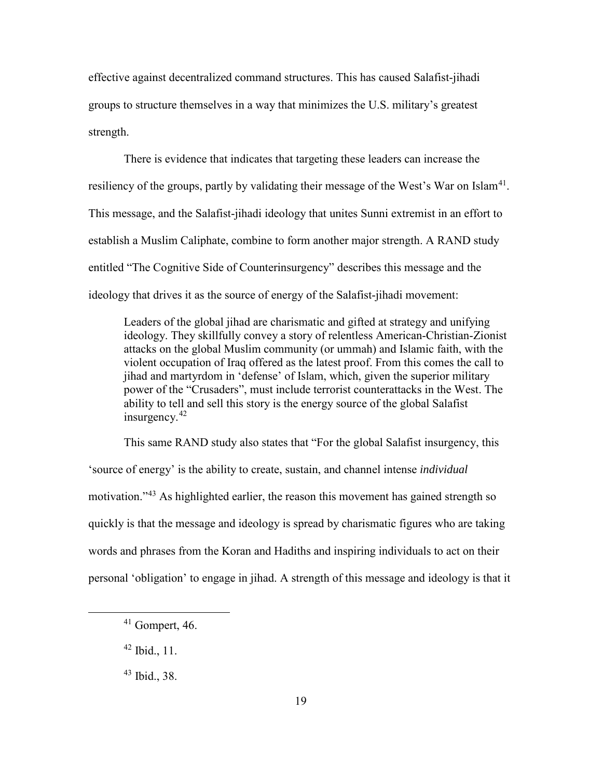effective against decentralized command structures. This has caused Salafist-jihadi groups to structure themselves in a way that minimizes the U.S. military's greatest strength.

There is evidence that indicates that targeting these leaders can increase the resiliency of the groups, partly by validating their message of the West's War on Islam<sup>[41](#page-27-0)</sup>. This message, and the Salafist-jihadi ideology that unites Sunni extremist in an effort to establish a Muslim Caliphate, combine to form another major strength. A RAND study entitled "The Cognitive Side of Counterinsurgency" describes this message and the ideology that drives it as the source of energy of the Salafist-jihadi movement:

Leaders of the global jihad are charismatic and gifted at strategy and unifying ideology. They skillfully convey a story of relentless American-Christian-Zionist attacks on the global Muslim community (or ummah) and Islamic faith, with the violent occupation of Iraq offered as the latest proof. From this comes the call to jihad and martyrdom in 'defense' of Islam, which, given the superior military power of the "Crusaders", must include terrorist counterattacks in the West. The ability to tell and sell this story is the energy source of the global Salafist insurgency.[42](#page-27-1)

This same RAND study also states that "For the global Salafist insurgency, this 'source of energy' is the ability to create, sustain, and channel intense *individual* motivation."[43](#page-27-2) As highlighted earlier, the reason this movement has gained strength so quickly is that the message and ideology is spread by charismatic figures who are taking words and phrases from the Koran and Hadiths and inspiring individuals to act on their personal 'obligation' to engage in jihad. A strength of this message and ideology is that it

<span id="page-27-0"></span> $41$  Gompert, 46.

<span id="page-27-1"></span> $42$  Ibid., 11.

<span id="page-27-2"></span><sup>43</sup> Ibid., 38.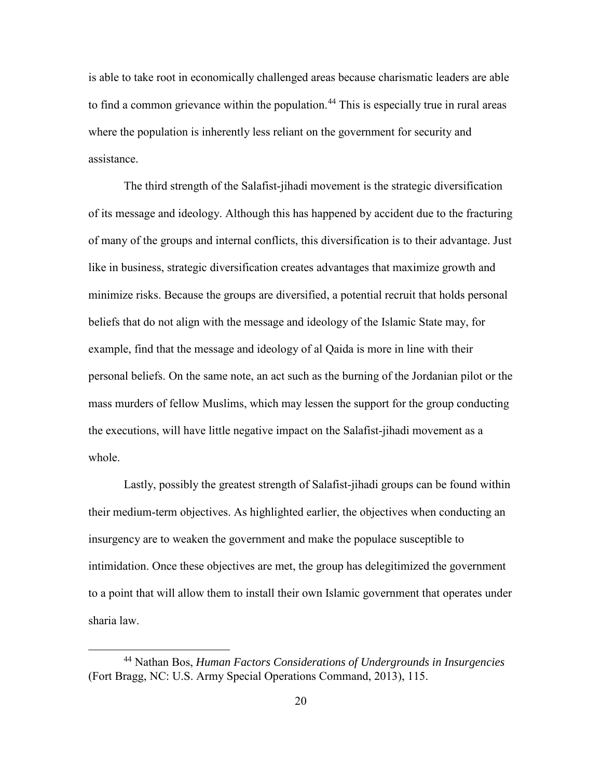is able to take root in economically challenged areas because charismatic leaders are able to find a common grievance within the population.<sup>[44](#page-28-0)</sup> This is especially true in rural areas where the population is inherently less reliant on the government for security and assistance.

The third strength of the Salafist-jihadi movement is the strategic diversification of its message and ideology. Although this has happened by accident due to the fracturing of many of the groups and internal conflicts, this diversification is to their advantage. Just like in business, strategic diversification creates advantages that maximize growth and minimize risks. Because the groups are diversified, a potential recruit that holds personal beliefs that do not align with the message and ideology of the Islamic State may, for example, find that the message and ideology of al Qaida is more in line with their personal beliefs. On the same note, an act such as the burning of the Jordanian pilot or the mass murders of fellow Muslims, which may lessen the support for the group conducting the executions, will have little negative impact on the Salafist-jihadi movement as a whole.

Lastly, possibly the greatest strength of Salafist-jihadi groups can be found within their medium-term objectives. As highlighted earlier, the objectives when conducting an insurgency are to weaken the government and make the populace susceptible to intimidation. Once these objectives are met, the group has delegitimized the government to a point that will allow them to install their own Islamic government that operates under sharia law.

<span id="page-28-0"></span> <sup>44</sup> Nathan Bos, *Human Factors Considerations of Undergrounds in Insurgencies* (Fort Bragg, NC: U.S. Army Special Operations Command, 2013), 115.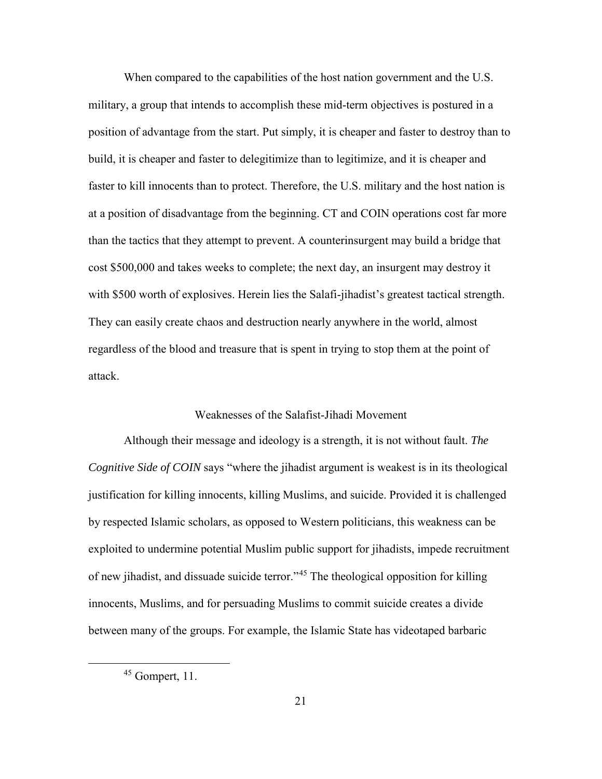When compared to the capabilities of the host nation government and the U.S. military, a group that intends to accomplish these mid-term objectives is postured in a position of advantage from the start. Put simply, it is cheaper and faster to destroy than to build, it is cheaper and faster to delegitimize than to legitimize, and it is cheaper and faster to kill innocents than to protect. Therefore, the U.S. military and the host nation is at a position of disadvantage from the beginning. CT and COIN operations cost far more than the tactics that they attempt to prevent. A counterinsurgent may build a bridge that cost \$500,000 and takes weeks to complete; the next day, an insurgent may destroy it with \$500 worth of explosives. Herein lies the Salafi-jihadist's greatest tactical strength. They can easily create chaos and destruction nearly anywhere in the world, almost regardless of the blood and treasure that is spent in trying to stop them at the point of attack.

## Weaknesses of the Salafist-Jihadi Movement

Although their message and ideology is a strength, it is not without fault. *The Cognitive Side of COIN* says "where the jihadist argument is weakest is in its theological justification for killing innocents, killing Muslims, and suicide. Provided it is challenged by respected Islamic scholars, as opposed to Western politicians, this weakness can be exploited to undermine potential Muslim public support for jihadists, impede recruitment of new jihadist, and dissuade suicide terror."[45](#page-29-0) The theological opposition for killing innocents, Muslims, and for persuading Muslims to commit suicide creates a divide between many of the groups. For example, the Islamic State has videotaped barbaric

<span id="page-29-0"></span> <sup>45</sup> Gompert, 11.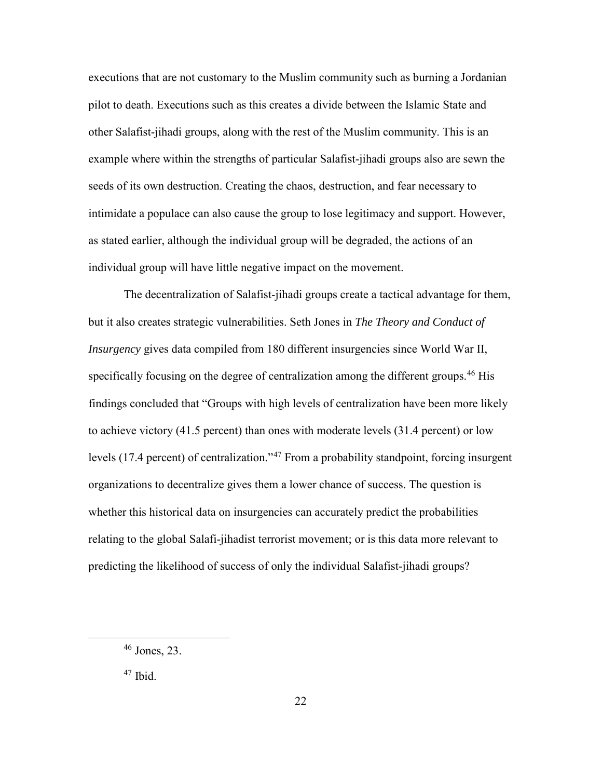executions that are not customary to the Muslim community such as burning a Jordanian pilot to death. Executions such as this creates a divide between the Islamic State and other Salafist-jihadi groups, along with the rest of the Muslim community. This is an example where within the strengths of particular Salafist-jihadi groups also are sewn the seeds of its own destruction. Creating the chaos, destruction, and fear necessary to intimidate a populace can also cause the group to lose legitimacy and support. However, as stated earlier, although the individual group will be degraded, the actions of an individual group will have little negative impact on the movement.

The decentralization of Salafist-jihadi groups create a tactical advantage for them, but it also creates strategic vulnerabilities. Seth Jones in *The Theory and Conduct of Insurgency* gives data compiled from 180 different insurgencies since World War II, specifically focusing on the degree of centralization among the different groups.<sup>[46](#page-30-0)</sup> His findings concluded that "Groups with high levels of centralization have been more likely to achieve victory (41.5 percent) than ones with moderate levels (31.4 percent) or low levels (17.4 percent) of centralization."<sup>47</sup> From a probability standpoint, forcing insurgent organizations to decentralize gives them a lower chance of success. The question is whether this historical data on insurgencies can accurately predict the probabilities relating to the global Salafi-jihadist terrorist movement; or is this data more relevant to predicting the likelihood of success of only the individual Salafist-jihadi groups?

<span id="page-30-0"></span> <sup>46</sup> Jones, 23.

<span id="page-30-1"></span> $47$  Ibid.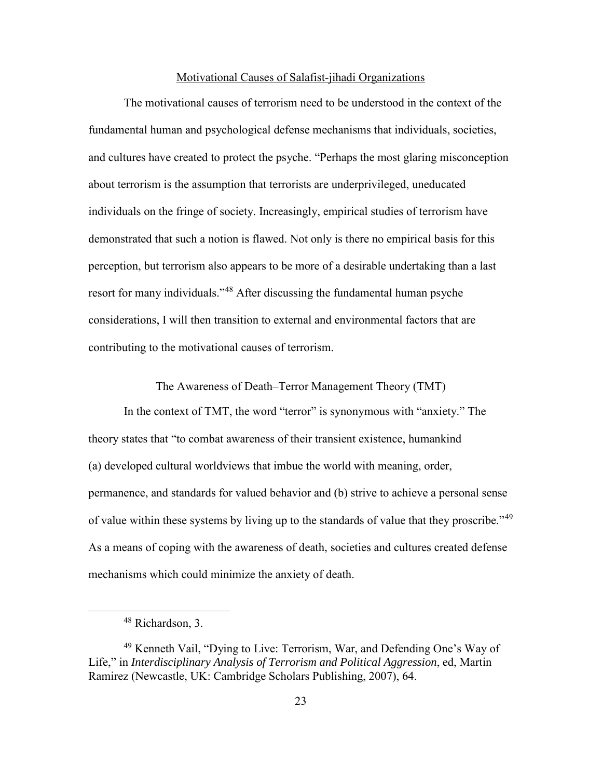#### Motivational Causes of Salafist-jihadi Organizations

The motivational causes of terrorism need to be understood in the context of the fundamental human and psychological defense mechanisms that individuals, societies, and cultures have created to protect the psyche. "Perhaps the most glaring misconception about terrorism is the assumption that terrorists are underprivileged, uneducated individuals on the fringe of society. Increasingly, empirical studies of terrorism have demonstrated that such a notion is flawed. Not only is there no empirical basis for this perception, but terrorism also appears to be more of a desirable undertaking than a last resort for many individuals."[48](#page-31-0) After discussing the fundamental human psyche considerations, I will then transition to external and environmental factors that are contributing to the motivational causes of terrorism.

The Awareness of Death–Terror Management Theory (TMT)

In the context of TMT, the word "terror" is synonymous with "anxiety." The theory states that "to combat awareness of their transient existence, humankind (a) developed cultural worldviews that imbue the world with meaning, order, permanence, and standards for valued behavior and (b) strive to achieve a personal sense of value within these systems by living up to the standards of value that they proscribe."<sup>[49](#page-31-1)</sup> As a means of coping with the awareness of death, societies and cultures created defense mechanisms which could minimize the anxiety of death.

 <sup>48</sup> Richardson, 3.

<span id="page-31-1"></span><span id="page-31-0"></span><sup>49</sup> Kenneth Vail, "Dying to Live: Terrorism, War, and Defending One's Way of Life," in *Interdisciplinary Analysis of Terrorism and Political Aggression*, ed, Martin Ramirez (Newcastle, UK: Cambridge Scholars Publishing, 2007), 64.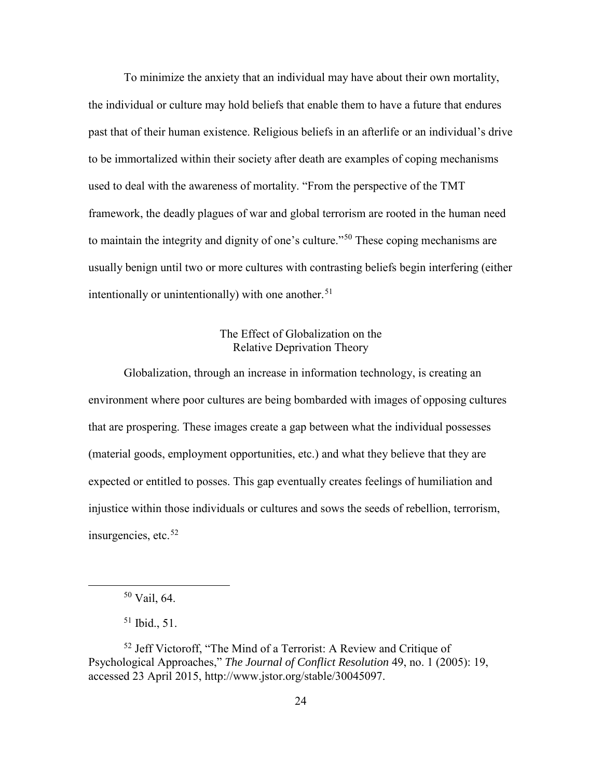To minimize the anxiety that an individual may have about their own mortality, the individual or culture may hold beliefs that enable them to have a future that endures past that of their human existence. Religious beliefs in an afterlife or an individual's drive to be immortalized within their society after death are examples of coping mechanisms used to deal with the awareness of mortality. "From the perspective of the TMT framework, the deadly plagues of war and global terrorism are rooted in the human need to maintain the integrity and dignity of one's culture."[50](#page-32-0) These coping mechanisms are usually benign until two or more cultures with contrasting beliefs begin interfering (either intentionally or unintentionally) with one another.<sup>51</sup>

## The Effect of Globalization on the Relative Deprivation Theory

Globalization, through an increase in information technology, is creating an environment where poor cultures are being bombarded with images of opposing cultures that are prospering. These images create a gap between what the individual possesses (material goods, employment opportunities, etc.) and what they believe that they are expected or entitled to posses. This gap eventually creates feelings of humiliation and injustice within those individuals or cultures and sows the seeds of rebellion, terrorism, insurgencies, etc. $52$ 

 <sup>50</sup> Vail, 64.

 $51$  Ibid.,  $51$ .

<span id="page-32-2"></span><span id="page-32-1"></span><span id="page-32-0"></span><sup>52</sup> Jeff Victoroff, "The Mind of a Terrorist: A Review and Critique of Psychological Approaches," *The Journal of Conflict Resolution* 49, no. 1 (2005): 19, accessed 23 April 2015, http://www.jstor.org/stable/30045097.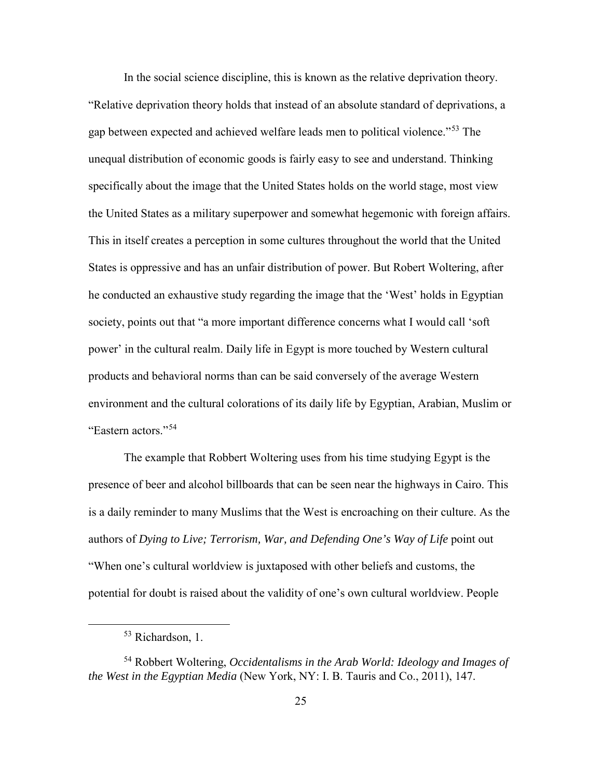In the social science discipline, this is known as the relative deprivation theory. "Relative deprivation theory holds that instead of an absolute standard of deprivations, a gap between expected and achieved welfare leads men to political violence."[53](#page-33-0) The unequal distribution of economic goods is fairly easy to see and understand. Thinking specifically about the image that the United States holds on the world stage, most view the United States as a military superpower and somewhat hegemonic with foreign affairs. This in itself creates a perception in some cultures throughout the world that the United States is oppressive and has an unfair distribution of power. But Robert Woltering, after he conducted an exhaustive study regarding the image that the 'West' holds in Egyptian society, points out that "a more important difference concerns what I would call 'soft power' in the cultural realm. Daily life in Egypt is more touched by Western cultural products and behavioral norms than can be said conversely of the average Western environment and the cultural colorations of its daily life by Egyptian, Arabian, Muslim or "Eastern actors<sup>"[54](#page-33-1)</sup>

The example that Robbert Woltering uses from his time studying Egypt is the presence of beer and alcohol billboards that can be seen near the highways in Cairo. This is a daily reminder to many Muslims that the West is encroaching on their culture. As the authors of *Dying to Live; Terrorism, War, and Defending One's Way of Life* point out "When one's cultural worldview is juxtaposed with other beliefs and customs, the potential for doubt is raised about the validity of one's own cultural worldview. People

<sup>&</sup>lt;sup>53</sup> Richardson, 1.

<span id="page-33-1"></span><span id="page-33-0"></span><sup>54</sup> Robbert Woltering, *Occidentalisms in the Arab World: Ideology and Images of the West in the Egyptian Media* (New York, NY: I. B. Tauris and Co., 2011), 147.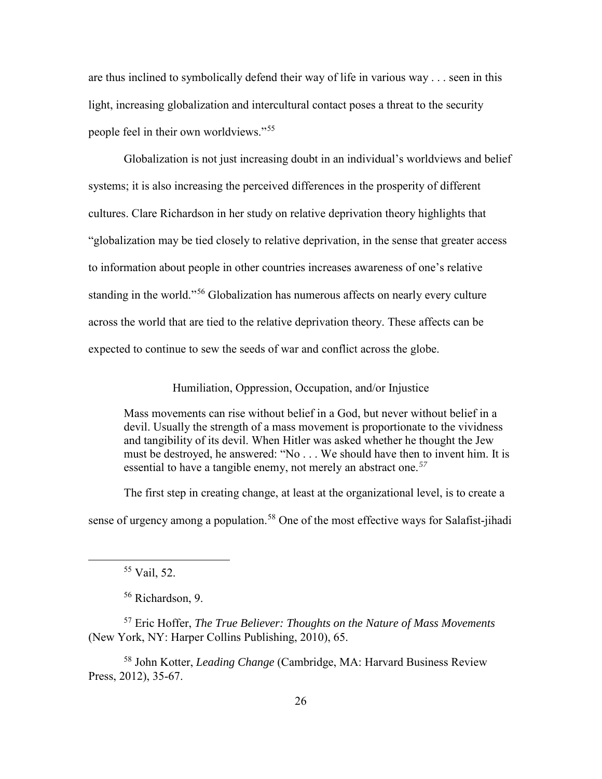are thus inclined to symbolically defend their way of life in various way . . . seen in this light, increasing globalization and intercultural contact poses a threat to the security people feel in their own worldviews."[55](#page-34-0) 

Globalization is not just increasing doubt in an individual's worldviews and belief systems; it is also increasing the perceived differences in the prosperity of different cultures. Clare Richardson in her study on relative deprivation theory highlights that "globalization may be tied closely to relative deprivation, in the sense that greater access to information about people in other countries increases awareness of one's relative standing in the world."<sup>56</sup> Globalization has numerous affects on nearly every culture across the world that are tied to the relative deprivation theory. These affects can be expected to continue to sew the seeds of war and conflict across the globe.

Humiliation, Oppression, Occupation, and/or Injustice

Mass movements can rise without belief in a God, but never without belief in a devil. Usually the strength of a mass movement is proportionate to the vividness and tangibility of its devil. When Hitler was asked whether he thought the Jew must be destroyed, he answered: "No . . . We should have then to invent him. It is essential to have a tangible enemy, not merely an abstract one.*[57](#page-34-2)*

The first step in creating change, at least at the organizational level, is to create a

sense of urgency among a population.<sup>[58](#page-34-3)</sup> One of the most effective ways for Salafist-jihadi

56 Richardson, 9.

<span id="page-34-2"></span><span id="page-34-1"></span><span id="page-34-0"></span><sup>57</sup> Eric Hoffer, *The True Believer: Thoughts on the Nature of Mass Movements* (New York, NY: Harper Collins Publishing, 2010), 65.

<span id="page-34-3"></span>58 John Kotter, *Leading Change* (Cambridge, MA: Harvard Business Review Press, 2012), 35-67.

 <sup>55</sup> Vail, 52.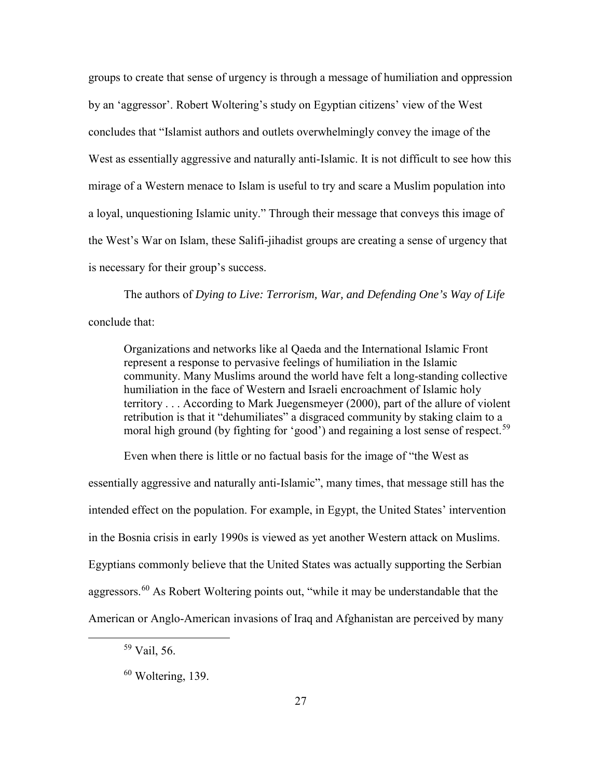groups to create that sense of urgency is through a message of humiliation and oppression by an 'aggressor'. Robert Woltering's study on Egyptian citizens' view of the West concludes that "Islamist authors and outlets overwhelmingly convey the image of the West as essentially aggressive and naturally anti-Islamic. It is not difficult to see how this mirage of a Western menace to Islam is useful to try and scare a Muslim population into a loyal, unquestioning Islamic unity." Through their message that conveys this image of the West's War on Islam, these Salifi-jihadist groups are creating a sense of urgency that is necessary for their group's success.

The authors of *Dying to Live: Terrorism, War, and Defending One's Way of Life* conclude that:

Organizations and networks like al Qaeda and the International Islamic Front represent a response to pervasive feelings of humiliation in the Islamic community. Many Muslims around the world have felt a long-standing collective humiliation in the face of Western and Israeli encroachment of Islamic holy territory . . . According to Mark Juegensmeyer (2000), part of the allure of violent retribution is that it "dehumiliates" a disgraced community by staking claim to a moral high ground (by fighting for 'good') and regaining a lost sense of respect.<sup>[59](#page-35-0)</sup>

Even when there is little or no factual basis for the image of "the West as essentially aggressive and naturally anti-Islamic", many times, that message still has the intended effect on the population. For example, in Egypt, the United States' intervention in the Bosnia crisis in early 1990s is viewed as yet another Western attack on Muslims. Egyptians commonly believe that the United States was actually supporting the Serbian aggressors.<sup>[60](#page-35-1)</sup> As Robert Woltering points out, "while it may be understandable that the American or Anglo-American invasions of Iraq and Afghanistan are perceived by many

<span id="page-35-0"></span> <sup>59</sup> Vail, 56.

<span id="page-35-1"></span> $60$  Woltering, 139.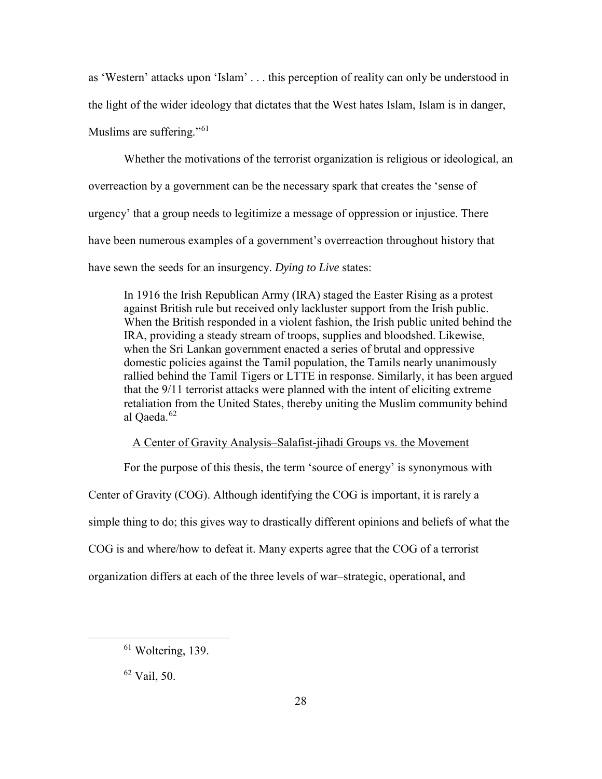as 'Western' attacks upon 'Islam' . . . this perception of reality can only be understood in the light of the wider ideology that dictates that the West hates Islam, Islam is in danger, Muslims are suffering."<sup>[61](#page-36-0)</sup>

Whether the motivations of the terrorist organization is religious or ideological, an overreaction by a government can be the necessary spark that creates the 'sense of urgency' that a group needs to legitimize a message of oppression or injustice. There have been numerous examples of a government's overreaction throughout history that have sewn the seeds for an insurgency. *Dying to Live* states:

In 1916 the Irish Republican Army (IRA) staged the Easter Rising as a protest against British rule but received only lackluster support from the Irish public. When the British responded in a violent fashion, the Irish public united behind the IRA, providing a steady stream of troops, supplies and bloodshed. Likewise, when the Sri Lankan government enacted a series of brutal and oppressive domestic policies against the Tamil population, the Tamils nearly unanimously rallied behind the Tamil Tigers or LTTE in response. Similarly, it has been argued that the 9/11 terrorist attacks were planned with the intent of eliciting extreme retaliation from the United States, thereby uniting the Muslim community behind al Oaeda.<sup>[62](#page-36-1)</sup>

## A Center of Gravity Analysis–Salafist-jihadi Groups vs. the Movement

For the purpose of this thesis, the term 'source of energy' is synonymous with Center of Gravity (COG). Although identifying the COG is important, it is rarely a simple thing to do; this gives way to drastically different opinions and beliefs of what the COG is and where/how to defeat it. Many experts agree that the COG of a terrorist organization differs at each of the three levels of war–strategic, operational, and

<span id="page-36-1"></span><sup>62</sup> Vail, 50.

<span id="page-36-0"></span><sup>&</sup>lt;sup>61</sup> Woltering, 139.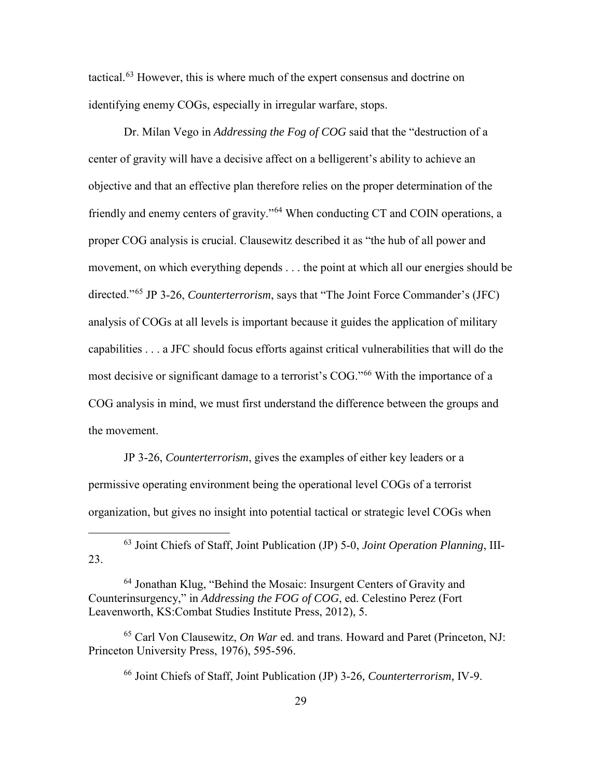tactical.<sup>[63](#page-37-0)</sup> However, this is where much of the expert consensus and doctrine on identifying enemy COGs, especially in irregular warfare, stops.

Dr. Milan Vego in *Addressing the Fog of COG* said that the "destruction of a center of gravity will have a decisive affect on a belligerent's ability to achieve an objective and that an effective plan therefore relies on the proper determination of the friendly and enemy centers of gravity."[64](#page-37-1) When conducting CT and COIN operations, a proper COG analysis is crucial. Clausewitz described it as "the hub of all power and movement, on which everything depends . . . the point at which all our energies should be directed."[65](#page-37-2) JP 3-26, *Counterterrorism*, says that "The Joint Force Commander's (JFC) analysis of COGs at all levels is important because it guides the application of military capabilities . . . a JFC should focus efforts against critical vulnerabilities that will do the most decisive or significant damage to a terrorist's COG."[66](#page-37-3) With the importance of a COG analysis in mind, we must first understand the difference between the groups and the movement.

JP 3-26, *Counterterrorism*, gives the examples of either key leaders or a permissive operating environment being the operational level COGs of a terrorist organization, but gives no insight into potential tactical or strategic level COGs when

<span id="page-37-3"></span><span id="page-37-2"></span>65 Carl Von Clausewitz, *On War* ed. and trans. Howard and Paret (Princeton, NJ: Princeton University Press, 1976), 595-596.

<span id="page-37-0"></span> <sup>63</sup> Joint Chiefs of Staff, Joint Publication (JP) 5-0, *Joint Operation Planning*, III-23.

<span id="page-37-1"></span><sup>&</sup>lt;sup>64</sup> Jonathan Klug, "Behind the Mosaic: Insurgent Centers of Gravity and Counterinsurgency," in *Addressing the FOG of COG*, ed. Celestino Perez (Fort Leavenworth, KS:Combat Studies Institute Press, 2012), 5.

<sup>66</sup> Joint Chiefs of Staff, Joint Publication (JP) 3-26*, Counterterrorism,* IV-9.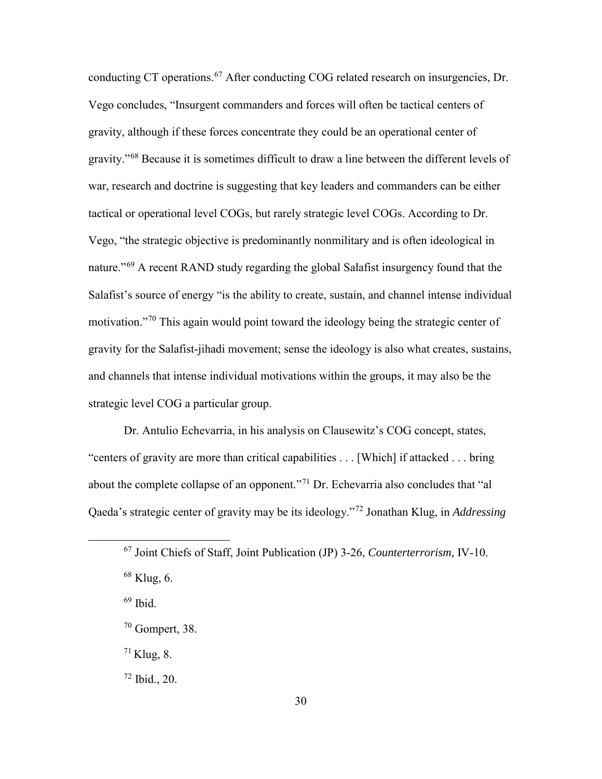conducting CT operations.<sup>[67](#page-38-0)</sup> After conducting COG related research on insurgencies, Dr. Vego concludes, "Insurgent commanders and forces will often be tactical centers of gravity, although if these forces concentrate they could be an operational center of gravity."[68](#page-38-1) Because it is sometimes difficult to draw a line between the different levels of war, research and doctrine is suggesting that key leaders and commanders can be either tactical or operational level COGs, but rarely strategic level COGs. According to Dr. Vego, "the strategic objective is predominantly nonmilitary and is often ideological in nature."[69](#page-38-2) A recent RAND study regarding the global Salafist insurgency found that the Salafist's source of energy "is the ability to create, sustain, and channel intense individual motivation."<sup>[70](#page-38-3)</sup> This again would point toward the ideology being the strategic center of gravity for the Salafist-jihadi movement; sense the ideology is also what creates, sustains, and channels that intense individual motivations within the groups, it may also be the strategic level COG a particular group.

Dr. Antulio Echevarria, in his analysis on Clausewitz's COG concept, states, "centers of gravity are more than critical capabilities . . . [Which] if attacked . . . bring about the complete collapse of an opponent."[71](#page-38-4) Dr. Echevarria also concludes that "al Qaeda's strategic center of gravity may be its ideology."[72](#page-38-5) Jonathan Klug, in *Addressing* 

<span id="page-38-1"></span> $68$  Klug, 6.

<span id="page-38-2"></span> $69$  Ibid.

<span id="page-38-4"></span> $71$  Klug, 8.

<span id="page-38-5"></span> $72$  Ibid., 20.

<span id="page-38-0"></span> <sup>67</sup> Joint Chiefs of Staff, Joint Publication (JP) 3-26, *Counterterrorism,* IV-10.

<span id="page-38-3"></span><sup>70</sup> Gompert, 38.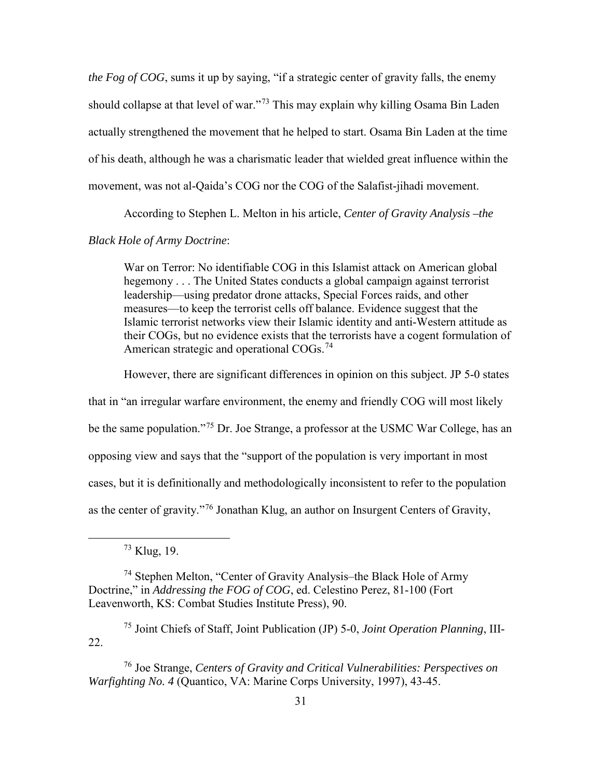*the Fog of COG*, sums it up by saying, "if a strategic center of gravity falls, the enemy should collapse at that level of war."<sup>[73](#page-39-0)</sup> This may explain why killing Osama Bin Laden actually strengthened the movement that he helped to start. Osama Bin Laden at the time of his death, although he was a charismatic leader that wielded great influence within the movement, was not al-Qaida's COG nor the COG of the Salafist-jihadi movement.

According to Stephen L. Melton in his article, *Center of Gravity Analysis –the* 

## *Black Hole of Army Doctrine*:

War on Terror: No identifiable COG in this Islamist attack on American global hegemony . . . The United States conducts a global campaign against terrorist leadership—using predator drone attacks, Special Forces raids, and other measures—to keep the terrorist cells off balance. Evidence suggest that the Islamic terrorist networks view their Islamic identity and anti-Western attitude as their COGs, but no evidence exists that the terrorists have a cogent formulation of American strategic and operational COGs.<sup>[74](#page-39-1)</sup>

However, there are significant differences in opinion on this subject. JP 5-0 states

that in "an irregular warfare environment, the enemy and friendly COG will most likely

be the same population."[75](#page-39-2) Dr. Joe Strange, a professor at the USMC War College, has an

opposing view and says that the "support of the population is very important in most

cases, but it is definitionally and methodologically inconsistent to refer to the population

as the center of gravity."[76](#page-39-3) Jonathan Klug, an author on Insurgent Centers of Gravity,

 <sup>73</sup> Klug, 19.

<span id="page-39-1"></span><span id="page-39-0"></span><sup>74</sup> Stephen Melton, "Center of Gravity Analysis–the Black Hole of Army Doctrine," in *Addressing the FOG of COG*, ed. Celestino Perez, 81-100 (Fort Leavenworth, KS: Combat Studies Institute Press), 90.

<span id="page-39-2"></span><sup>75</sup> Joint Chiefs of Staff, Joint Publication (JP) 5-0, *Joint Operation Planning*, III-22.

<span id="page-39-3"></span><sup>76</sup> Joe Strange, *Centers of Gravity and Critical Vulnerabilities: Perspectives on Warfighting No. 4* (Quantico, VA: Marine Corps University, 1997), 43-45.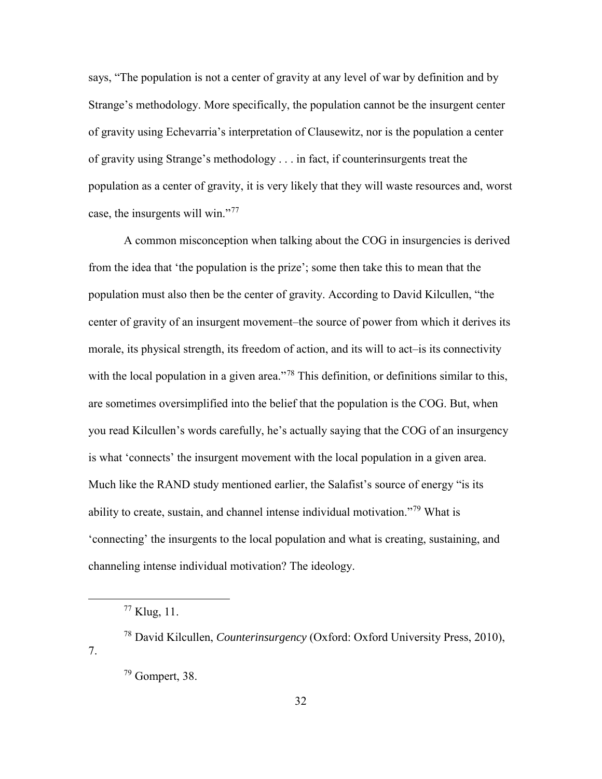says, "The population is not a center of gravity at any level of war by definition and by Strange's methodology. More specifically, the population cannot be the insurgent center of gravity using Echevarria's interpretation of Clausewitz, nor is the population a center of gravity using Strange's methodology . . . in fact, if counterinsurgents treat the population as a center of gravity, it is very likely that they will waste resources and, worst case, the insurgents will win."<sup>[77](#page-40-0)</sup>

A common misconception when talking about the COG in insurgencies is derived from the idea that 'the population is the prize'; some then take this to mean that the population must also then be the center of gravity. According to David Kilcullen, "the center of gravity of an insurgent movement–the source of power from which it derives its morale, its physical strength, its freedom of action, and its will to act–is its connectivity with the local population in a given area."<sup>[78](#page-40-1)</sup> This definition, or definitions similar to this, are sometimes oversimplified into the belief that the population is the COG. But, when you read Kilcullen's words carefully, he's actually saying that the COG of an insurgency is what 'connects' the insurgent movement with the local population in a given area. Much like the RAND study mentioned earlier, the Salafist's source of energy "is its ability to create, sustain, and channel intense individual motivation."[79](#page-40-2) What is 'connecting' the insurgents to the local population and what is creating, sustaining, and channeling intense individual motivation? The ideology.

 $77$  Klug, 11.

<span id="page-40-2"></span><span id="page-40-1"></span><span id="page-40-0"></span><sup>78</sup> David Kilcullen, *Counterinsurgency* (Oxford: Oxford University Press, 2010), 7.

 $79$  Gompert, 38.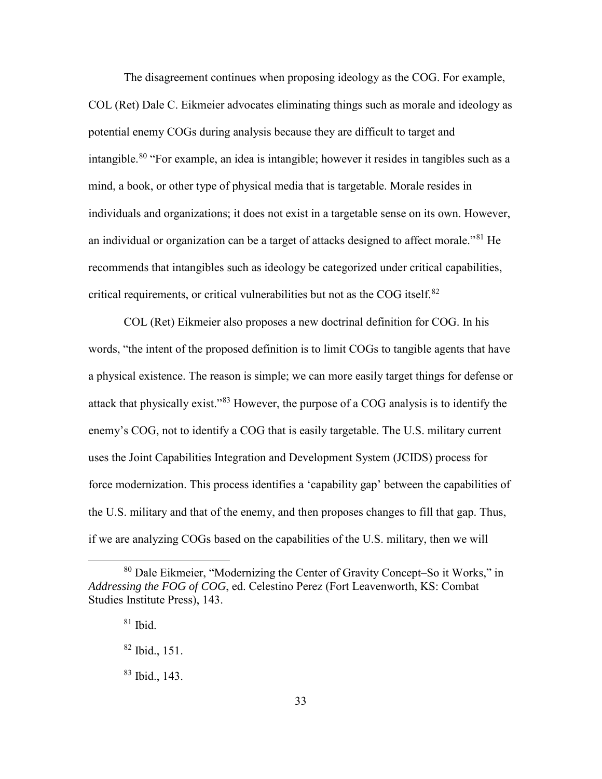The disagreement continues when proposing ideology as the COG. For example, COL (Ret) Dale C. Eikmeier advocates eliminating things such as morale and ideology as potential enemy COGs during analysis because they are difficult to target and intangible.<sup>[80](#page-41-0)</sup> "For example, an idea is intangible; however it resides in tangibles such as a mind, a book, or other type of physical media that is targetable. Morale resides in individuals and organizations; it does not exist in a targetable sense on its own. However, an individual or organization can be a target of attacks designed to affect morale."[81](#page-41-1) He recommends that intangibles such as ideology be categorized under critical capabilities, critical requirements, or critical vulnerabilities but not as the COG itself.<sup>[82](#page-41-2)</sup>

COL (Ret) Eikmeier also proposes a new doctrinal definition for COG. In his words, "the intent of the proposed definition is to limit COGs to tangible agents that have a physical existence. The reason is simple; we can more easily target things for defense or attack that physically exist."[83](#page-41-3) However, the purpose of a COG analysis is to identify the enemy's COG, not to identify a COG that is easily targetable. The U.S. military current uses the Joint Capabilities Integration and Development System (JCIDS) process for force modernization. This process identifies a 'capability gap' between the capabilities of the U.S. military and that of the enemy, and then proposes changes to fill that gap. Thus, if we are analyzing COGs based on the capabilities of the U.S. military, then we will

<span id="page-41-2"></span><span id="page-41-1"></span><span id="page-41-0"></span> <sup>80</sup> Dale Eikmeier, "Modernizing the Center of Gravity Concept–So it Works," in *Addressing the FOG of COG*, ed. Celestino Perez (Fort Leavenworth, KS: Combat Studies Institute Press), 143.

 $81$  Ibid.

<sup>82</sup> Ibid., 151.

<span id="page-41-3"></span><sup>83</sup> Ibid., 143.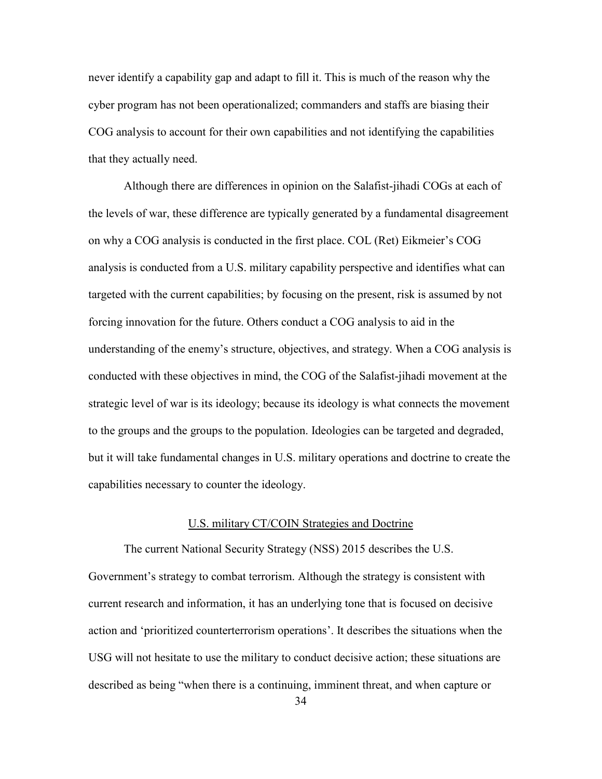never identify a capability gap and adapt to fill it. This is much of the reason why the cyber program has not been operationalized; commanders and staffs are biasing their COG analysis to account for their own capabilities and not identifying the capabilities that they actually need.

Although there are differences in opinion on the Salafist-jihadi COGs at each of the levels of war, these difference are typically generated by a fundamental disagreement on why a COG analysis is conducted in the first place. COL (Ret) Eikmeier's COG analysis is conducted from a U.S. military capability perspective and identifies what can targeted with the current capabilities; by focusing on the present, risk is assumed by not forcing innovation for the future. Others conduct a COG analysis to aid in the understanding of the enemy's structure, objectives, and strategy. When a COG analysis is conducted with these objectives in mind, the COG of the Salafist-jihadi movement at the strategic level of war is its ideology; because its ideology is what connects the movement to the groups and the groups to the population. Ideologies can be targeted and degraded, but it will take fundamental changes in U.S. military operations and doctrine to create the capabilities necessary to counter the ideology.

#### U.S. military CT/COIN Strategies and Doctrine

The current National Security Strategy (NSS) 2015 describes the U.S. Government's strategy to combat terrorism. Although the strategy is consistent with current research and information, it has an underlying tone that is focused on decisive action and 'prioritized counterterrorism operations'. It describes the situations when the USG will not hesitate to use the military to conduct decisive action; these situations are described as being "when there is a continuing, imminent threat, and when capture or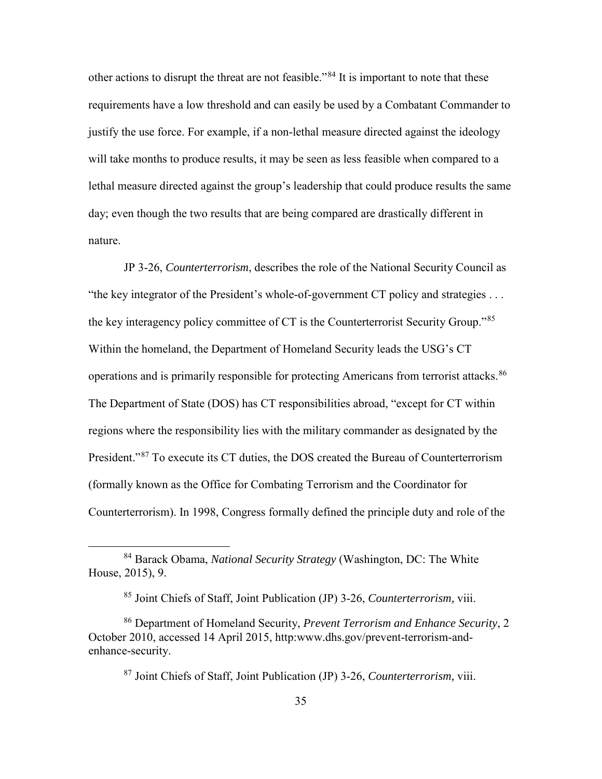other actions to disrupt the threat are not feasible."[84](#page-43-0) It is important to note that these requirements have a low threshold and can easily be used by a Combatant Commander to justify the use force. For example, if a non-lethal measure directed against the ideology will take months to produce results, it may be seen as less feasible when compared to a lethal measure directed against the group's leadership that could produce results the same day; even though the two results that are being compared are drastically different in nature.

JP 3-26, *Counterterrorism*, describes the role of the National Security Council as "the key integrator of the President's whole-of-government CT policy and strategies . . . the key interagency policy committee of CT is the Counterterrorist Security Group."[85](#page-43-1) Within the homeland, the Department of Homeland Security leads the USG's CT operations and is primarily responsible for protecting Americans from terrorist attacks.<sup>[86](#page-43-2)</sup> The Department of State (DOS) has CT responsibilities abroad, "except for CT within regions where the responsibility lies with the military commander as designated by the President."<sup>[87](#page-43-3)</sup> To execute its CT duties, the DOS created the Bureau of Counterterrorism (formally known as the Office for Combating Terrorism and the Coordinator for Counterterrorism). In 1998, Congress formally defined the principle duty and role of the

<span id="page-43-0"></span> <sup>84</sup> Barack Obama, *National Security Strategy* (Washington, DC: The White House, 2015), 9.

<sup>85</sup> Joint Chiefs of Staff, Joint Publication (JP) 3-26, *Counterterrorism,* viii.

<span id="page-43-3"></span><span id="page-43-2"></span><span id="page-43-1"></span><sup>86</sup> Department of Homeland Security, *Prevent Terrorism and Enhance Security*, 2 October 2010, accessed 14 April 2015, http:www.dhs.gov/prevent-terrorism-andenhance-security.

<sup>87</sup> Joint Chiefs of Staff, Joint Publication (JP) 3-26, *Counterterrorism,* viii.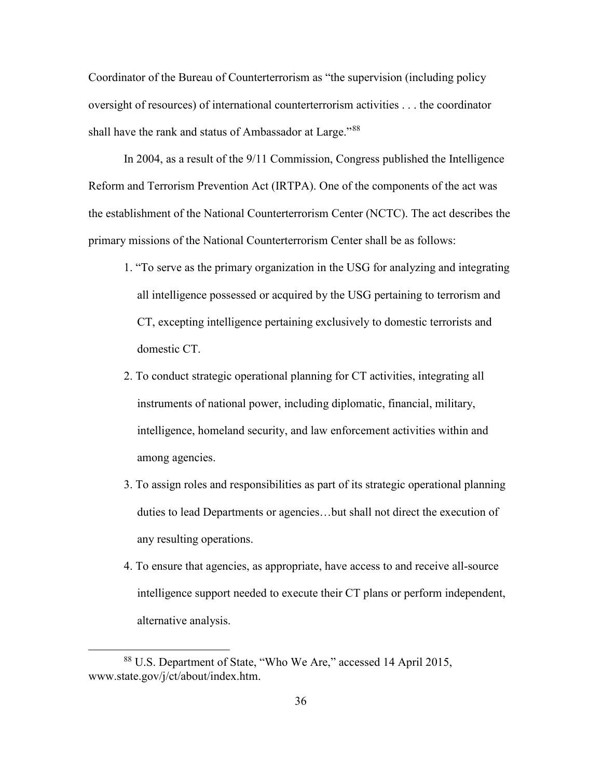Coordinator of the Bureau of Counterterrorism as "the supervision (including policy oversight of resources) of international counterterrorism activities . . . the coordinator shall have the rank and status of Ambassador at Large."<sup>88</sup>

In 2004, as a result of the 9/11 Commission, Congress published the Intelligence Reform and Terrorism Prevention Act (IRTPA). One of the components of the act was the establishment of the National Counterterrorism Center (NCTC). The act describes the primary missions of the National Counterterrorism Center shall be as follows:

- 1. "To serve as the primary organization in the USG for analyzing and integrating all intelligence possessed or acquired by the USG pertaining to terrorism and CT, excepting intelligence pertaining exclusively to domestic terrorists and domestic CT.
- 2. To conduct strategic operational planning for CT activities, integrating all instruments of national power, including diplomatic, financial, military, intelligence, homeland security, and law enforcement activities within and among agencies.
- 3. To assign roles and responsibilities as part of its strategic operational planning duties to lead Departments or agencies…but shall not direct the execution of any resulting operations.
- 4. To ensure that agencies, as appropriate, have access to and receive all-source intelligence support needed to execute their CT plans or perform independent, alternative analysis.

<span id="page-44-0"></span> <sup>88</sup> U.S. Department of State, "Who We Are," accessed 14 April 2015, www.state.gov/j/ct/about/index.htm.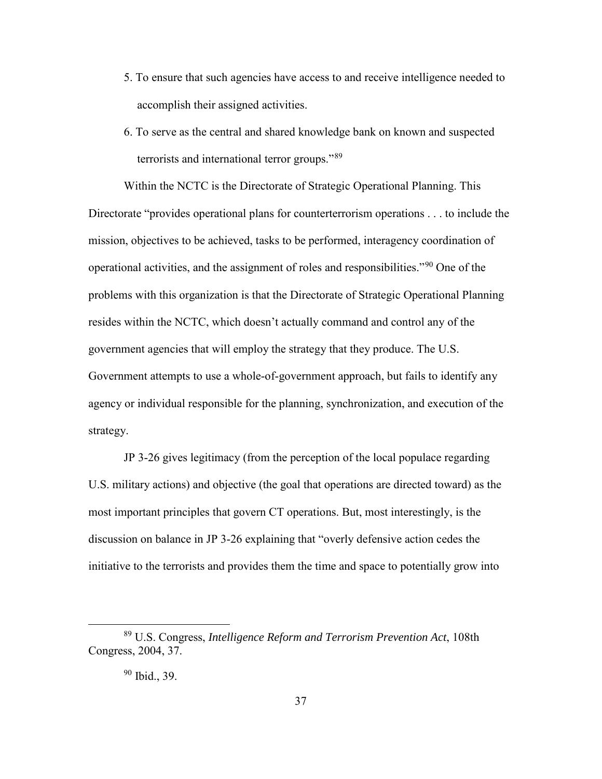- 5. To ensure that such agencies have access to and receive intelligence needed to accomplish their assigned activities.
- 6. To serve as the central and shared knowledge bank on known and suspected terrorists and international terror groups."[89](#page-45-0)

Within the NCTC is the Directorate of Strategic Operational Planning. This Directorate "provides operational plans for counterterrorism operations . . . to include the mission, objectives to be achieved, tasks to be performed, interagency coordination of operational activities, and the assignment of roles and responsibilities."[90](#page-45-1) One of the problems with this organization is that the Directorate of Strategic Operational Planning resides within the NCTC, which doesn't actually command and control any of the government agencies that will employ the strategy that they produce. The U.S. Government attempts to use a whole-of-government approach, but fails to identify any agency or individual responsible for the planning, synchronization, and execution of the strategy.

JP 3-26 gives legitimacy (from the perception of the local populace regarding U.S. military actions) and objective (the goal that operations are directed toward) as the most important principles that govern CT operations. But, most interestingly, is the discussion on balance in JP 3-26 explaining that "overly defensive action cedes the initiative to the terrorists and provides them the time and space to potentially grow into

<span id="page-45-1"></span><span id="page-45-0"></span> <sup>89</sup> U.S. Congress, *Intelligence Reform and Terrorism Prevention Act*, 108th Congress, 2004, 37.

<sup>90</sup> Ibid., 39.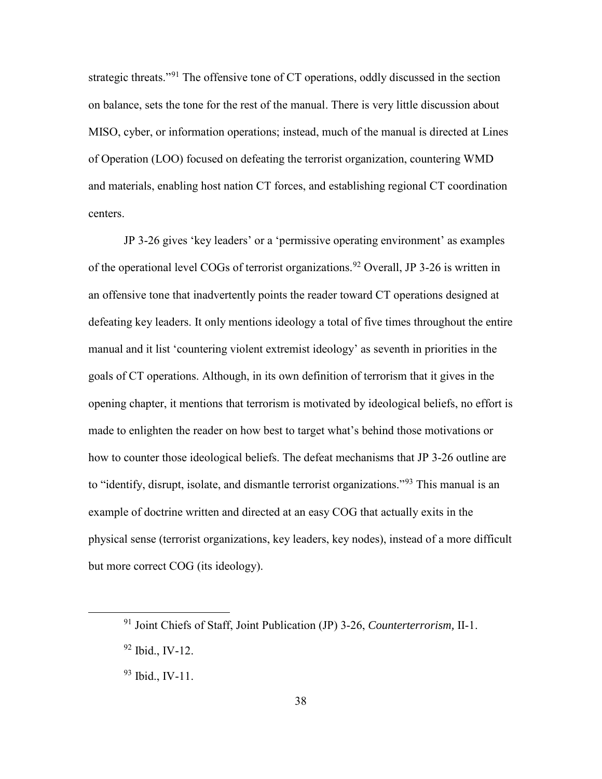strategic threats."[91](#page-46-0) The offensive tone of CT operations, oddly discussed in the section on balance, sets the tone for the rest of the manual. There is very little discussion about MISO, cyber, or information operations; instead, much of the manual is directed at Lines of Operation (LOO) focused on defeating the terrorist organization, countering WMD and materials, enabling host nation CT forces, and establishing regional CT coordination centers.

JP 3-26 gives 'key leaders' or a 'permissive operating environment' as examples of the operational level COGs of terrorist organizations.<sup>[92](#page-46-1)</sup> Overall, JP 3-26 is written in an offensive tone that inadvertently points the reader toward CT operations designed at defeating key leaders. It only mentions ideology a total of five times throughout the entire manual and it list 'countering violent extremist ideology' as seventh in priorities in the goals of CT operations. Although, in its own definition of terrorism that it gives in the opening chapter, it mentions that terrorism is motivated by ideological beliefs, no effort is made to enlighten the reader on how best to target what's behind those motivations or how to counter those ideological beliefs. The defeat mechanisms that JP 3-26 outline are to "identify, disrupt, isolate, and dismantle terrorist organizations."<sup>[93](#page-46-2)</sup> This manual is an example of doctrine written and directed at an easy COG that actually exits in the physical sense (terrorist organizations, key leaders, key nodes), instead of a more difficult but more correct COG (its ideology).

<span id="page-46-0"></span> <sup>91</sup> Joint Chiefs of Staff, Joint Publication (JP) 3-26, *Counterterrorism,* II-1.

<span id="page-46-1"></span><sup>92</sup> Ibid., IV-12.

<span id="page-46-2"></span> $93$  Ibid., IV-11.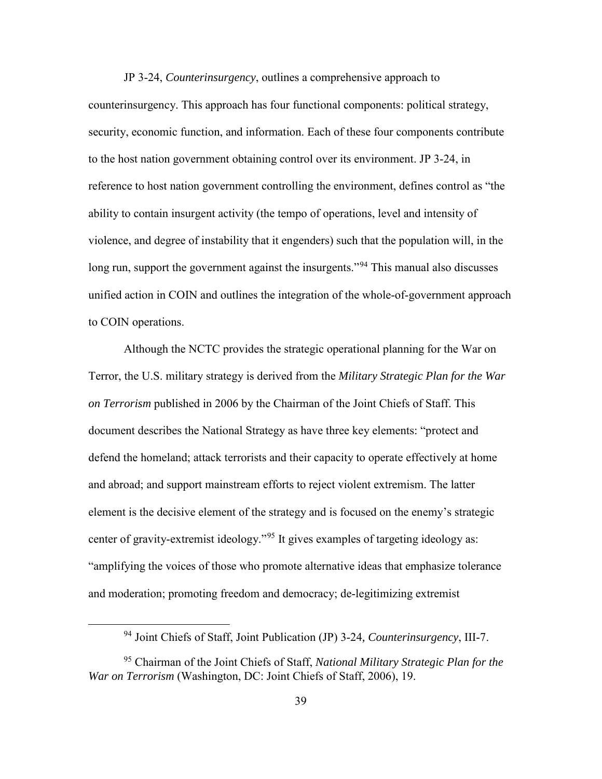JP 3-24, *Counterinsurgency*, outlines a comprehensive approach to counterinsurgency. This approach has four functional components: political strategy, security, economic function, and information. Each of these four components contribute to the host nation government obtaining control over its environment. JP 3-24, in reference to host nation government controlling the environment, defines control as "the ability to contain insurgent activity (the tempo of operations, level and intensity of violence, and degree of instability that it engenders) such that the population will, in the long run, support the government against the insurgents.<sup>"[94](#page-47-0)</sup> This manual also discusses unified action in COIN and outlines the integration of the whole-of-government approach to COIN operations.

Although the NCTC provides the strategic operational planning for the War on Terror, the U.S. military strategy is derived from the *Military Strategic Plan for the War on Terrorism* published in 2006 by the Chairman of the Joint Chiefs of Staff. This document describes the National Strategy as have three key elements: "protect and defend the homeland; attack terrorists and their capacity to operate effectively at home and abroad; and support mainstream efforts to reject violent extremism. The latter element is the decisive element of the strategy and is focused on the enemy's strategic center of gravity-extremist ideology."[95](#page-47-1) It gives examples of targeting ideology as: "amplifying the voices of those who promote alternative ideas that emphasize tolerance and moderation; promoting freedom and democracy; de-legitimizing extremist

 <sup>94</sup> Joint Chiefs of Staff, Joint Publication (JP) 3-24*, Counterinsurgency*, III-7.

<span id="page-47-1"></span><span id="page-47-0"></span><sup>95</sup> Chairman of the Joint Chiefs of Staff, *National Military Strategic Plan for the War on Terrorism* (Washington, DC: Joint Chiefs of Staff, 2006), 19.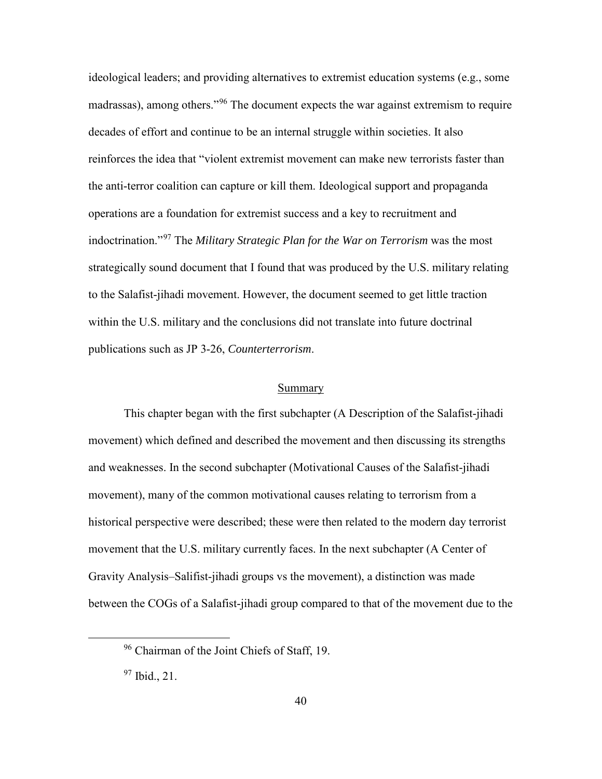ideological leaders; and providing alternatives to extremist education systems (e.g., some madrassas), among others."<sup>[96](#page-48-0)</sup> The document expects the war against extremism to require decades of effort and continue to be an internal struggle within societies. It also reinforces the idea that "violent extremist movement can make new terrorists faster than the anti-terror coalition can capture or kill them. Ideological support and propaganda operations are a foundation for extremist success and a key to recruitment and indoctrination."[97](#page-48-1) The *Military Strategic Plan for the War on Terrorism* was the most strategically sound document that I found that was produced by the U.S. military relating to the Salafist-jihadi movement. However, the document seemed to get little traction within the U.S. military and the conclusions did not translate into future doctrinal publications such as JP 3-26, *Counterterrorism*.

#### Summary

This chapter began with the first subchapter (A Description of the Salafist-jihadi movement) which defined and described the movement and then discussing its strengths and weaknesses. In the second subchapter (Motivational Causes of the Salafist-jihadi movement), many of the common motivational causes relating to terrorism from a historical perspective were described; these were then related to the modern day terrorist movement that the U.S. military currently faces. In the next subchapter (A Center of Gravity Analysis–Salifist-jihadi groups vs the movement), a distinction was made between the COGs of a Salafist-jihadi group compared to that of the movement due to the

<span id="page-48-0"></span> <sup>96</sup> Chairman of the Joint Chiefs of Staff, 19.

<span id="page-48-1"></span> $97$  Ibid., 21.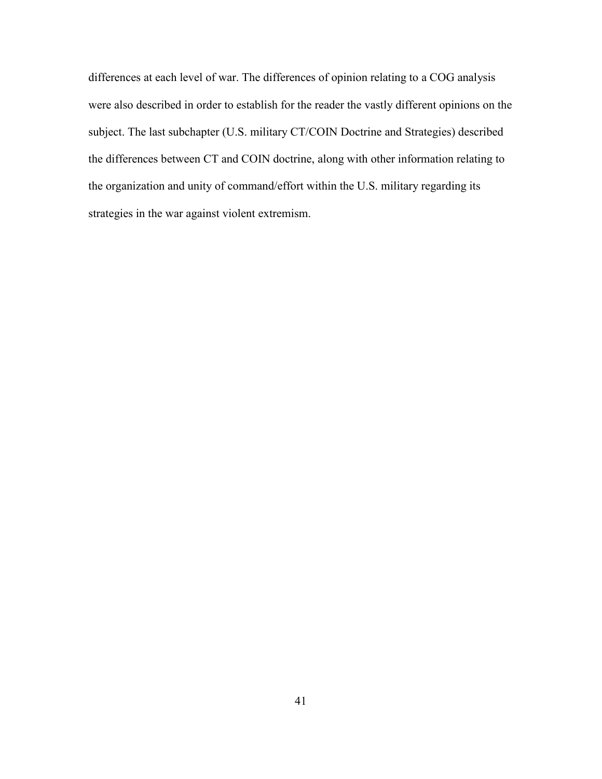differences at each level of war. The differences of opinion relating to a COG analysis were also described in order to establish for the reader the vastly different opinions on the subject. The last subchapter (U.S. military CT/COIN Doctrine and Strategies) described the differences between CT and COIN doctrine, along with other information relating to the organization and unity of command/effort within the U.S. military regarding its strategies in the war against violent extremism.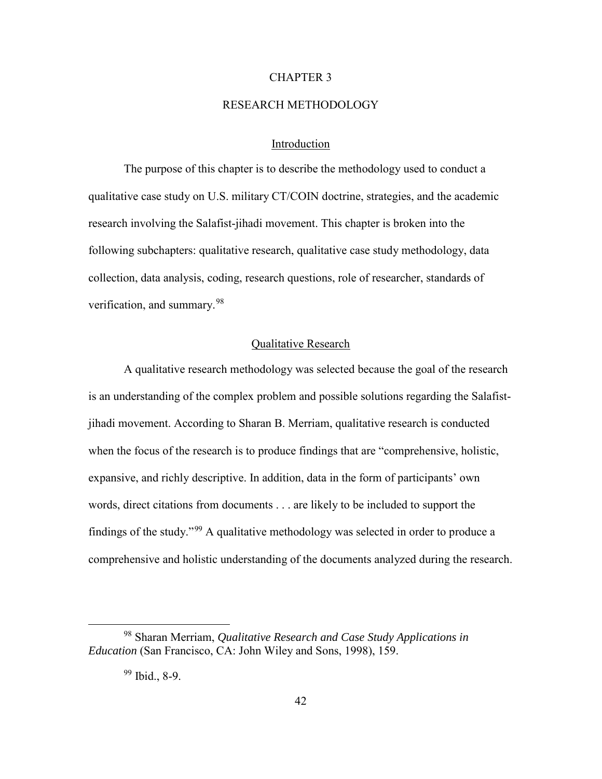## CHAPTER 3

## RESEARCH METHODOLOGY

## Introduction

The purpose of this chapter is to describe the methodology used to conduct a qualitative case study on U.S. military CT/COIN doctrine, strategies, and the academic research involving the Salafist-jihadi movement. This chapter is broken into the following subchapters: qualitative research, qualitative case study methodology, data collection, data analysis, coding, research questions, role of researcher, standards of verification, and summary.[98](#page-50-0)

## Qualitative Research

A qualitative research methodology was selected because the goal of the research is an understanding of the complex problem and possible solutions regarding the Salafistjihadi movement. According to Sharan B. Merriam, qualitative research is conducted when the focus of the research is to produce findings that are "comprehensive, holistic, expansive, and richly descriptive. In addition, data in the form of participants' own words, direct citations from documents . . . are likely to be included to support the findings of the study."[99](#page-50-1) A qualitative methodology was selected in order to produce a comprehensive and holistic understanding of the documents analyzed during the research.

<span id="page-50-1"></span><span id="page-50-0"></span> <sup>98</sup> Sharan Merriam, *Qualitative Research and Case Study Applications in Education* (San Francisco, CA: John Wiley and Sons, 1998), 159.

<sup>99</sup> Ibid., 8-9.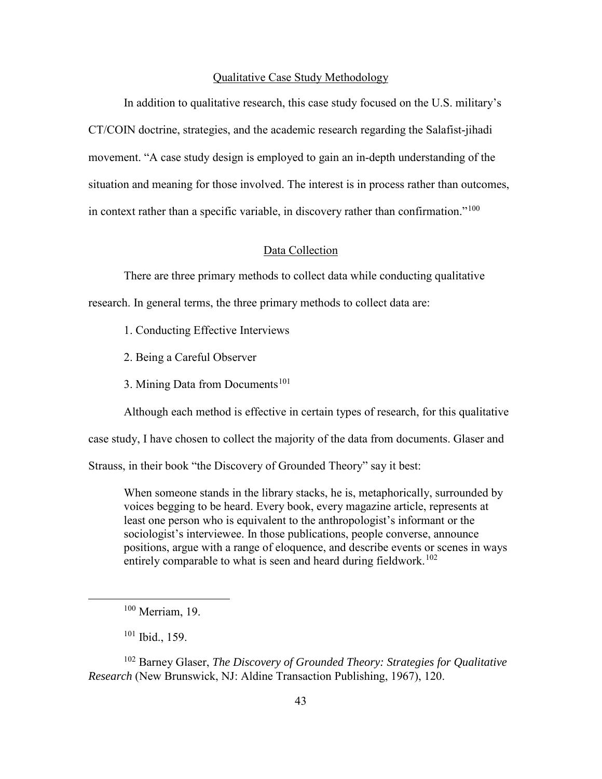#### Qualitative Case Study Methodology

In addition to qualitative research, this case study focused on the U.S. military's CT/COIN doctrine, strategies, and the academic research regarding the Salafist-jihadi movement. "A case study design is employed to gain an in-depth understanding of the situation and meaning for those involved. The interest is in process rather than outcomes, in context rather than a specific variable, in discovery rather than confirmation."<sup>[100](#page-51-0)</sup>

## Data Collection

There are three primary methods to collect data while conducting qualitative

research. In general terms, the three primary methods to collect data are:

- 1. Conducting Effective Interviews
- 2. Being a Careful Observer
- 3. Mining Data from Documents<sup>[101](#page-51-1)</sup>

Although each method is effective in certain types of research, for this qualitative

case study, I have chosen to collect the majority of the data from documents. Glaser and

Strauss, in their book "the Discovery of Grounded Theory" say it best:

When someone stands in the library stacks, he is, metaphorically, surrounded by voices begging to be heard. Every book, every magazine article, represents at least one person who is equivalent to the anthropologist's informant or the sociologist's interviewee. In those publications, people converse, announce positions, argue with a range of eloquence, and describe events or scenes in ways entirely comparable to what is seen and heard during fieldwork.<sup>[102](#page-51-2)</sup>

<span id="page-51-2"></span><span id="page-51-1"></span><span id="page-51-0"></span><sup>102</sup> Barney Glaser, *The Discovery of Grounded Theory: Strategies for Qualitative Research* (New Brunswick, NJ: Aldine Transaction Publishing, 1967), 120.

 <sup>100</sup> Merriam, 19.

 $101$  Ibid., 159.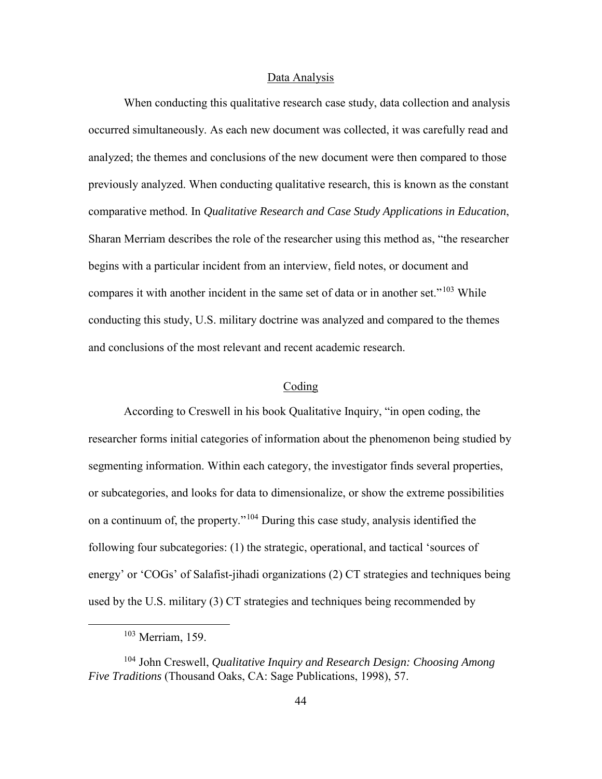#### Data Analysis

When conducting this qualitative research case study, data collection and analysis occurred simultaneously. As each new document was collected, it was carefully read and analyzed; the themes and conclusions of the new document were then compared to those previously analyzed. When conducting qualitative research, this is known as the constant comparative method. In *Qualitative Research and Case Study Applications in Education*, Sharan Merriam describes the role of the researcher using this method as, "the researcher begins with a particular incident from an interview, field notes, or document and compares it with another incident in the same set of data or in another set."<sup>[103](#page-52-0)</sup> While conducting this study, U.S. military doctrine was analyzed and compared to the themes and conclusions of the most relevant and recent academic research.

## Coding

According to Creswell in his book Qualitative Inquiry, "in open coding, the researcher forms initial categories of information about the phenomenon being studied by segmenting information. Within each category, the investigator finds several properties, or subcategories, and looks for data to dimensionalize, or show the extreme possibilities on a continuum of, the property."[104](#page-52-1) During this case study, analysis identified the following four subcategories: (1) the strategic, operational, and tactical 'sources of energy' or 'COGs' of Salafist-jihadi organizations (2) CT strategies and techniques being used by the U.S. military (3) CT strategies and techniques being recommended by

 <sup>103</sup> Merriam, 159.

<span id="page-52-1"></span><span id="page-52-0"></span><sup>104</sup> John Creswell, *Qualitative Inquiry and Research Design: Choosing Among Five Traditions* (Thousand Oaks, CA: Sage Publications, 1998), 57.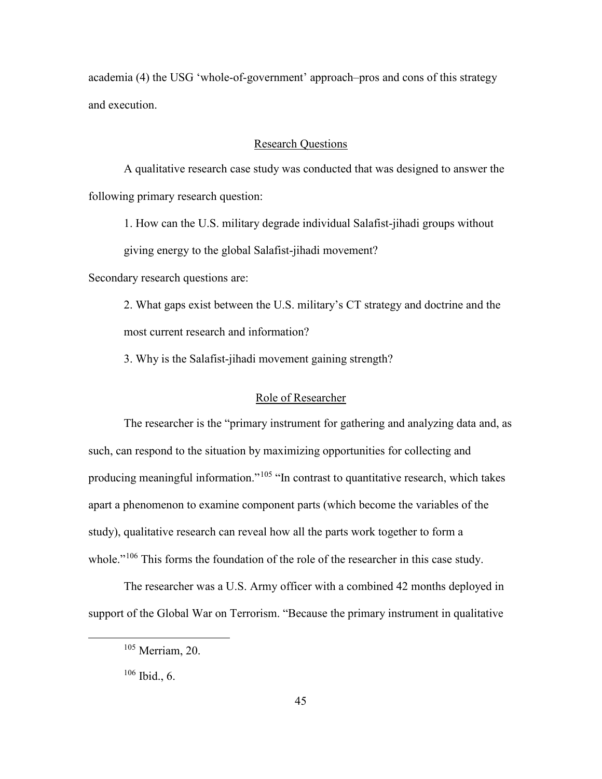academia (4) the USG 'whole-of-government' approach–pros and cons of this strategy and execution.

## Research Questions

A qualitative research case study was conducted that was designed to answer the following primary research question:

1. How can the U.S. military degrade individual Salafist-jihadi groups without giving energy to the global Salafist-jihadi movement?

Secondary research questions are:

2. What gaps exist between the U.S. military's CT strategy and doctrine and the most current research and information?

3. Why is the Salafist-jihadi movement gaining strength?

#### Role of Researcher

The researcher is the "primary instrument for gathering and analyzing data and, as such, can respond to the situation by maximizing opportunities for collecting and producing meaningful information."<sup>[105](#page-53-0)</sup> "In contrast to quantitative research, which takes apart a phenomenon to examine component parts (which become the variables of the study), qualitative research can reveal how all the parts work together to form a whole."<sup>[106](#page-53-1)</sup> This forms the foundation of the role of the researcher in this case study.

<span id="page-53-0"></span>The researcher was a U.S. Army officer with a combined 42 months deployed in support of the Global War on Terrorism. "Because the primary instrument in qualitative

 <sup>105</sup> Merriam, 20.

<span id="page-53-1"></span><sup>106</sup> Ibid., 6.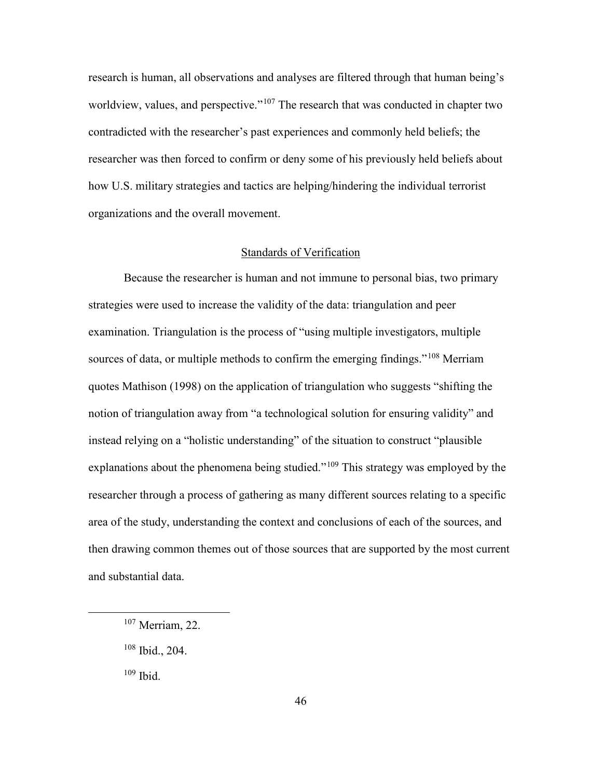research is human, all observations and analyses are filtered through that human being's worldview, values, and perspective."[107](#page-54-0) The research that was conducted in chapter two contradicted with the researcher's past experiences and commonly held beliefs; the researcher was then forced to confirm or deny some of his previously held beliefs about how U.S. military strategies and tactics are helping/hindering the individual terrorist organizations and the overall movement.

## Standards of Verification

Because the researcher is human and not immune to personal bias, two primary strategies were used to increase the validity of the data: triangulation and peer examination. Triangulation is the process of "using multiple investigators, multiple sources of data, or multiple methods to confirm the emerging findings."<sup>[108](#page-54-1)</sup> Merriam quotes Mathison (1998) on the application of triangulation who suggests "shifting the notion of triangulation away from "a technological solution for ensuring validity" and instead relying on a "holistic understanding" of the situation to construct "plausible explanations about the phenomena being studied."[109](#page-54-2) This strategy was employed by the researcher through a process of gathering as many different sources relating to a specific area of the study, understanding the context and conclusions of each of the sources, and then drawing common themes out of those sources that are supported by the most current and substantial data.

<span id="page-54-2"></span> $109$  Ibid.

<span id="page-54-0"></span> <sup>107</sup> Merriam, 22.

<span id="page-54-1"></span><sup>108</sup> Ibid., 204.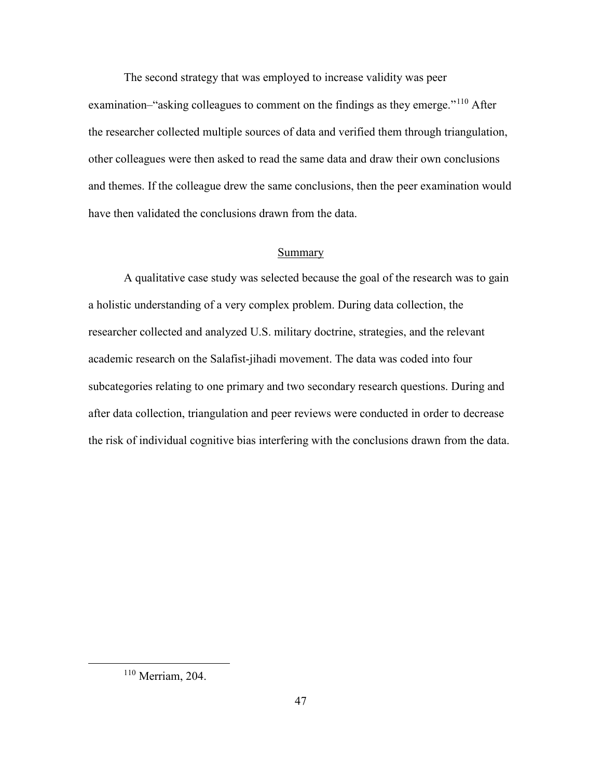The second strategy that was employed to increase validity was peer examination–"asking colleagues to comment on the findings as they emerge."[110](#page-55-0) After the researcher collected multiple sources of data and verified them through triangulation, other colleagues were then asked to read the same data and draw their own conclusions and themes. If the colleague drew the same conclusions, then the peer examination would have then validated the conclusions drawn from the data.

### Summary

A qualitative case study was selected because the goal of the research was to gain a holistic understanding of a very complex problem. During data collection, the researcher collected and analyzed U.S. military doctrine, strategies, and the relevant academic research on the Salafist-jihadi movement. The data was coded into four subcategories relating to one primary and two secondary research questions. During and after data collection, triangulation and peer reviews were conducted in order to decrease the risk of individual cognitive bias interfering with the conclusions drawn from the data.

<span id="page-55-0"></span> <sup>110</sup> Merriam, 204.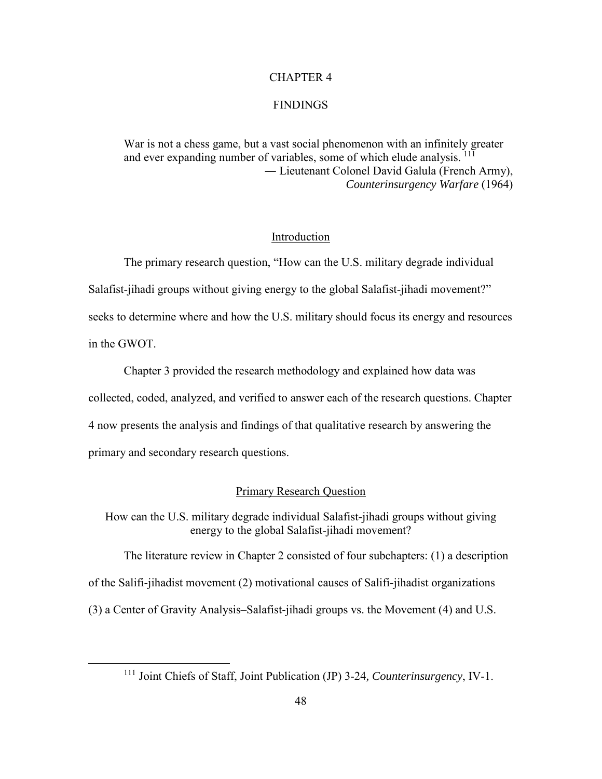## CHAPTER 4

## FINDINGS

War is not a chess game, but a vast social phenomenon with an infinitely greater and ever expanding number of variables, some of which elude analysis. <sup>[111](#page-56-0)</sup> ― Lieutenant Colonel David Galula (French Army), *Counterinsurgency Warfare* (1964)

### Introduction

The primary research question, "How can the U.S. military degrade individual Salafist-jihadi groups without giving energy to the global Salafist-jihadi movement?" seeks to determine where and how the U.S. military should focus its energy and resources

in the GWOT.

Chapter 3 provided the research methodology and explained how data was collected, coded, analyzed, and verified to answer each of the research questions. Chapter 4 now presents the analysis and findings of that qualitative research by answering the primary and secondary research questions.

#### Primary Research Question

How can the U.S. military degrade individual Salafist-jihadi groups without giving energy to the global Salafist-jihadi movement?

The literature review in Chapter 2 consisted of four subchapters: (1) a description of the Salifi-jihadist movement (2) motivational causes of Salifi-jihadist organizations (3) a Center of Gravity Analysis–Salafist-jihadi groups vs. the Movement (4) and U.S.

<span id="page-56-0"></span> <sup>111</sup> Joint Chiefs of Staff, Joint Publication (JP) 3-24*, Counterinsurgency*, IV-1.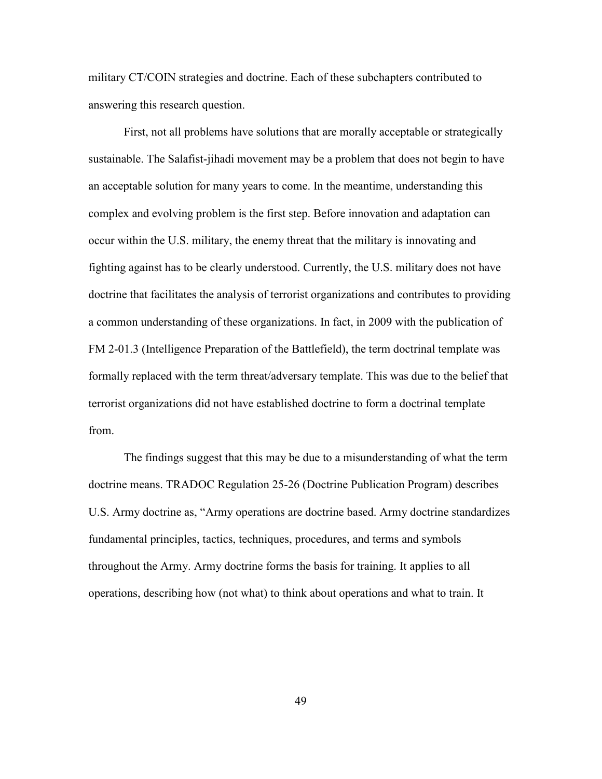military CT/COIN strategies and doctrine. Each of these subchapters contributed to answering this research question.

First, not all problems have solutions that are morally acceptable or strategically sustainable. The Salafist-jihadi movement may be a problem that does not begin to have an acceptable solution for many years to come. In the meantime, understanding this complex and evolving problem is the first step. Before innovation and adaptation can occur within the U.S. military, the enemy threat that the military is innovating and fighting against has to be clearly understood. Currently, the U.S. military does not have doctrine that facilitates the analysis of terrorist organizations and contributes to providing a common understanding of these organizations. In fact, in 2009 with the publication of FM 2-01.3 (Intelligence Preparation of the Battlefield), the term doctrinal template was formally replaced with the term threat/adversary template. This was due to the belief that terrorist organizations did not have established doctrine to form a doctrinal template from.

The findings suggest that this may be due to a misunderstanding of what the term doctrine means. TRADOC Regulation 25-26 (Doctrine Publication Program) describes U.S. Army doctrine as, "Army operations are doctrine based. Army doctrine standardizes fundamental principles, tactics, techniques, procedures, and terms and symbols throughout the Army. Army doctrine forms the basis for training. It applies to all operations, describing how (not what) to think about operations and what to train. It

49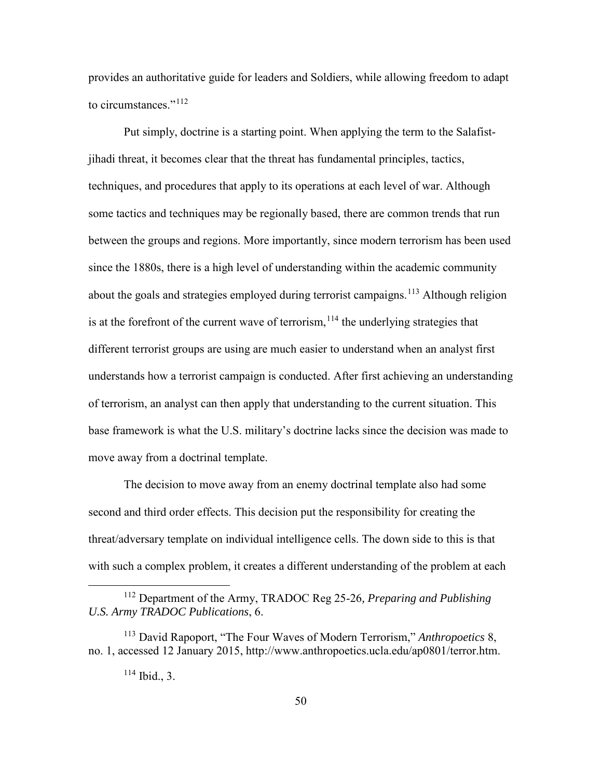provides an authoritative guide for leaders and Soldiers, while allowing freedom to adapt to circumstances  $"$ <sup>[112](#page-58-0)</sup>

Put simply, doctrine is a starting point. When applying the term to the Salafistjihadi threat, it becomes clear that the threat has fundamental principles, tactics, techniques, and procedures that apply to its operations at each level of war. Although some tactics and techniques may be regionally based, there are common trends that run between the groups and regions. More importantly, since modern terrorism has been used since the 1880s, there is a high level of understanding within the academic community about the goals and strategies employed during terrorist campaigns.<sup>113</sup> Although religion is at the forefront of the current wave of terrorism,  $114$  the underlying strategies that different terrorist groups are using are much easier to understand when an analyst first understands how a terrorist campaign is conducted. After first achieving an understanding of terrorism, an analyst can then apply that understanding to the current situation. This base framework is what the U.S. military's doctrine lacks since the decision was made to move away from a doctrinal template.

The decision to move away from an enemy doctrinal template also had some second and third order effects. This decision put the responsibility for creating the threat/adversary template on individual intelligence cells. The down side to this is that with such a complex problem, it creates a different understanding of the problem at each

<span id="page-58-0"></span> <sup>112</sup> Department of the Army, TRADOC Reg 25-26*, Preparing and Publishing U.S. Army TRADOC Publications*, 6.

<span id="page-58-2"></span><span id="page-58-1"></span><sup>113</sup> David Rapoport, "The Four Waves of Modern Terrorism," *Anthropoetics* 8, no. 1, accessed 12 January 2015, http://www.anthropoetics.ucla.edu/ap0801/terror.htm.

 $114$  Ibid., 3.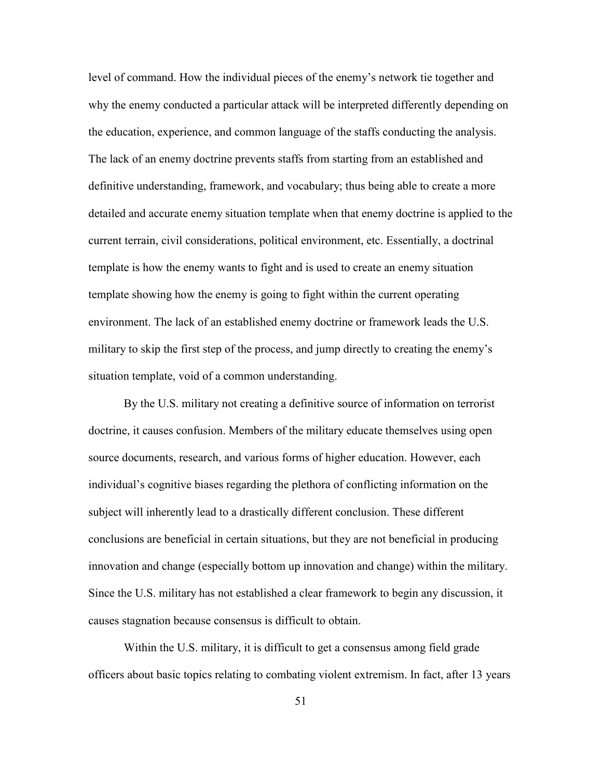level of command. How the individual pieces of the enemy's network tie together and why the enemy conducted a particular attack will be interpreted differently depending on the education, experience, and common language of the staffs conducting the analysis. The lack of an enemy doctrine prevents staffs from starting from an established and definitive understanding, framework, and vocabulary; thus being able to create a more detailed and accurate enemy situation template when that enemy doctrine is applied to the current terrain, civil considerations, political environment, etc. Essentially, a doctrinal template is how the enemy wants to fight and is used to create an enemy situation template showing how the enemy is going to fight within the current operating environment. The lack of an established enemy doctrine or framework leads the U.S. military to skip the first step of the process, and jump directly to creating the enemy's situation template, void of a common understanding.

By the U.S. military not creating a definitive source of information on terrorist doctrine, it causes confusion. Members of the military educate themselves using open source documents, research, and various forms of higher education. However, each individual's cognitive biases regarding the plethora of conflicting information on the subject will inherently lead to a drastically different conclusion. These different conclusions are beneficial in certain situations, but they are not beneficial in producing innovation and change (especially bottom up innovation and change) within the military. Since the U.S. military has not established a clear framework to begin any discussion, it causes stagnation because consensus is difficult to obtain.

Within the U.S. military, it is difficult to get a consensus among field grade officers about basic topics relating to combating violent extremism. In fact, after 13 years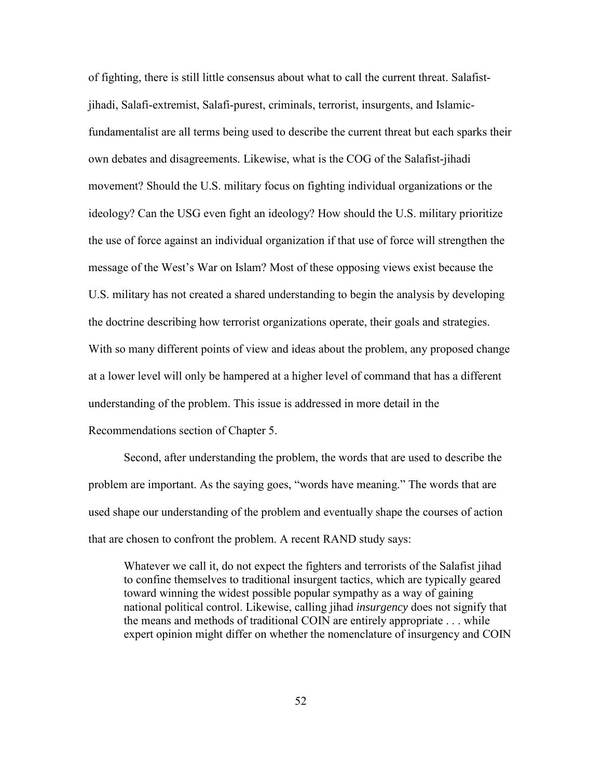of fighting, there is still little consensus about what to call the current threat. Salafistjihadi, Salafi-extremist, Salafi-purest, criminals, terrorist, insurgents, and Islamicfundamentalist are all terms being used to describe the current threat but each sparks their own debates and disagreements. Likewise, what is the COG of the Salafist-jihadi movement? Should the U.S. military focus on fighting individual organizations or the ideology? Can the USG even fight an ideology? How should the U.S. military prioritize the use of force against an individual organization if that use of force will strengthen the message of the West's War on Islam? Most of these opposing views exist because the U.S. military has not created a shared understanding to begin the analysis by developing the doctrine describing how terrorist organizations operate, their goals and strategies. With so many different points of view and ideas about the problem, any proposed change at a lower level will only be hampered at a higher level of command that has a different understanding of the problem. This issue is addressed in more detail in the Recommendations section of Chapter 5.

Second, after understanding the problem, the words that are used to describe the problem are important. As the saying goes, "words have meaning." The words that are used shape our understanding of the problem and eventually shape the courses of action that are chosen to confront the problem. A recent RAND study says:

Whatever we call it, do not expect the fighters and terrorists of the Salafist jihad to confine themselves to traditional insurgent tactics, which are typically geared toward winning the widest possible popular sympathy as a way of gaining national political control. Likewise, calling jihad *insurgency* does not signify that the means and methods of traditional COIN are entirely appropriate . . . while expert opinion might differ on whether the nomenclature of insurgency and COIN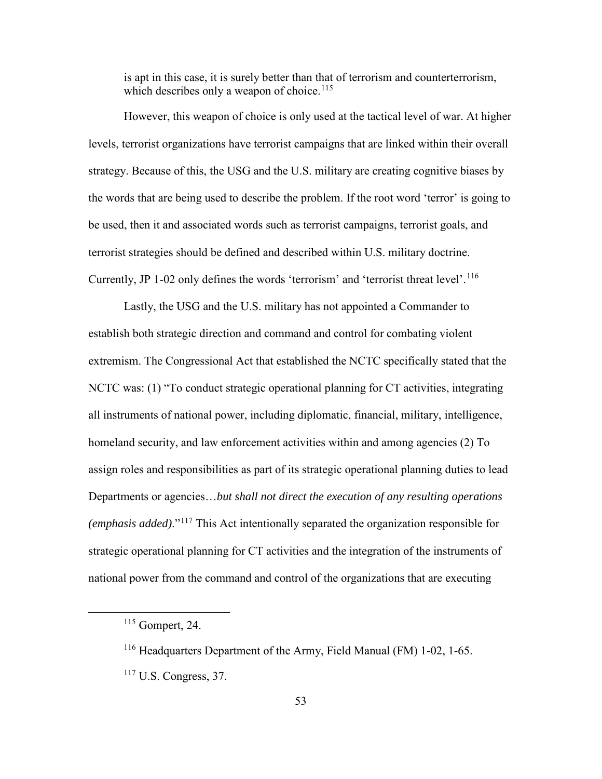is apt in this case, it is surely better than that of terrorism and counterterrorism, which describes only a weapon of choice.<sup>[115](#page-61-0)</sup>

However, this weapon of choice is only used at the tactical level of war. At higher levels, terrorist organizations have terrorist campaigns that are linked within their overall strategy. Because of this, the USG and the U.S. military are creating cognitive biases by the words that are being used to describe the problem. If the root word 'terror' is going to be used, then it and associated words such as terrorist campaigns, terrorist goals, and terrorist strategies should be defined and described within U.S. military doctrine. Currently, JP 1-02 only defines the words 'terrorism' and 'terrorist threat level'.<sup>[116](#page-61-1)</sup>

Lastly, the USG and the U.S. military has not appointed a Commander to establish both strategic direction and command and control for combating violent extremism. The Congressional Act that established the NCTC specifically stated that the NCTC was: (1) "To conduct strategic operational planning for CT activities, integrating all instruments of national power, including diplomatic, financial, military, intelligence, homeland security, and law enforcement activities within and among agencies (2) To assign roles and responsibilities as part of its strategic operational planning duties to lead Departments or agencies…*but shall not direct the execution of any resulting operations (emphasis added)*."[117](#page-61-2) This Act intentionally separated the organization responsible for strategic operational planning for CT activities and the integration of the instruments of national power from the command and control of the organizations that are executing

<span id="page-61-0"></span> <sup>115</sup> Gompert, 24.

<span id="page-61-1"></span><sup>116</sup> Headquarters Department of the Army, Field Manual (FM) 1-02, 1-65.

<span id="page-61-2"></span><sup>117</sup> U.S. Congress, 37.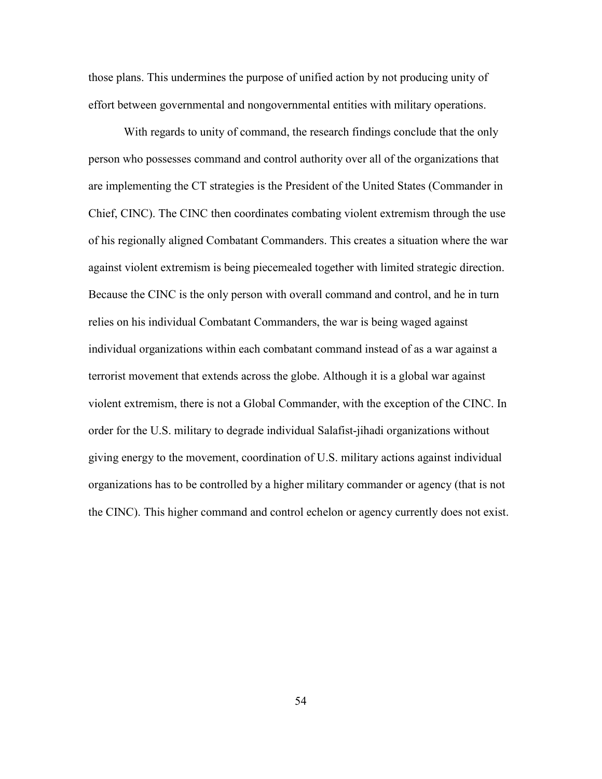those plans. This undermines the purpose of unified action by not producing unity of effort between governmental and nongovernmental entities with military operations.

With regards to unity of command, the research findings conclude that the only person who possesses command and control authority over all of the organizations that are implementing the CT strategies is the President of the United States (Commander in Chief, CINC). The CINC then coordinates combating violent extremism through the use of his regionally aligned Combatant Commanders. This creates a situation where the war against violent extremism is being piecemealed together with limited strategic direction. Because the CINC is the only person with overall command and control, and he in turn relies on his individual Combatant Commanders, the war is being waged against individual organizations within each combatant command instead of as a war against a terrorist movement that extends across the globe. Although it is a global war against violent extremism, there is not a Global Commander, with the exception of the CINC. In order for the U.S. military to degrade individual Salafist-jihadi organizations without giving energy to the movement, coordination of U.S. military actions against individual organizations has to be controlled by a higher military commander or agency (that is not the CINC). This higher command and control echelon or agency currently does not exist.

54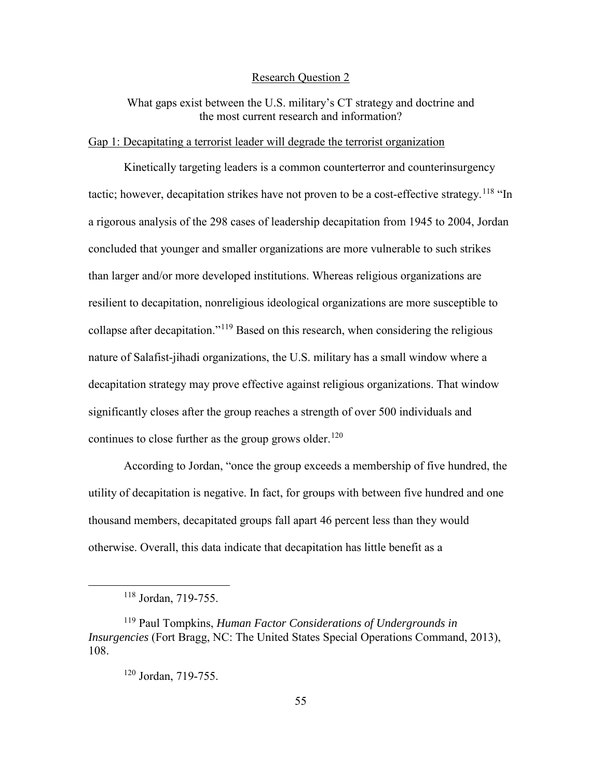#### Research Question 2

What gaps exist between the U.S. military's CT strategy and doctrine and the most current research and information?

#### Gap 1: Decapitating a terrorist leader will degrade the terrorist organization

Kinetically targeting leaders is a common counterterror and counterinsurgency tactic; however, decapitation strikes have not proven to be a cost-effective strategy.<sup>[118](#page-63-0)</sup> "In a rigorous analysis of the 298 cases of leadership decapitation from 1945 to 2004, Jordan concluded that younger and smaller organizations are more vulnerable to such strikes than larger and/or more developed institutions. Whereas religious organizations are resilient to decapitation, nonreligious ideological organizations are more susceptible to collapse after decapitation."<sup>[119](#page-63-1)</sup> Based on this research, when considering the religious nature of Salafist-jihadi organizations, the U.S. military has a small window where a decapitation strategy may prove effective against religious organizations. That window significantly closes after the group reaches a strength of over 500 individuals and continues to close further as the group grows older.<sup>[120](#page-63-2)</sup>

According to Jordan, "once the group exceeds a membership of five hundred, the utility of decapitation is negative. In fact, for groups with between five hundred and one thousand members, decapitated groups fall apart 46 percent less than they would otherwise. Overall, this data indicate that decapitation has little benefit as a

 <sup>118</sup> Jordan, 719-755.

<span id="page-63-2"></span><span id="page-63-1"></span><span id="page-63-0"></span><sup>119</sup> Paul Tompkins, *Human Factor Considerations of Undergrounds in Insurgencies* (Fort Bragg, NC: The United States Special Operations Command, 2013), 108.

<sup>120</sup> Jordan, 719-755.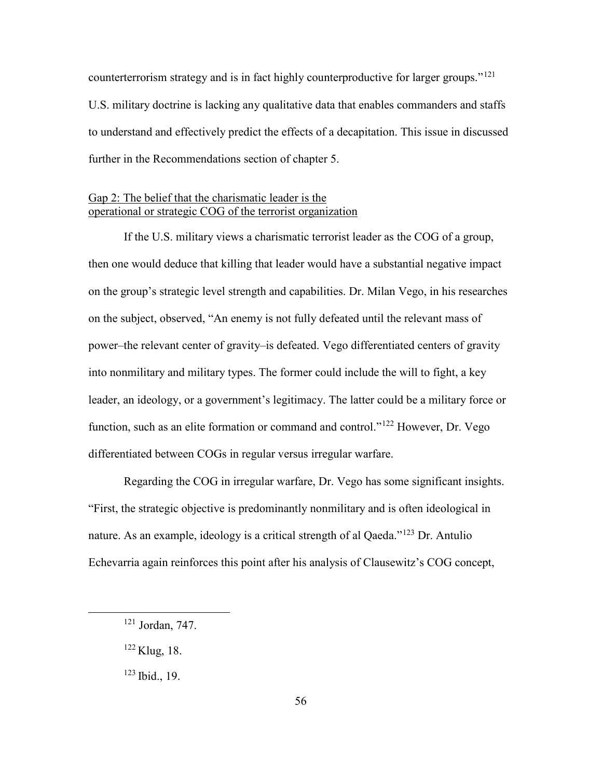counterterrorism strategy and is in fact highly counterproductive for larger groups."<sup>[121](#page-64-0)</sup> U.S. military doctrine is lacking any qualitative data that enables commanders and staffs to understand and effectively predict the effects of a decapitation. This issue in discussed further in the Recommendations section of chapter 5.

## Gap 2: The belief that the charismatic leader is the operational or strategic COG of the terrorist organization

If the U.S. military views a charismatic terrorist leader as the COG of a group, then one would deduce that killing that leader would have a substantial negative impact on the group's strategic level strength and capabilities. Dr. Milan Vego, in his researches on the subject, observed, "An enemy is not fully defeated until the relevant mass of power–the relevant center of gravity–is defeated. Vego differentiated centers of gravity into nonmilitary and military types. The former could include the will to fight, a key leader, an ideology, or a government's legitimacy. The latter could be a military force or function, such as an elite formation or command and control."[122](#page-64-1) However, Dr. Vego differentiated between COGs in regular versus irregular warfare.

Regarding the COG in irregular warfare, Dr. Vego has some significant insights. "First, the strategic objective is predominantly nonmilitary and is often ideological in nature. As an example, ideology is a critical strength of al Qaeda."<sup>123</sup> Dr. Antulio Echevarria again reinforces this point after his analysis of Clausewitz's COG concept,

<span id="page-64-0"></span> <sup>121</sup> Jordan, 747.

<span id="page-64-1"></span><sup>122</sup> Klug, 18.

<span id="page-64-2"></span> $123$  Ibid., 19.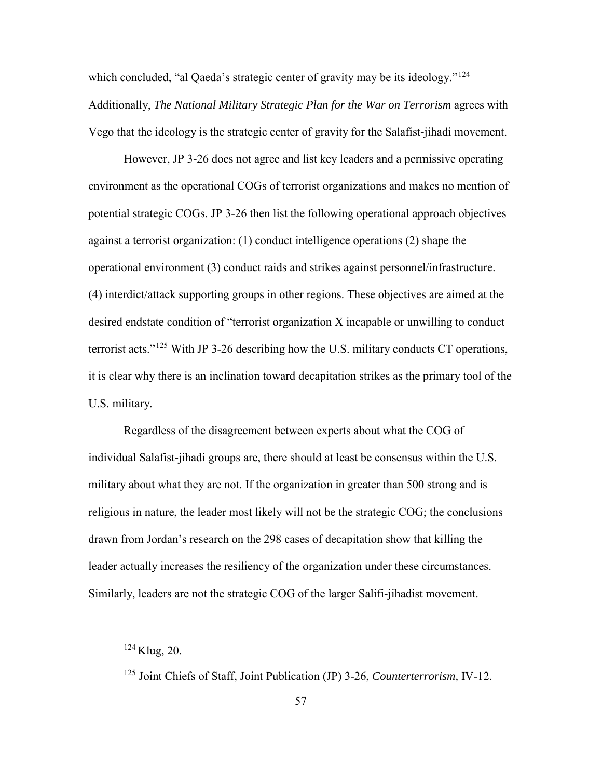which concluded, "al Qaeda's strategic center of gravity may be its ideology."<sup>[124](#page-65-0)</sup> Additionally, *The National Military Strategic Plan for the War on Terrorism* agrees with Vego that the ideology is the strategic center of gravity for the Salafist-jihadi movement.

However, JP 3-26 does not agree and list key leaders and a permissive operating environment as the operational COGs of terrorist organizations and makes no mention of potential strategic COGs. JP 3-26 then list the following operational approach objectives against a terrorist organization: (1) conduct intelligence operations (2) shape the operational environment (3) conduct raids and strikes against personnel/infrastructure. (4) interdict/attack supporting groups in other regions. These objectives are aimed at the desired endstate condition of "terrorist organization X incapable or unwilling to conduct terrorist acts."<sup>[125](#page-65-1)</sup> With JP 3-26 describing how the U.S. military conducts CT operations, it is clear why there is an inclination toward decapitation strikes as the primary tool of the U.S. military.

Regardless of the disagreement between experts about what the COG of individual Salafist-jihadi groups are, there should at least be consensus within the U.S. military about what they are not. If the organization in greater than 500 strong and is religious in nature, the leader most likely will not be the strategic COG; the conclusions drawn from Jordan's research on the 298 cases of decapitation show that killing the leader actually increases the resiliency of the organization under these circumstances. Similarly, leaders are not the strategic COG of the larger Salifi-jihadist movement.

<span id="page-65-0"></span> <sup>124</sup> Klug, 20.

<span id="page-65-1"></span><sup>125</sup> Joint Chiefs of Staff, Joint Publication (JP) 3-26, *Counterterrorism,* IV-12.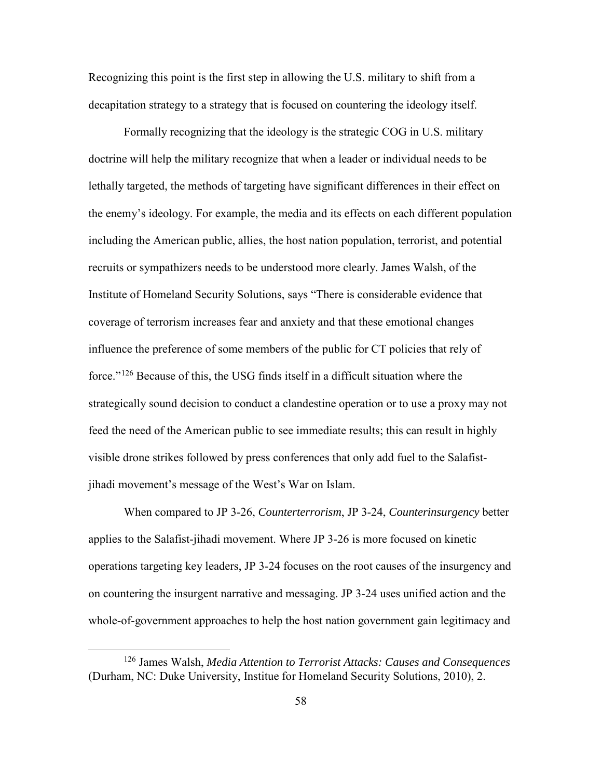Recognizing this point is the first step in allowing the U.S. military to shift from a decapitation strategy to a strategy that is focused on countering the ideology itself.

Formally recognizing that the ideology is the strategic COG in U.S. military doctrine will help the military recognize that when a leader or individual needs to be lethally targeted, the methods of targeting have significant differences in their effect on the enemy's ideology. For example, the media and its effects on each different population including the American public, allies, the host nation population, terrorist, and potential recruits or sympathizers needs to be understood more clearly. James Walsh, of the Institute of Homeland Security Solutions, says "There is considerable evidence that coverage of terrorism increases fear and anxiety and that these emotional changes influence the preference of some members of the public for CT policies that rely of force."[126](#page-66-0) Because of this, the USG finds itself in a difficult situation where the strategically sound decision to conduct a clandestine operation or to use a proxy may not feed the need of the American public to see immediate results; this can result in highly visible drone strikes followed by press conferences that only add fuel to the Salafistjihadi movement's message of the West's War on Islam.

When compared to JP 3-26, *Counterterrorism*, JP 3-24, *Counterinsurgency* better applies to the Salafist-jihadi movement. Where JP 3-26 is more focused on kinetic operations targeting key leaders, JP 3-24 focuses on the root causes of the insurgency and on countering the insurgent narrative and messaging. JP 3-24 uses unified action and the whole-of-government approaches to help the host nation government gain legitimacy and

<span id="page-66-0"></span> <sup>126</sup> James Walsh, *Media Attention to Terrorist Attacks: Causes and Consequences*  (Durham, NC: Duke University, Institue for Homeland Security Solutions, 2010), 2.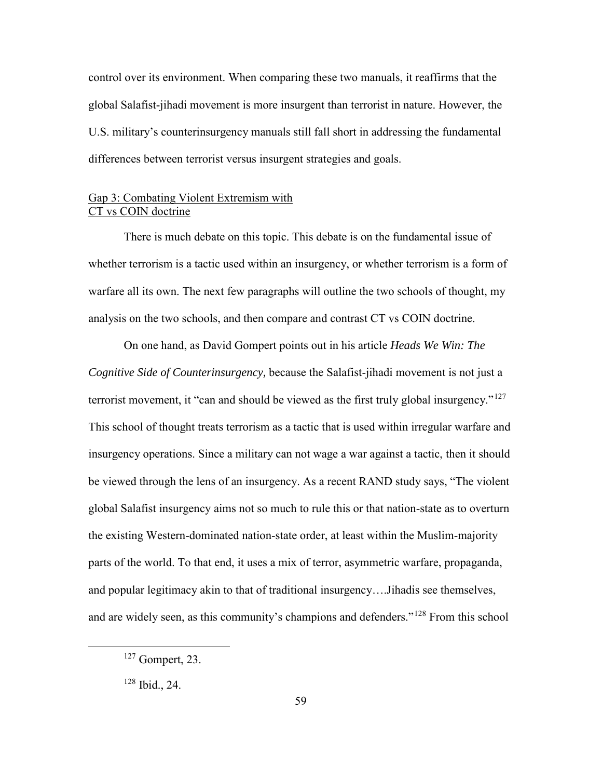control over its environment. When comparing these two manuals, it reaffirms that the global Salafist-jihadi movement is more insurgent than terrorist in nature. However, the U.S. military's counterinsurgency manuals still fall short in addressing the fundamental differences between terrorist versus insurgent strategies and goals.

## Gap 3: Combating Violent Extremism with CT vs COIN doctrine

There is much debate on this topic. This debate is on the fundamental issue of whether terrorism is a tactic used within an insurgency, or whether terrorism is a form of warfare all its own. The next few paragraphs will outline the two schools of thought, my analysis on the two schools, and then compare and contrast CT vs COIN doctrine.

On one hand, as David Gompert points out in his article *Heads We Win: The Cognitive Side of Counterinsurgency,* because the Salafist-jihadi movement is not just a terrorist movement, it "can and should be viewed as the first truly global insurgency."<sup>[127](#page-67-0)</sup> This school of thought treats terrorism as a tactic that is used within irregular warfare and insurgency operations. Since a military can not wage a war against a tactic, then it should be viewed through the lens of an insurgency. As a recent RAND study says, "The violent global Salafist insurgency aims not so much to rule this or that nation-state as to overturn the existing Western-dominated nation-state order, at least within the Muslim-majority parts of the world. To that end, it uses a mix of terror, asymmetric warfare, propaganda, and popular legitimacy akin to that of traditional insurgency….Jihadis see themselves, and are widely seen, as this community's champions and defenders."[128](#page-67-1) From this school

<span id="page-67-0"></span> <sup>127</sup> Gompert, 23.

<span id="page-67-1"></span><sup>128</sup> Ibid., 24.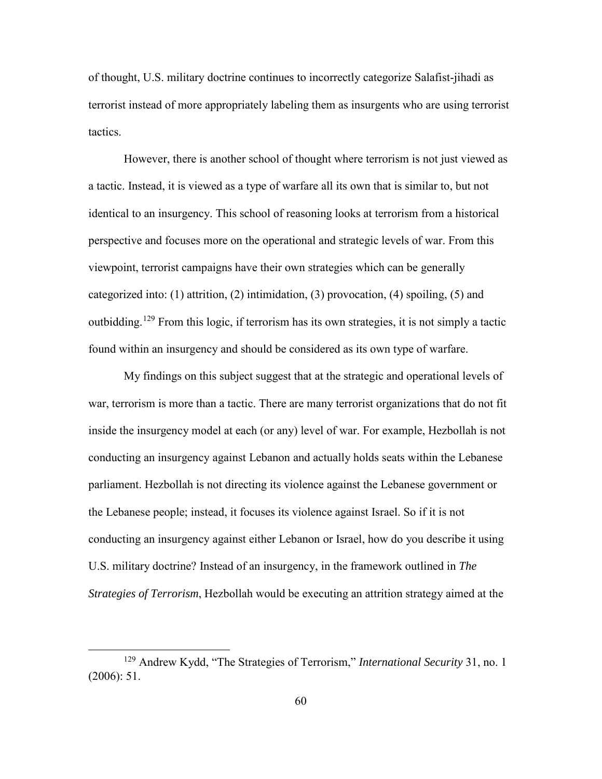of thought, U.S. military doctrine continues to incorrectly categorize Salafist-jihadi as terrorist instead of more appropriately labeling them as insurgents who are using terrorist tactics.

However, there is another school of thought where terrorism is not just viewed as a tactic. Instead, it is viewed as a type of warfare all its own that is similar to, but not identical to an insurgency. This school of reasoning looks at terrorism from a historical perspective and focuses more on the operational and strategic levels of war. From this viewpoint, terrorist campaigns have their own strategies which can be generally categorized into: (1) attrition, (2) intimidation, (3) provocation, (4) spoiling, (5) and outbidding.[129](#page-68-0) From this logic, if terrorism has its own strategies, it is not simply a tactic found within an insurgency and should be considered as its own type of warfare.

My findings on this subject suggest that at the strategic and operational levels of war, terrorism is more than a tactic. There are many terrorist organizations that do not fit inside the insurgency model at each (or any) level of war. For example, Hezbollah is not conducting an insurgency against Lebanon and actually holds seats within the Lebanese parliament. Hezbollah is not directing its violence against the Lebanese government or the Lebanese people; instead, it focuses its violence against Israel. So if it is not conducting an insurgency against either Lebanon or Israel, how do you describe it using U.S. military doctrine? Instead of an insurgency, in the framework outlined in *The Strategies of Terrorism*, Hezbollah would be executing an attrition strategy aimed at the

<span id="page-68-0"></span> <sup>129</sup> Andrew Kydd, "The Strategies of Terrorism," *International Security* 31, no. 1 (2006): 51.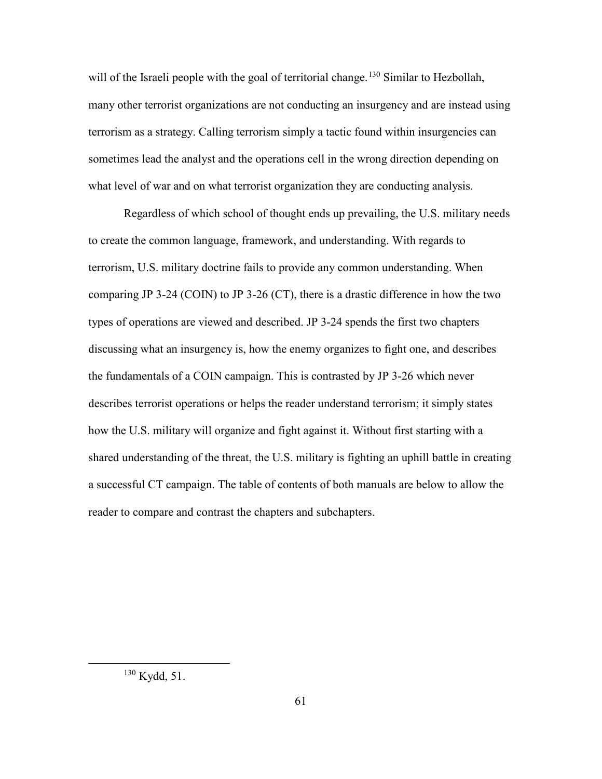will of the Israeli people with the goal of territorial change.<sup>[130](#page-69-0)</sup> Similar to Hezbollah, many other terrorist organizations are not conducting an insurgency and are instead using terrorism as a strategy. Calling terrorism simply a tactic found within insurgencies can sometimes lead the analyst and the operations cell in the wrong direction depending on what level of war and on what terrorist organization they are conducting analysis.

Regardless of which school of thought ends up prevailing, the U.S. military needs to create the common language, framework, and understanding. With regards to terrorism, U.S. military doctrine fails to provide any common understanding. When comparing JP 3-24 (COIN) to JP 3-26 (CT), there is a drastic difference in how the two types of operations are viewed and described. JP 3-24 spends the first two chapters discussing what an insurgency is, how the enemy organizes to fight one, and describes the fundamentals of a COIN campaign. This is contrasted by JP 3-26 which never describes terrorist operations or helps the reader understand terrorism; it simply states how the U.S. military will organize and fight against it. Without first starting with a shared understanding of the threat, the U.S. military is fighting an uphill battle in creating a successful CT campaign. The table of contents of both manuals are below to allow the reader to compare and contrast the chapters and subchapters.

<span id="page-69-0"></span> <sup>130</sup> Kydd, 51.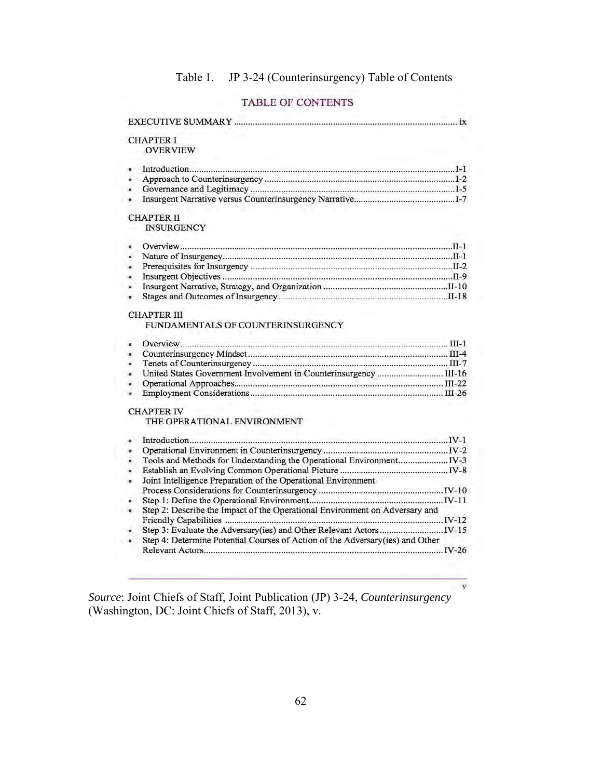# Table 1. JP 3-24 (Counterinsurgency) Table of Contents

## TABLE OF CONTENTS

|           | <b>CHAPTER I</b>                                                              |
|-----------|-------------------------------------------------------------------------------|
|           | <b>OVERVIEW</b>                                                               |
| é.        |                                                                               |
| é         |                                                                               |
| ×         |                                                                               |
| ۰         |                                                                               |
|           | <b>CHAPTER II</b>                                                             |
|           | <b>INSURGENCY</b>                                                             |
| ×.        |                                                                               |
| ä.        |                                                                               |
| $\bullet$ |                                                                               |
| $\bullet$ |                                                                               |
| u.        |                                                                               |
| $\bullet$ |                                                                               |
|           | <b>CHAPTER III</b>                                                            |
|           | FUNDAMENTALS OF COUNTERINSURGENCY                                             |
| ×.        |                                                                               |
| ٠         |                                                                               |
| ä.        |                                                                               |
| $\bullet$ |                                                                               |
| ø.        |                                                                               |
| ۰         |                                                                               |
|           | <b>CHAPTER IV</b>                                                             |
|           | THE OPERATIONAL ENVIRONMENT                                                   |
| ä.        |                                                                               |
| u.        |                                                                               |
| ä.        |                                                                               |
| ۰         |                                                                               |
|           | Joint Intelligence Preparation of the Operational Environment                 |
|           |                                                                               |
|           |                                                                               |
| $\bullet$ | Step 2: Describe the Impact of the Operational Environment on Adversary and   |
|           |                                                                               |
| $\bullet$ |                                                                               |
| ۰         | Step 4: Determine Potential Courses of Action of the Adversary(ies) and Other |
|           |                                                                               |
|           |                                                                               |

*Source*: Joint Chiefs of Staff, Joint Publication (JP) 3-24, *Counterinsurgency* (Washington, DC: Joint Chiefs of Staff, 2013), v.

 $\overline{\mathbf{y}}$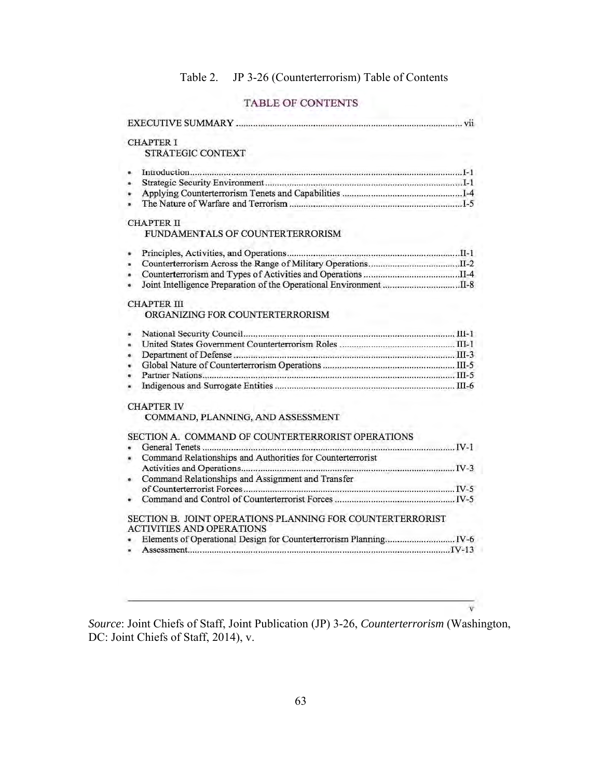# Table 2. JP 3-26 (Counterterrorism) Table of Contents

## TABLE OF CONTENTS

| <b>CHAPTER I</b>                                               |
|----------------------------------------------------------------|
| <b>STRATEGIC CONTEXT</b>                                       |
|                                                                |
| a.                                                             |
| ۰                                                              |
| ٠                                                              |
|                                                                |
|                                                                |
| <b>CHAPTER II</b>                                              |
| FUNDAMENTALS OF COUNTERTERRORISM                               |
| ä.                                                             |
|                                                                |
| ×                                                              |
| ۰                                                              |
| $\blacksquare$                                                 |
| <b>CHAPTER III</b>                                             |
| ORGANIZING FOR COUNTERTERRORISM                                |
| ۰                                                              |
| a.                                                             |
| ٠                                                              |
| ٠                                                              |
| ٠                                                              |
| ٠                                                              |
|                                                                |
| <b>CHAPTER IV</b>                                              |
| COMMAND, PLANNING, AND ASSESSMENT                              |
| SECTION A. COMMAND OF COUNTERTERRORIST OPERATIONS              |
|                                                                |
| Command Relationships and Authorities for Counterterrorist     |
|                                                                |
| Command Relationships and Assignment and Transfer<br>$\bullet$ |
|                                                                |
|                                                                |
|                                                                |
| SECTION B. JOINT OPERATIONS PLANNING FOR COUNTERTERRORIST      |
| <b>ACTIVITIES AND OPERATIONS</b>                               |
|                                                                |
| $\blacksquare$                                                 |
|                                                                |

*Source*: Joint Chiefs of Staff, Joint Publication (JP) 3-26, *Counterterrorism* (Washington, DC: Joint Chiefs of Staff, 2014), v.

 $\overline{\mathbf{v}}$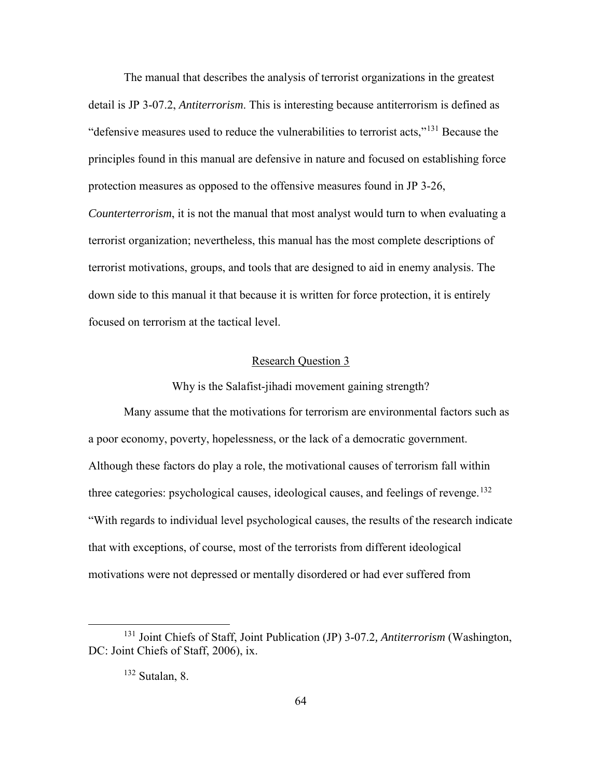The manual that describes the analysis of terrorist organizations in the greatest detail is JP 3-07.2, *Antiterrorism*. This is interesting because antiterrorism is defined as "defensive measures used to reduce the vulnerabilities to terrorist acts,"[131](#page-72-0) Because the principles found in this manual are defensive in nature and focused on establishing force protection measures as opposed to the offensive measures found in JP 3-26, *Counterterrorism*, it is not the manual that most analyst would turn to when evaluating a terrorist organization; nevertheless, this manual has the most complete descriptions of terrorist motivations, groups, and tools that are designed to aid in enemy analysis. The down side to this manual it that because it is written for force protection, it is entirely

focused on terrorism at the tactical level.

# Research Question 3

Why is the Salafist-jihadi movement gaining strength?

Many assume that the motivations for terrorism are environmental factors such as a poor economy, poverty, hopelessness, or the lack of a democratic government. Although these factors do play a role, the motivational causes of terrorism fall within three categories: psychological causes, ideological causes, and feelings of revenge.<sup>[132](#page-72-1)</sup> "With regards to individual level psychological causes, the results of the research indicate that with exceptions, of course, most of the terrorists from different ideological motivations were not depressed or mentally disordered or had ever suffered from

<span id="page-72-1"></span><span id="page-72-0"></span> <sup>131</sup> Joint Chiefs of Staff, Joint Publication (JP) 3-07.2*, Antiterrorism* (Washington, DC: Joint Chiefs of Staff, 2006), ix.

<sup>132</sup> Sutalan, 8.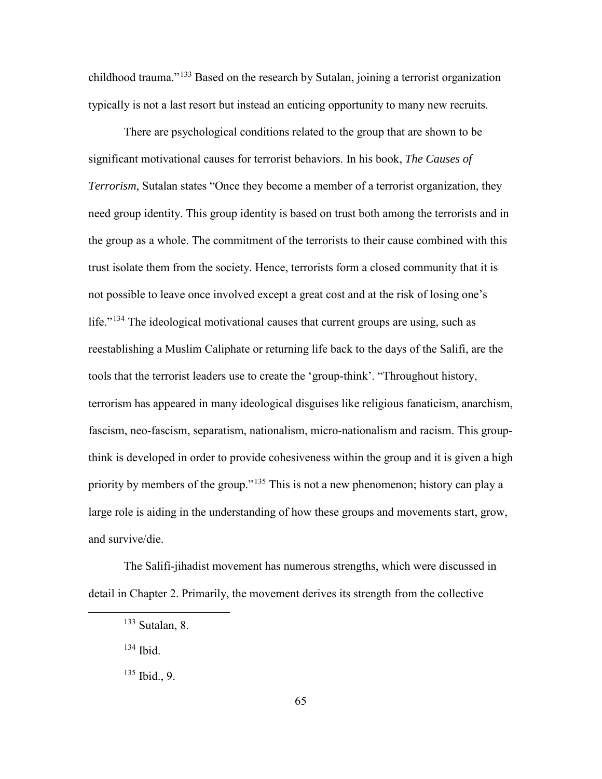childhood trauma."[133](#page-73-0) Based on the research by Sutalan, joining a terrorist organization typically is not a last resort but instead an enticing opportunity to many new recruits.

There are psychological conditions related to the group that are shown to be significant motivational causes for terrorist behaviors. In his book, *The Causes of Terrorism*, Sutalan states "Once they become a member of a terrorist organization, they need group identity. This group identity is based on trust both among the terrorists and in the group as a whole. The commitment of the terrorists to their cause combined with this trust isolate them from the society. Hence, terrorists form a closed community that it is not possible to leave once involved except a great cost and at the risk of losing one's life."<sup>[134](#page-73-1)</sup> The ideological motivational causes that current groups are using, such as reestablishing a Muslim Caliphate or returning life back to the days of the Salifi, are the tools that the terrorist leaders use to create the 'group-think'. "Throughout history, terrorism has appeared in many ideological disguises like religious fanaticism, anarchism, fascism, neo-fascism, separatism, nationalism, micro-nationalism and racism. This groupthink is developed in order to provide cohesiveness within the group and it is given a high priority by members of the group."<sup>135</sup> This is not a new phenomenon; history can play a large role is aiding in the understanding of how these groups and movements start, grow, and survive/die.

<span id="page-73-1"></span><span id="page-73-0"></span>The Salifi-jihadist movement has numerous strengths, which were discussed in detail in Chapter 2. Primarily, the movement derives its strength from the collective

- 134 Ibid.
- <span id="page-73-2"></span> $135$  Ibid., 9.

 $133$  Sutalan, 8.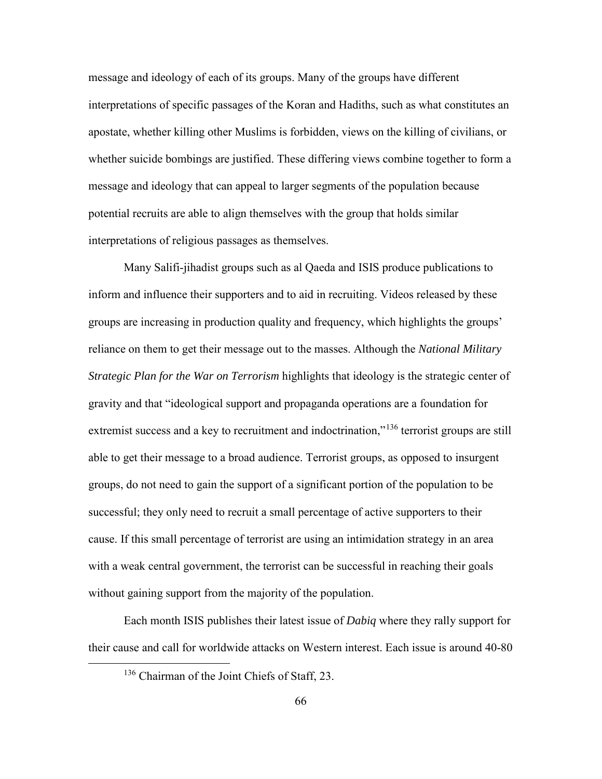message and ideology of each of its groups. Many of the groups have different interpretations of specific passages of the Koran and Hadiths, such as what constitutes an apostate, whether killing other Muslims is forbidden, views on the killing of civilians, or whether suicide bombings are justified. These differing views combine together to form a message and ideology that can appeal to larger segments of the population because potential recruits are able to align themselves with the group that holds similar interpretations of religious passages as themselves.

Many Salifi-jihadist groups such as al Qaeda and ISIS produce publications to inform and influence their supporters and to aid in recruiting. Videos released by these groups are increasing in production quality and frequency, which highlights the groups' reliance on them to get their message out to the masses. Although the *National Military Strategic Plan for the War on Terrorism* highlights that ideology is the strategic center of gravity and that "ideological support and propaganda operations are a foundation for extremist success and a key to recruitment and indoctrination,"<sup>[136](#page-74-0)</sup> terrorist groups are still able to get their message to a broad audience. Terrorist groups, as opposed to insurgent groups, do not need to gain the support of a significant portion of the population to be successful; they only need to recruit a small percentage of active supporters to their cause. If this small percentage of terrorist are using an intimidation strategy in an area with a weak central government, the terrorist can be successful in reaching their goals without gaining support from the majority of the population.

<span id="page-74-0"></span>Each month ISIS publishes their latest issue of *Dabiq* where they rally support for their cause and call for worldwide attacks on Western interest. Each issue is around 40-80

<sup>&</sup>lt;sup>136</sup> Chairman of the Joint Chiefs of Staff, 23.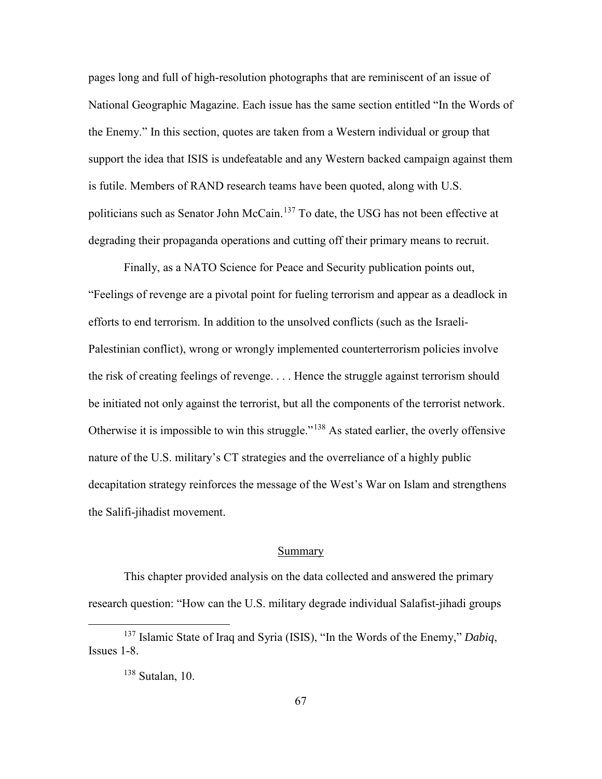pages long and full of high-resolution photographs that are reminiscent of an issue of National Geographic Magazine. Each issue has the same section entitled "In the Words of the Enemy." In this section, quotes are taken from a Western individual or group that support the idea that ISIS is undefeatable and any Western backed campaign against them is futile. Members of RAND research teams have been quoted, along with U.S. politicians such as Senator John McCain.[137](#page-75-0) To date, the USG has not been effective at degrading their propaganda operations and cutting off their primary means to recruit.

Finally, as a NATO Science for Peace and Security publication points out, "Feelings of revenge are a pivotal point for fueling terrorism and appear as a deadlock in efforts to end terrorism. In addition to the unsolved conflicts (such as the Israeli-Palestinian conflict), wrong or wrongly implemented counterterrorism policies involve the risk of creating feelings of revenge. . . . Hence the struggle against terrorism should be initiated not only against the terrorist, but all the components of the terrorist network. Otherwise it is impossible to win this struggle."<sup>[138](#page-75-1)</sup> As stated earlier, the overly offensive nature of the U.S. military's CT strategies and the overreliance of a highly public decapitation strategy reinforces the message of the West's War on Islam and strengthens the Salifi-jihadist movement.

### Summary

This chapter provided analysis on the data collected and answered the primary research question: "How can the U.S. military degrade individual Salafist-jihadi groups

<span id="page-75-1"></span><span id="page-75-0"></span> <sup>137</sup> Islamic State of Iraq and Syria (ISIS), "In the Words of the Enemy," *Dabiq*, Issues 1-8.

<sup>138</sup> Sutalan, 10.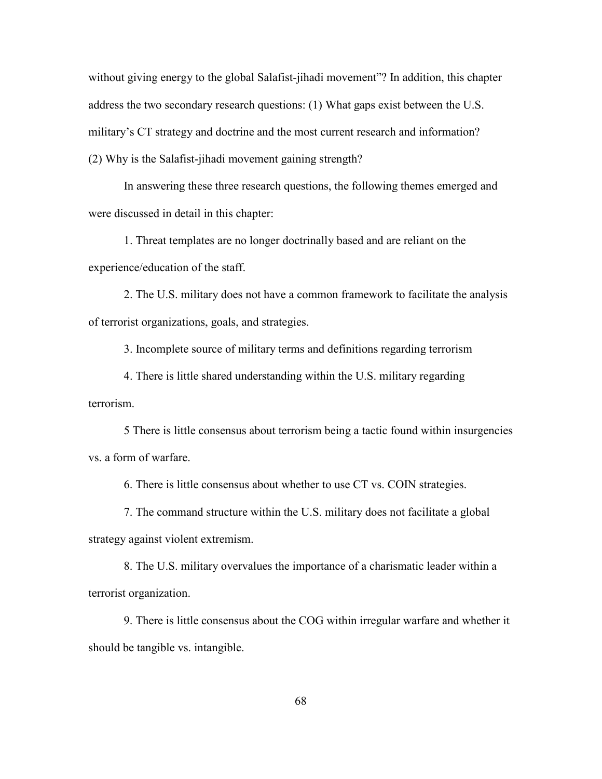without giving energy to the global Salafist-jihadi movement"? In addition, this chapter address the two secondary research questions: (1) What gaps exist between the U.S. military's CT strategy and doctrine and the most current research and information? (2) Why is the Salafist-jihadi movement gaining strength?

In answering these three research questions, the following themes emerged and were discussed in detail in this chapter:

1. Threat templates are no longer doctrinally based and are reliant on the experience/education of the staff.

2. The U.S. military does not have a common framework to facilitate the analysis of terrorist organizations, goals, and strategies.

3. Incomplete source of military terms and definitions regarding terrorism

4. There is little shared understanding within the U.S. military regarding terrorism.

5 There is little consensus about terrorism being a tactic found within insurgencies vs. a form of warfare.

6. There is little consensus about whether to use CT vs. COIN strategies.

7. The command structure within the U.S. military does not facilitate a global strategy against violent extremism.

8. The U.S. military overvalues the importance of a charismatic leader within a terrorist organization.

9. There is little consensus about the COG within irregular warfare and whether it should be tangible vs. intangible.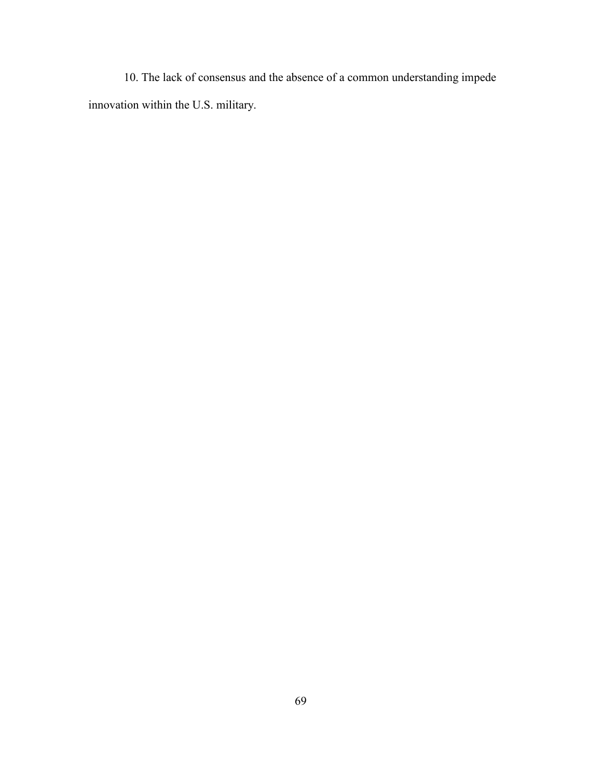10. The lack of consensus and the absence of a common understanding impede innovation within the U.S. military.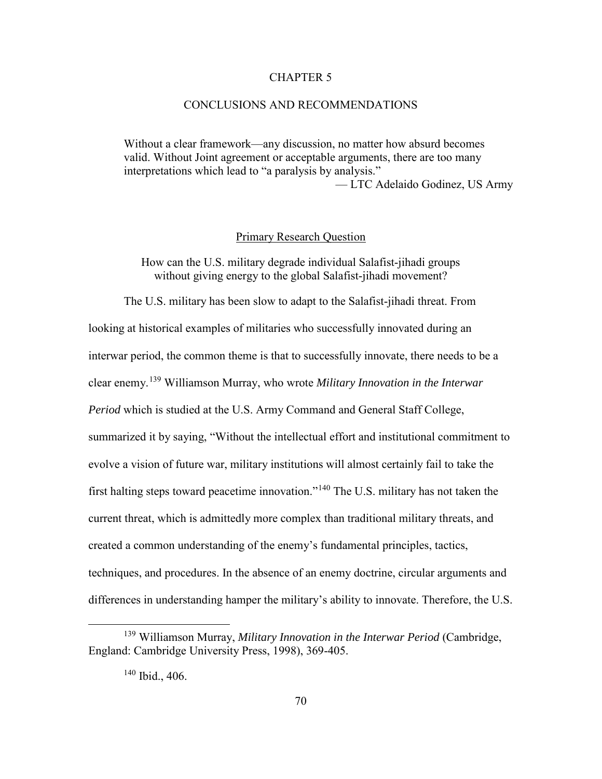#### CHAPTER 5

### CONCLUSIONS AND RECOMMENDATIONS

Without a clear framework—any discussion, no matter how absurd becomes valid. Without Joint agreement or acceptable arguments, there are too many interpretations which lead to "a paralysis by analysis."

— LTC Adelaido Godinez, US Army

### Primary Research Question

How can the U.S. military degrade individual Salafist-jihadi groups without giving energy to the global Salafist-jihadi movement?

The U.S. military has been slow to adapt to the Salafist-jihadi threat. From looking at historical examples of militaries who successfully innovated during an interwar period, the common theme is that to successfully innovate, there needs to be a clear enemy.[139](#page-78-0) Williamson Murray, who wrote *Military Innovation in the Interwar Period* which is studied at the U.S. Army Command and General Staff College, summarized it by saying, "Without the intellectual effort and institutional commitment to evolve a vision of future war, military institutions will almost certainly fail to take the first halting steps toward peacetime innovation."[140](#page-78-1) The U.S. military has not taken the current threat, which is admittedly more complex than traditional military threats, and created a common understanding of the enemy's fundamental principles, tactics, techniques, and procedures. In the absence of an enemy doctrine, circular arguments and differences in understanding hamper the military's ability to innovate. Therefore, the U.S.

<span id="page-78-1"></span><span id="page-78-0"></span> <sup>139</sup> Williamson Murray, *Military Innovation in the Interwar Period* (Cambridge, England: Cambridge University Press, 1998), 369-405.

<sup>140</sup> Ibid., 406.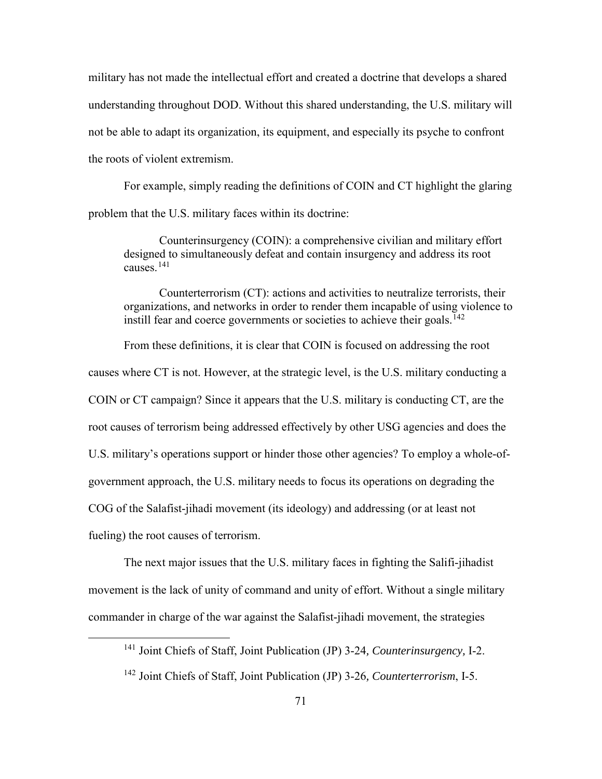military has not made the intellectual effort and created a doctrine that develops a shared understanding throughout DOD. Without this shared understanding, the U.S. military will not be able to adapt its organization, its equipment, and especially its psyche to confront the roots of violent extremism.

For example, simply reading the definitions of COIN and CT highlight the glaring problem that the U.S. military faces within its doctrine:

Counterinsurgency (COIN): a comprehensive civilian and military effort designed to simultaneously defeat and contain insurgency and address its root causes.[141](#page-79-0)

Counterterrorism (CT): actions and activities to neutralize terrorists, their organizations, and networks in order to render them incapable of using violence to instill fear and coerce governments or societies to achieve their goals.<sup> $142$ </sup>

From these definitions, it is clear that COIN is focused on addressing the root causes where CT is not. However, at the strategic level, is the U.S. military conducting a COIN or CT campaign? Since it appears that the U.S. military is conducting CT, are the root causes of terrorism being addressed effectively by other USG agencies and does the U.S. military's operations support or hinder those other agencies? To employ a whole-ofgovernment approach, the U.S. military needs to focus its operations on degrading the COG of the Salafist-jihadi movement (its ideology) and addressing (or at least not fueling) the root causes of terrorism.

The next major issues that the U.S. military faces in fighting the Salifi-jihadist movement is the lack of unity of command and unity of effort. Without a single military commander in charge of the war against the Salafist-jihadi movement, the strategies

<span id="page-79-0"></span> <sup>141</sup> Joint Chiefs of Staff, Joint Publication (JP) 3-24*, Counterinsurgency,* I-2.

<span id="page-79-1"></span><sup>142</sup> Joint Chiefs of Staff, Joint Publication (JP) 3-26*, Counterterrorism*, I-5.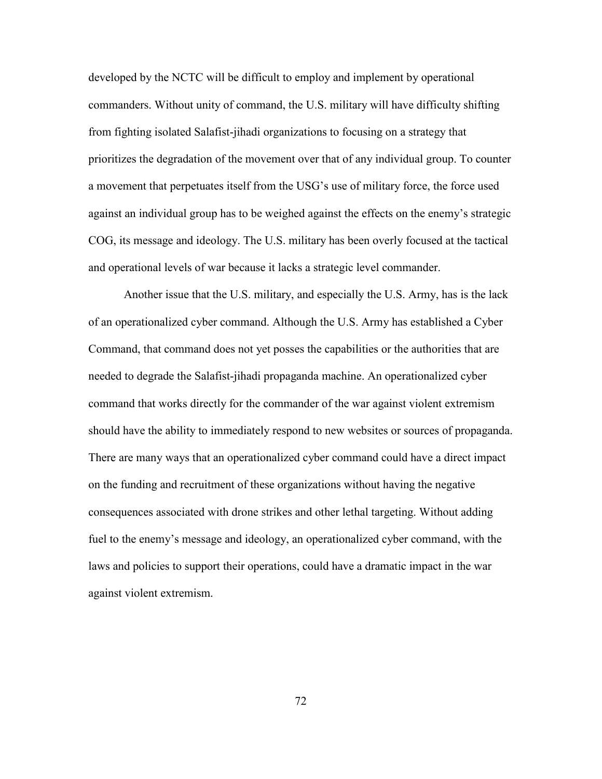developed by the NCTC will be difficult to employ and implement by operational commanders. Without unity of command, the U.S. military will have difficulty shifting from fighting isolated Salafist-jihadi organizations to focusing on a strategy that prioritizes the degradation of the movement over that of any individual group. To counter a movement that perpetuates itself from the USG's use of military force, the force used against an individual group has to be weighed against the effects on the enemy's strategic COG, its message and ideology. The U.S. military has been overly focused at the tactical and operational levels of war because it lacks a strategic level commander.

Another issue that the U.S. military, and especially the U.S. Army, has is the lack of an operationalized cyber command. Although the U.S. Army has established a Cyber Command, that command does not yet posses the capabilities or the authorities that are needed to degrade the Salafist-jihadi propaganda machine. An operationalized cyber command that works directly for the commander of the war against violent extremism should have the ability to immediately respond to new websites or sources of propaganda. There are many ways that an operationalized cyber command could have a direct impact on the funding and recruitment of these organizations without having the negative consequences associated with drone strikes and other lethal targeting. Without adding fuel to the enemy's message and ideology, an operationalized cyber command, with the laws and policies to support their operations, could have a dramatic impact in the war against violent extremism.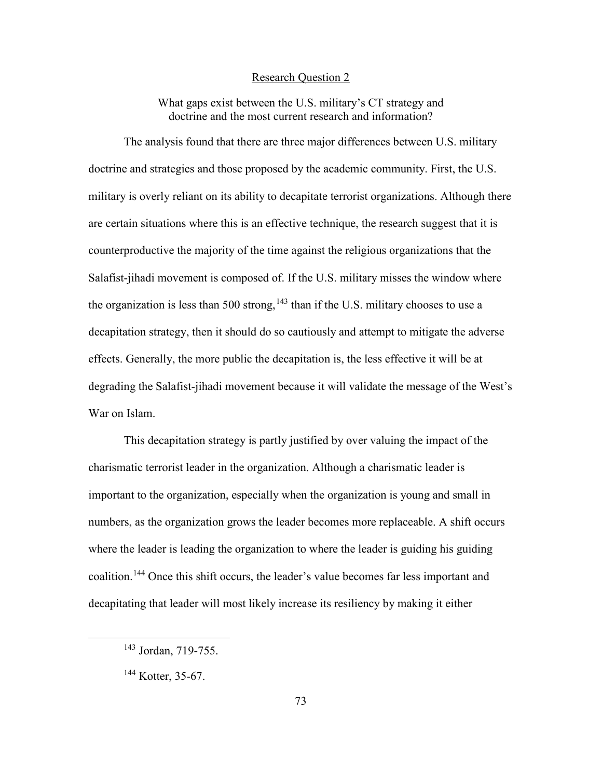#### Research Question 2

What gaps exist between the U.S. military's CT strategy and doctrine and the most current research and information?

The analysis found that there are three major differences between U.S. military doctrine and strategies and those proposed by the academic community. First, the U.S. military is overly reliant on its ability to decapitate terrorist organizations. Although there are certain situations where this is an effective technique, the research suggest that it is counterproductive the majority of the time against the religious organizations that the Salafist-jihadi movement is composed of. If the U.S. military misses the window where the organization is less than 500 strong,  $143$  than if the U.S. military chooses to use a decapitation strategy, then it should do so cautiously and attempt to mitigate the adverse effects. Generally, the more public the decapitation is, the less effective it will be at degrading the Salafist-jihadi movement because it will validate the message of the West's War on Islam.

This decapitation strategy is partly justified by over valuing the impact of the charismatic terrorist leader in the organization. Although a charismatic leader is important to the organization, especially when the organization is young and small in numbers, as the organization grows the leader becomes more replaceable. A shift occurs where the leader is leading the organization to where the leader is guiding his guiding coalition. [144](#page-81-1) Once this shift occurs, the leader's value becomes far less important and decapitating that leader will most likely increase its resiliency by making it either

<span id="page-81-0"></span> <sup>143</sup> Jordan, 719-755.

<span id="page-81-1"></span><sup>&</sup>lt;sup>144</sup> Kotter, 35-67.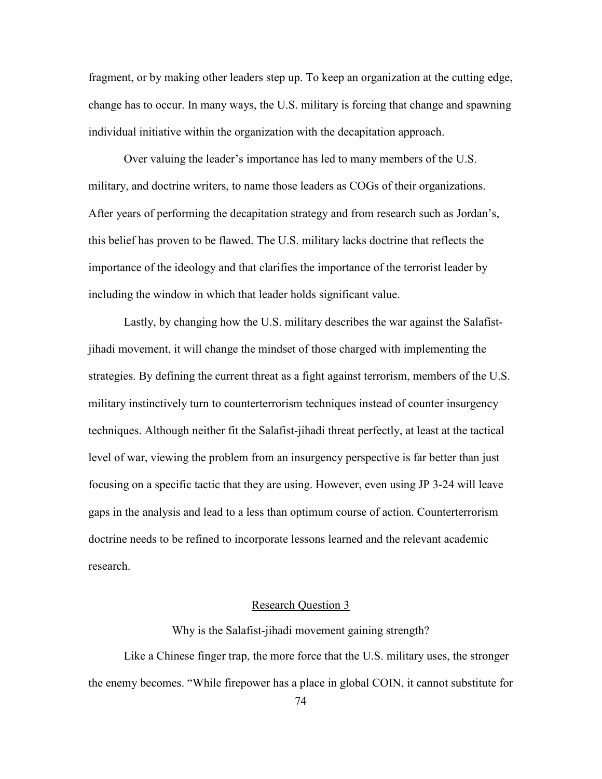fragment, or by making other leaders step up. To keep an organization at the cutting edge, change has to occur. In many ways, the U.S. military is forcing that change and spawning individual initiative within the organization with the decapitation approach.

Over valuing the leader's importance has led to many members of the U.S. military, and doctrine writers, to name those leaders as COGs of their organizations. After years of performing the decapitation strategy and from research such as Jordan's, this belief has proven to be flawed. The U.S. military lacks doctrine that reflects the importance of the ideology and that clarifies the importance of the terrorist leader by including the window in which that leader holds significant value.

Lastly, by changing how the U.S. military describes the war against the Salafistjihadi movement, it will change the mindset of those charged with implementing the strategies. By defining the current threat as a fight against terrorism, members of the U.S. military instinctively turn to counterterrorism techniques instead of counter insurgency techniques. Although neither fit the Salafist-jihadi threat perfectly, at least at the tactical level of war, viewing the problem from an insurgency perspective is far better than just focusing on a specific tactic that they are using. However, even using JP 3-24 will leave gaps in the analysis and lead to a less than optimum course of action. Counterterrorism doctrine needs to be refined to incorporate lessons learned and the relevant academic research.

# Research Question 3

Why is the Salafist-jihadi movement gaining strength?

Like a Chinese finger trap, the more force that the U.S. military uses, the stronger the enemy becomes. "While firepower has a place in global COIN, it cannot substitute for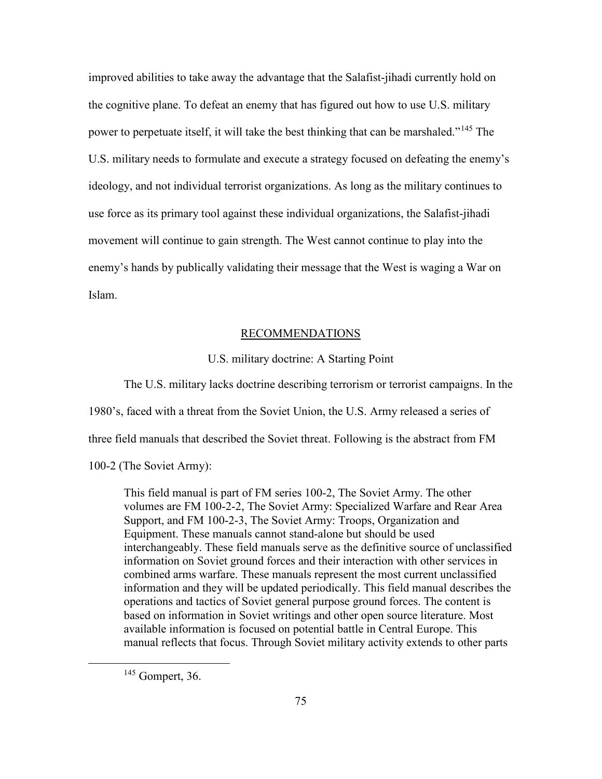improved abilities to take away the advantage that the Salafist-jihadi currently hold on the cognitive plane. To defeat an enemy that has figured out how to use U.S. military power to perpetuate itself, it will take the best thinking that can be marshaled."[145](#page-83-0) The U.S. military needs to formulate and execute a strategy focused on defeating the enemy's ideology, and not individual terrorist organizations. As long as the military continues to use force as its primary tool against these individual organizations, the Salafist-jihadi movement will continue to gain strength. The West cannot continue to play into the enemy's hands by publically validating their message that the West is waging a War on Islam.

### RECOMMENDATIONS

# U.S. military doctrine: A Starting Point

The U.S. military lacks doctrine describing terrorism or terrorist campaigns. In the 1980's, faced with a threat from the Soviet Union, the U.S. Army released a series of three field manuals that described the Soviet threat. Following is the abstract from FM 100-2 (The Soviet Army):

This field manual is part of FM series 100-2, The Soviet Army. The other volumes are FM 100-2-2, The Soviet Army: Specialized Warfare and Rear Area Support, and FM 100-2-3, The Soviet Army: Troops, Organization and Equipment. These manuals cannot stand-alone but should be used interchangeably. These field manuals serve as the definitive source of unclassified information on Soviet ground forces and their interaction with other services in combined arms warfare. These manuals represent the most current unclassified information and they will be updated periodically. This field manual describes the operations and tactics of Soviet general purpose ground forces. The content is based on information in Soviet writings and other open source literature. Most available information is focused on potential battle in Central Europe. This manual reflects that focus. Through Soviet military activity extends to other parts

<span id="page-83-0"></span> <sup>145</sup> Gompert, 36.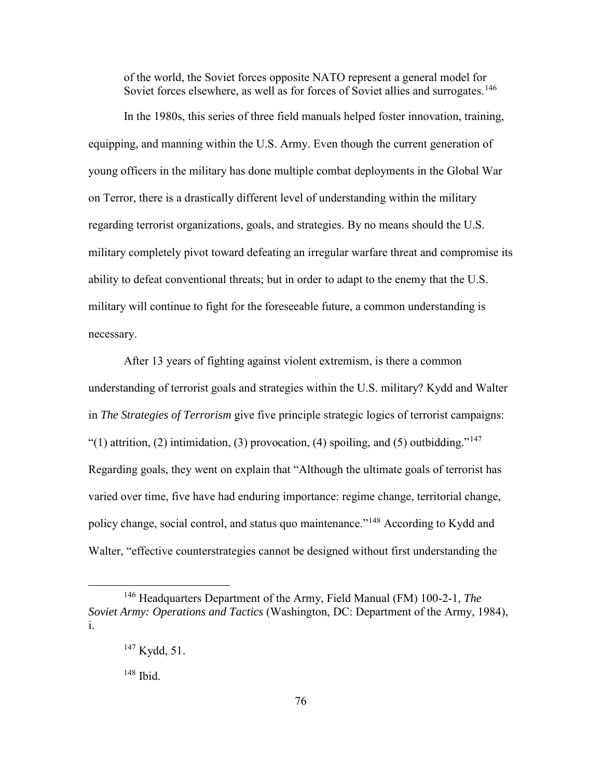of the world, the Soviet forces opposite NATO represent a general model for Soviet forces elsewhere, as well as for forces of Soviet allies and surrogates.<sup>[146](#page-84-0)</sup>

In the 1980s, this series of three field manuals helped foster innovation, training, equipping, and manning within the U.S. Army. Even though the current generation of young officers in the military has done multiple combat deployments in the Global War on Terror, there is a drastically different level of understanding within the military regarding terrorist organizations, goals, and strategies. By no means should the U.S. military completely pivot toward defeating an irregular warfare threat and compromise its ability to defeat conventional threats; but in order to adapt to the enemy that the U.S. military will continue to fight for the foreseeable future, a common understanding is necessary.

After 13 years of fighting against violent extremism, is there a common understanding of terrorist goals and strategies within the U.S. military? Kydd and Walter in *The Strategies of Terrorism* give five principle strategic logics of terrorist campaigns: "(1) attrition, (2) intimidation, (3) provocation, (4) spoiling, and (5) outbidding."<sup>[147](#page-84-1)</sup> Regarding goals, they went on explain that "Although the ultimate goals of terrorist has varied over time, five have had enduring importance: regime change, territorial change, policy change, social control, and status quo maintenance."[148](#page-84-2) According to Kydd and Walter, "effective counterstrategies cannot be designed without first understanding the

148 Ibid.

<span id="page-84-2"></span><span id="page-84-1"></span><span id="page-84-0"></span> <sup>146</sup> Headquarters Department of the Army, Field Manual (FM) 100-2-1*, The Soviet Army: Operations and Tactics* (Washington, DC: Department of the Army, 1984), i.

<sup>147</sup> Kydd, 51.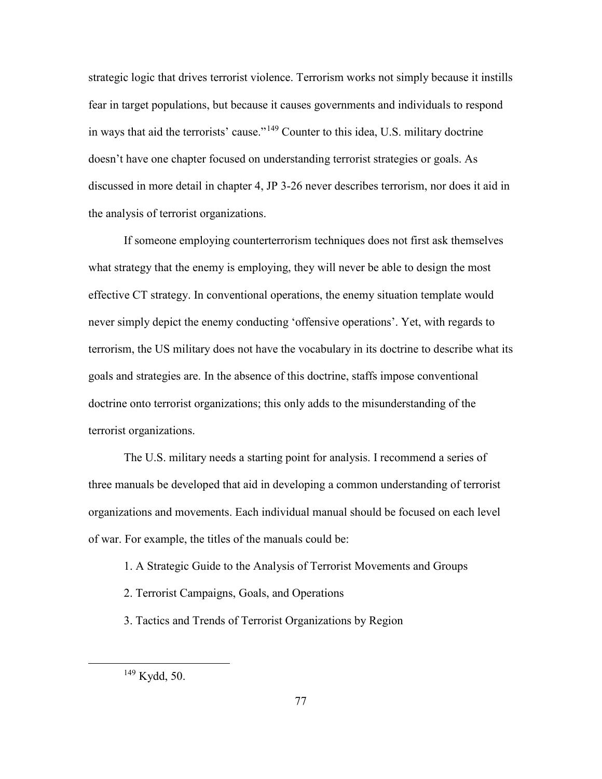strategic logic that drives terrorist violence. Terrorism works not simply because it instills fear in target populations, but because it causes governments and individuals to respond in ways that aid the terrorists' cause."[149](#page-85-0) Counter to this idea, U.S. military doctrine doesn't have one chapter focused on understanding terrorist strategies or goals. As discussed in more detail in chapter 4, JP 3-26 never describes terrorism, nor does it aid in the analysis of terrorist organizations.

If someone employing counterterrorism techniques does not first ask themselves what strategy that the enemy is employing, they will never be able to design the most effective CT strategy. In conventional operations, the enemy situation template would never simply depict the enemy conducting 'offensive operations'. Yet, with regards to terrorism, the US military does not have the vocabulary in its doctrine to describe what its goals and strategies are. In the absence of this doctrine, staffs impose conventional doctrine onto terrorist organizations; this only adds to the misunderstanding of the terrorist organizations.

The U.S. military needs a starting point for analysis. I recommend a series of three manuals be developed that aid in developing a common understanding of terrorist organizations and movements. Each individual manual should be focused on each level of war. For example, the titles of the manuals could be:

- 1. A Strategic Guide to the Analysis of Terrorist Movements and Groups
- 2. Terrorist Campaigns, Goals, and Operations
- 3. Tactics and Trends of Terrorist Organizations by Region

<span id="page-85-0"></span> <sup>149</sup> Kydd, 50.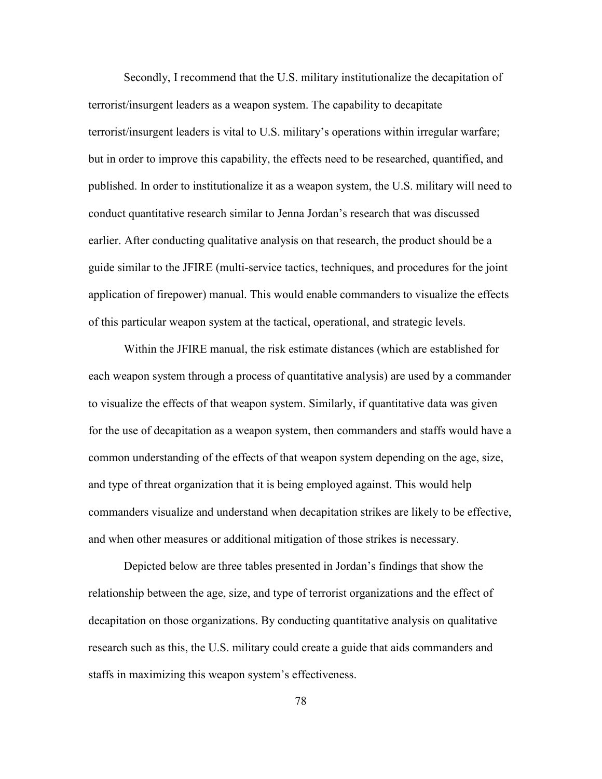Secondly, I recommend that the U.S. military institutionalize the decapitation of terrorist/insurgent leaders as a weapon system. The capability to decapitate terrorist/insurgent leaders is vital to U.S. military's operations within irregular warfare; but in order to improve this capability, the effects need to be researched, quantified, and published. In order to institutionalize it as a weapon system, the U.S. military will need to conduct quantitative research similar to Jenna Jordan's research that was discussed earlier. After conducting qualitative analysis on that research, the product should be a guide similar to the JFIRE (multi-service tactics, techniques, and procedures for the joint application of firepower) manual. This would enable commanders to visualize the effects of this particular weapon system at the tactical, operational, and strategic levels.

Within the JFIRE manual, the risk estimate distances (which are established for each weapon system through a process of quantitative analysis) are used by a commander to visualize the effects of that weapon system. Similarly, if quantitative data was given for the use of decapitation as a weapon system, then commanders and staffs would have a common understanding of the effects of that weapon system depending on the age, size, and type of threat organization that it is being employed against. This would help commanders visualize and understand when decapitation strikes are likely to be effective, and when other measures or additional mitigation of those strikes is necessary.

Depicted below are three tables presented in Jordan's findings that show the relationship between the age, size, and type of terrorist organizations and the effect of decapitation on those organizations. By conducting quantitative analysis on qualitative research such as this, the U.S. military could create a guide that aids commanders and staffs in maximizing this weapon system's effectiveness.

78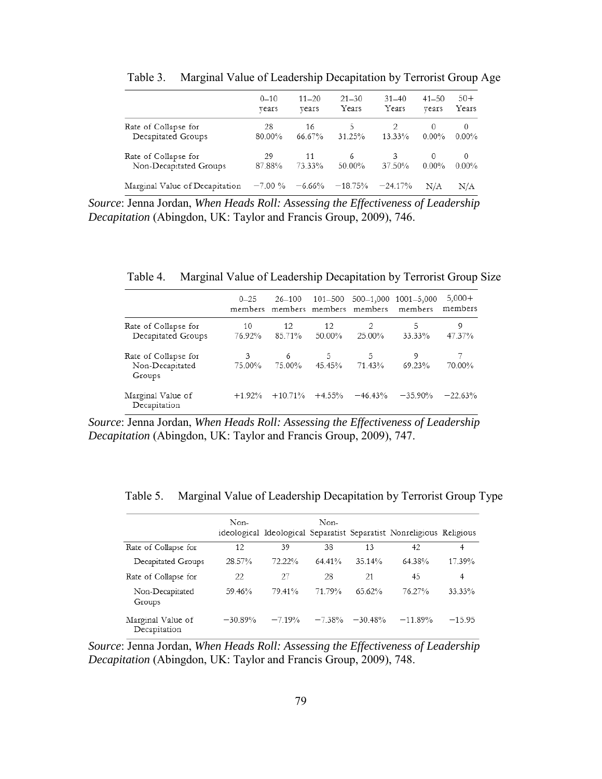|                                | $0 - 10$  | $11 - 20$ | $21 - 30$ | $31 - 40$ | $41 - 50$ | $50+$    |
|--------------------------------|-----------|-----------|-----------|-----------|-----------|----------|
|                                | vears     | vears     | Years     | Years     | vears     | Years    |
| Rate of Collapse for           | 28        | 16        | 5.        | 13.33%    | 0         | 0        |
| Decapitated Groups             | 80.00%    | 66.67%    | 31.25%    |           | $0.00\%$  | $0.00\%$ |
| Rate of Collapse for           | 29        | 11        | 6         | 3         | $\Omega$  | 0        |
| Non-Decapitated Groups         | 87.88%    | 73.33%    | 50.00%    | 37.50%    | $0.00\%$  | $0.00\%$ |
| Marginal Value of Decapitation | $-7.00\%$ | $-6.66%$  | $-18.75%$ | $-24.17%$ | N/A       | N/A      |

Table 3. Marginal Value of Leadership Decapitation by Terrorist Group Age

*Source*: Jenna Jordan, *When Heads Roll: Assessing the Effectiveness of Leadership Decapitation* (Abingdon, UK: Taylor and Francis Group, 2009), 746.

Table 4. Marginal Value of Leadership Decapitation by Terrorist Group Size

|                                                   | $0 - 25$     | 26-100       | 101–500      | members members members members | 500-1,000 1001-5,000<br>members | $5,000+$<br>members |
|---------------------------------------------------|--------------|--------------|--------------|---------------------------------|---------------------------------|---------------------|
| Rate of Collapse for<br>Decapitated Groups        | 10<br>76.92% | 12<br>85.71% | 12<br>50.00% | 2<br>25.00%                     | 5<br>33.33%                     | 9<br>47.37%         |
| Rate of Collapse for<br>Non-Decapitated<br>Groups | 3<br>75.00%  | 6<br>75.00%  | 5<br>45.45%  | 5.<br>71.43%                    | 9<br>69.23%                     | 70.00%              |
| Marginal Value of<br>Decapitation                 | $+1.92%$     | $+10.71%$    | $+4.55%$     | $-46.43\%$                      | $-35.90\%$                      | $-22.63%$           |

*Source*: Jenna Jordan, *When Heads Roll: Assessing the Effectiveness of Leadership Decapitation* (Abingdon, UK: Taylor and Francis Group, 2009), 747.

Table 5. Marginal Value of Leadership Decapitation by Terrorist Group Type

|                                   | Non-      |         | Non-     |           | ideological Ideological Separatist Separatist Nonreligious Religious |          |
|-----------------------------------|-----------|---------|----------|-----------|----------------------------------------------------------------------|----------|
| Rate of Collapse for              | 12        | 39      | 38       | 13        | 42                                                                   | 4        |
| Decapitated Groups                | 28.57%    | 72.22%  | 64.41%   | 35.14%    | 64.38%                                                               | 17.39%   |
| Rate of Collapse for              | 22        | 27      | 28       | 21        | 45                                                                   | 4        |
| Non-Decapitated<br>Groups         | 59.46%    | 79.41%  | 71.79%   | 65.62%    | 76.27%                                                               | 33.33%   |
| Marginal Value of<br>Decapitation | $-30.89%$ | $-719%$ | $-7.38%$ | $-30.48%$ | $-11.89%$                                                            | $-15.95$ |

*Source*: Jenna Jordan, *When Heads Roll: Assessing the Effectiveness of Leadership Decapitation* (Abingdon, UK: Taylor and Francis Group, 2009), 748.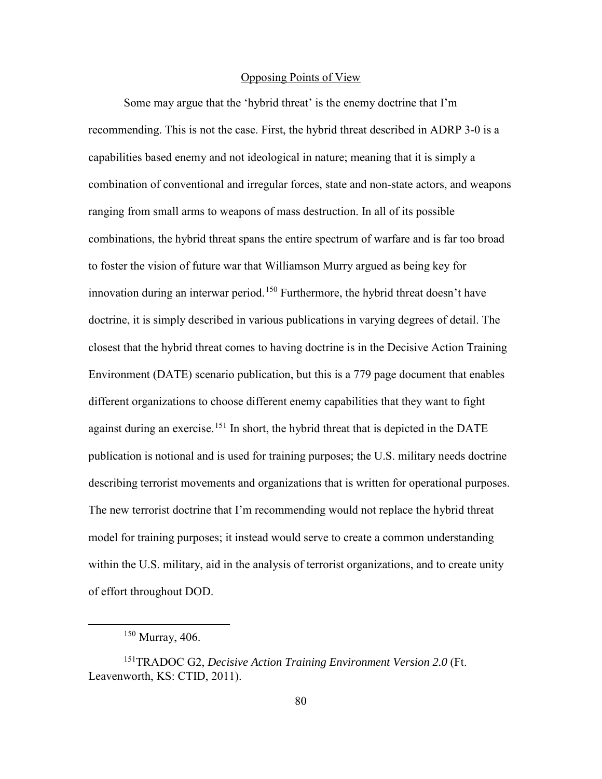#### Opposing Points of View

Some may argue that the 'hybrid threat' is the enemy doctrine that I'm recommending. This is not the case. First, the hybrid threat described in ADRP 3-0 is a capabilities based enemy and not ideological in nature; meaning that it is simply a combination of conventional and irregular forces, state and non-state actors, and weapons ranging from small arms to weapons of mass destruction. In all of its possible combinations, the hybrid threat spans the entire spectrum of warfare and is far too broad to foster the vision of future war that Williamson Murry argued as being key for innovation during an interwar period.<sup>[150](#page-88-0)</sup> Furthermore, the hybrid threat doesn't have doctrine, it is simply described in various publications in varying degrees of detail. The closest that the hybrid threat comes to having doctrine is in the Decisive Action Training Environment (DATE) scenario publication, but this is a 779 page document that enables different organizations to choose different enemy capabilities that they want to fight against during an exercise.<sup>151</sup> In short, the hybrid threat that is depicted in the DATE publication is notional and is used for training purposes; the U.S. military needs doctrine describing terrorist movements and organizations that is written for operational purposes. The new terrorist doctrine that I'm recommending would not replace the hybrid threat model for training purposes; it instead would serve to create a common understanding within the U.S. military, aid in the analysis of terrorist organizations, and to create unity of effort throughout DOD.

 $150$  Murray, 406.

<span id="page-88-1"></span><span id="page-88-0"></span><sup>151</sup>TRADOC G2, *Decisive Action Training Environment Version 2.0* (Ft. Leavenworth, KS: CTID, 2011).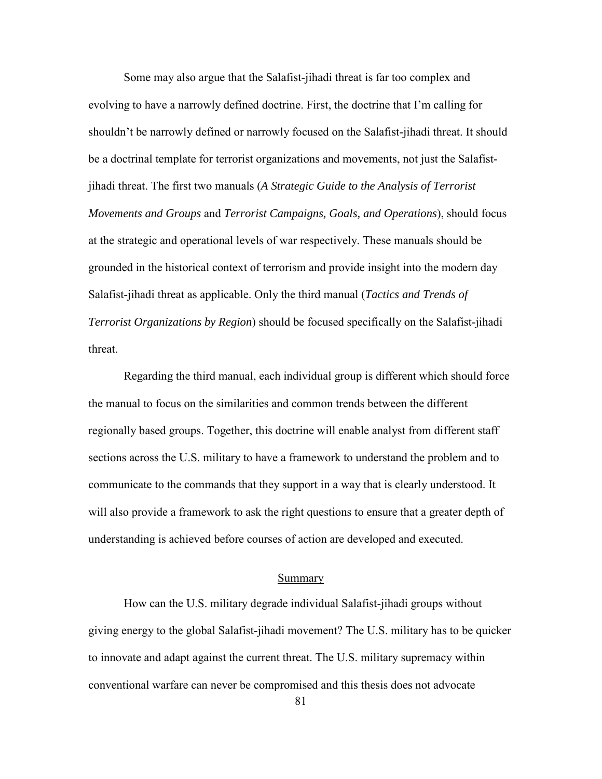Some may also argue that the Salafist-jihadi threat is far too complex and evolving to have a narrowly defined doctrine. First, the doctrine that I'm calling for shouldn't be narrowly defined or narrowly focused on the Salafist-jihadi threat. It should be a doctrinal template for terrorist organizations and movements, not just the Salafistjihadi threat. The first two manuals (*A Strategic Guide to the Analysis of Terrorist Movements and Groups* and *Terrorist Campaigns, Goals, and Operations*), should focus at the strategic and operational levels of war respectively. These manuals should be grounded in the historical context of terrorism and provide insight into the modern day Salafist-jihadi threat as applicable. Only the third manual (*Tactics and Trends of Terrorist Organizations by Region*) should be focused specifically on the Salafist-jihadi threat.

Regarding the third manual, each individual group is different which should force the manual to focus on the similarities and common trends between the different regionally based groups. Together, this doctrine will enable analyst from different staff sections across the U.S. military to have a framework to understand the problem and to communicate to the commands that they support in a way that is clearly understood. It will also provide a framework to ask the right questions to ensure that a greater depth of understanding is achieved before courses of action are developed and executed.

# Summary

How can the U.S. military degrade individual Salafist-jihadi groups without giving energy to the global Salafist-jihadi movement? The U.S. military has to be quicker to innovate and adapt against the current threat. The U.S. military supremacy within conventional warfare can never be compromised and this thesis does not advocate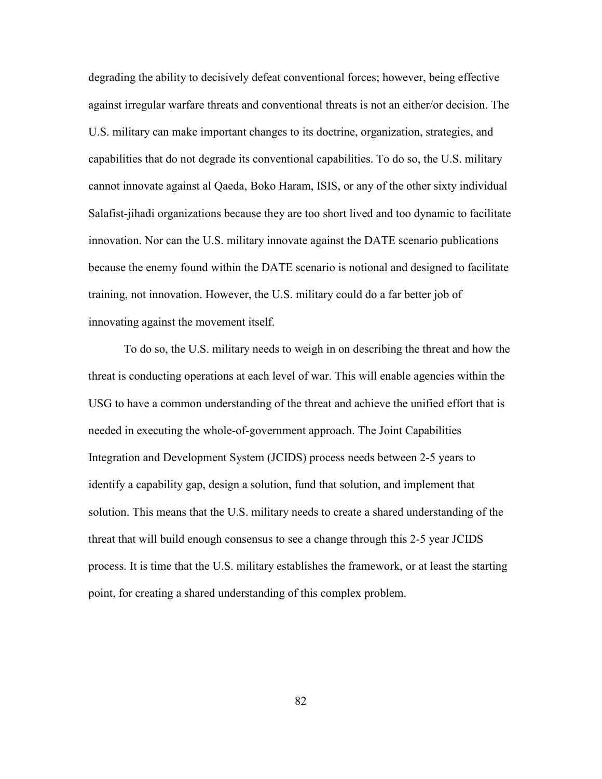degrading the ability to decisively defeat conventional forces; however, being effective against irregular warfare threats and conventional threats is not an either/or decision. The U.S. military can make important changes to its doctrine, organization, strategies, and capabilities that do not degrade its conventional capabilities. To do so, the U.S. military cannot innovate against al Qaeda, Boko Haram, ISIS, or any of the other sixty individual Salafist-jihadi organizations because they are too short lived and too dynamic to facilitate innovation. Nor can the U.S. military innovate against the DATE scenario publications because the enemy found within the DATE scenario is notional and designed to facilitate training, not innovation. However, the U.S. military could do a far better job of innovating against the movement itself.

To do so, the U.S. military needs to weigh in on describing the threat and how the threat is conducting operations at each level of war. This will enable agencies within the USG to have a common understanding of the threat and achieve the unified effort that is needed in executing the whole-of-government approach. The Joint Capabilities Integration and Development System (JCIDS) process needs between 2-5 years to identify a capability gap, design a solution, fund that solution, and implement that solution. This means that the U.S. military needs to create a shared understanding of the threat that will build enough consensus to see a change through this 2-5 year JCIDS process. It is time that the U.S. military establishes the framework, or at least the starting point, for creating a shared understanding of this complex problem.

82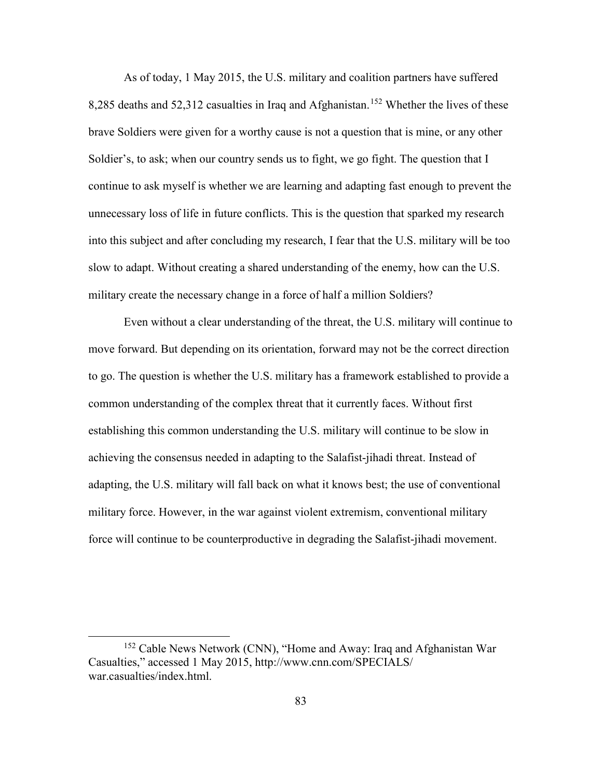As of today, 1 May 2015, the U.S. military and coalition partners have suffered 8,285 deaths and 52,312 casualties in Iraq and Afghanistan.<sup>[152](#page-91-0)</sup> Whether the lives of these brave Soldiers were given for a worthy cause is not a question that is mine, or any other Soldier's, to ask; when our country sends us to fight, we go fight. The question that I continue to ask myself is whether we are learning and adapting fast enough to prevent the unnecessary loss of life in future conflicts. This is the question that sparked my research into this subject and after concluding my research, I fear that the U.S. military will be too slow to adapt. Without creating a shared understanding of the enemy, how can the U.S. military create the necessary change in a force of half a million Soldiers?

Even without a clear understanding of the threat, the U.S. military will continue to move forward. But depending on its orientation, forward may not be the correct direction to go. The question is whether the U.S. military has a framework established to provide a common understanding of the complex threat that it currently faces. Without first establishing this common understanding the U.S. military will continue to be slow in achieving the consensus needed in adapting to the Salafist-jihadi threat. Instead of adapting, the U.S. military will fall back on what it knows best; the use of conventional military force. However, in the war against violent extremism, conventional military force will continue to be counterproductive in degrading the Salafist-jihadi movement.

<span id="page-91-0"></span><sup>&</sup>lt;sup>152</sup> Cable News Network (CNN), "Home and Away: Iraq and Afghanistan War Casualties," accessed 1 May 2015, http://www.cnn.com/SPECIALS/ war.casualties/index.html.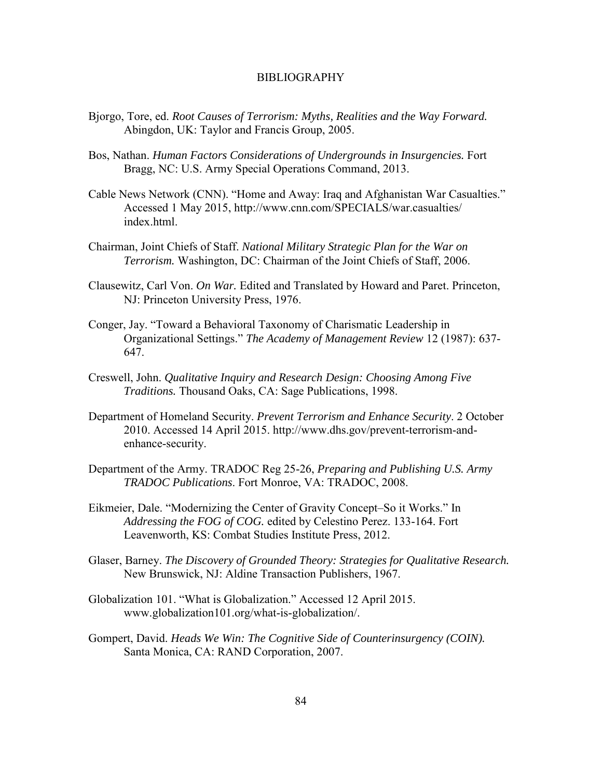#### BIBLIOGRAPHY

- Bjorgo, Tore, ed. *Root Causes of Terrorism: Myths, Realities and the Way Forward.* Abingdon, UK: Taylor and Francis Group, 2005.
- Bos, Nathan. *Human Factors Considerations of Undergrounds in Insurgencies.* Fort Bragg, NC: U.S. Army Special Operations Command, 2013.
- Cable News Network (CNN). "Home and Away: Iraq and Afghanistan War Casualties." Accessed 1 May 2015, http://www.cnn.com/SPECIALS/war.casualties/ index.html.
- Chairman, Joint Chiefs of Staff. *National Military Strategic Plan for the War on Terrorism.* Washington, DC: Chairman of the Joint Chiefs of Staff, 2006.
- Clausewitz, Carl Von. *On War.* Edited and Translated by Howard and Paret. Princeton, NJ: Princeton University Press, 1976.
- Conger, Jay. "Toward a Behavioral Taxonomy of Charismatic Leadership in Organizational Settings." *The Academy of Management Review* 12 (1987): 637- 647.
- Creswell, John. *Qualitative Inquiry and Research Design: Choosing Among Five Traditions.* Thousand Oaks, CA: Sage Publications, 1998.
- Department of Homeland Security. *Prevent Terrorism and Enhance Security*. 2 October 2010. Accessed 14 April 2015. http://www.dhs.gov/prevent-terrorism-andenhance-security.
- Department of the Army. TRADOC Reg 25-26, *Preparing and Publishing U.S. Army TRADOC Publications*. Fort Monroe, VA: TRADOC, 2008.
- Eikmeier, Dale. "Modernizing the Center of Gravity Concept–So it Works." In *Addressing the FOG of COG.* edited by Celestino Perez. 133-164. Fort Leavenworth, KS: Combat Studies Institute Press, 2012.
- Glaser, Barney. *The Discovery of Grounded Theory: Strategies for Qualitative Research.* New Brunswick, NJ: Aldine Transaction Publishers, 1967.
- Globalization 101. "What is Globalization." Accessed 12 April 2015. www.globalization101.org/what-is-globalization/.
- Gompert, David. *Heads We Win: The Cognitive Side of Counterinsurgency (COIN).* Santa Monica, CA: RAND Corporation, 2007.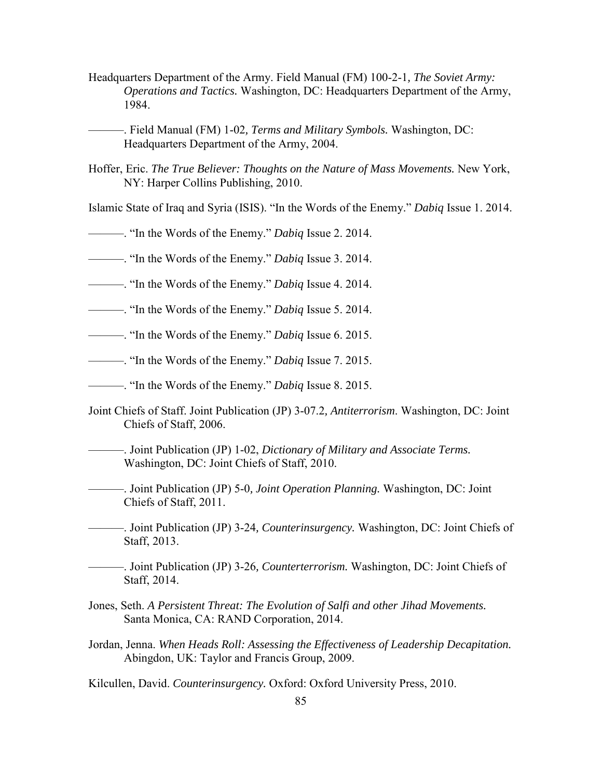- Headquarters Department of the Army. Field Manual (FM) 100-2-1*, The Soviet Army: Operations and Tactics.* Washington, DC: Headquarters Department of the Army, 1984.
- ———. Field Manual (FM) 1-02*, Terms and Military Symbols.* Washington, DC: Headquarters Department of the Army, 2004.
- Hoffer, Eric. *The True Believer: Thoughts on the Nature of Mass Movements.* New York, NY: Harper Collins Publishing, 2010.
- Islamic State of Iraq and Syria (ISIS). "In the Words of the Enemy." *Dabiq* Issue 1. 2014.
- ———. "In the Words of the Enemy." *Dabiq* Issue 2. 2014.
- ———. "In the Words of the Enemy." *Dabiq* Issue 3. 2014.
- ———. "In the Words of the Enemy." *Dabiq* Issue 4. 2014.
- ———. "In the Words of the Enemy." *Dabiq* Issue 5. 2014.
- ———. "In the Words of the Enemy." *Dabiq* Issue 6. 2015.
- ———. "In the Words of the Enemy." *Dabiq* Issue 7. 2015.
- ———. "In the Words of the Enemy." *Dabiq* Issue 8. 2015.
- Joint Chiefs of Staff. Joint Publication (JP) 3-07.2*, Antiterrorism*. Washington, DC: Joint Chiefs of Staff, 2006.
	- ———. Joint Publication (JP) 1-02, *Dictionary of Military and Associate Terms.* Washington, DC: Joint Chiefs of Staff, 2010.
	- ———. Joint Publication (JP) 5-0*, Joint Operation Planning.* Washington, DC: Joint Chiefs of Staff, 2011.
- ———. Joint Publication (JP) 3-24*, Counterinsurgency.* Washington, DC: Joint Chiefs of Staff, 2013.
- ———. Joint Publication (JP) 3-26*, Counterterrorism.* Washington, DC: Joint Chiefs of Staff, 2014.
- Jones, Seth. *A Persistent Threat: The Evolution of Salfi and other Jihad Movements.* Santa Monica, CA: RAND Corporation, 2014.
- Jordan, Jenna. *When Heads Roll: Assessing the Effectiveness of Leadership Decapitation.* Abingdon, UK: Taylor and Francis Group, 2009.
- Kilcullen, David. *Counterinsurgency.* Oxford: Oxford University Press, 2010.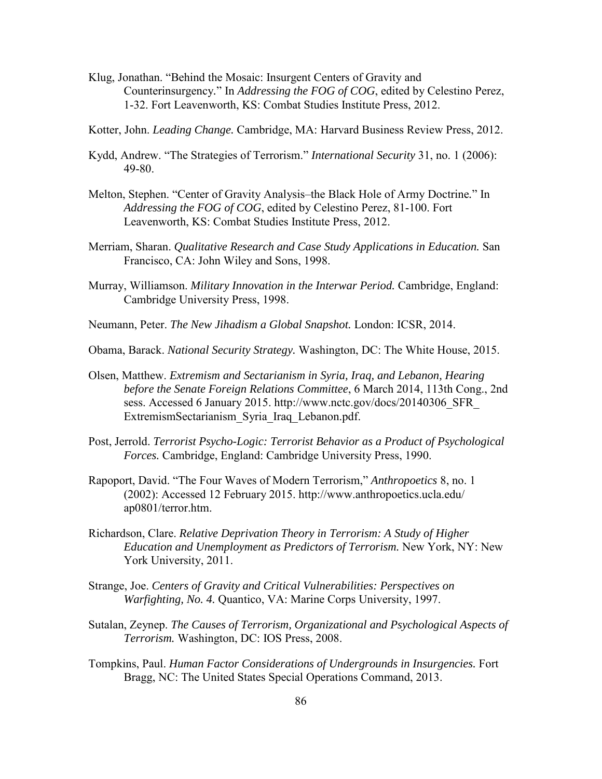- Klug, Jonathan. "Behind the Mosaic: Insurgent Centers of Gravity and Counterinsurgency*.*" In *Addressing the FOG of COG*, edited by Celestino Perez, 1-32. Fort Leavenworth, KS: Combat Studies Institute Press, 2012.
- Kotter, John. *Leading Change.* Cambridge, MA: Harvard Business Review Press, 2012.
- Kydd, Andrew. "The Strategies of Terrorism." *International Security* 31, no. 1 (2006): 49-80.
- Melton, Stephen. "Center of Gravity Analysis–the Black Hole of Army Doctrine*.*" In *Addressing the FOG of COG*, edited by Celestino Perez, 81-100. Fort Leavenworth, KS: Combat Studies Institute Press, 2012.
- Merriam, Sharan. *Qualitative Research and Case Study Applications in Education.* San Francisco, CA: John Wiley and Sons, 1998.
- Murray, Williamson. *Military Innovation in the Interwar Period.* Cambridge, England: Cambridge University Press, 1998.
- Neumann, Peter. *The New Jihadism a Global Snapshot.* London: ICSR, 2014.
- Obama, Barack. *National Security Strategy.* Washington, DC: The White House, 2015.
- Olsen, Matthew. *Extremism and Sectarianism in Syria, Iraq, and Lebanon, Hearing before the Senate Foreign Relations Committee*, 6 March 2014, 113th Cong., 2nd sess. Accessed 6 January 2015. http://www.nctc.gov/docs/20140306\_SFR ExtremismSectarianism\_Syria\_Iraq\_Lebanon.pdf.
- Post, Jerrold. *Terrorist Psycho-Logic: Terrorist Behavior as a Product of Psychological Forces.* Cambridge, England: Cambridge University Press, 1990.
- Rapoport, David. "The Four Waves of Modern Terrorism," *Anthropoetics* 8, no. 1 (2002): Accessed 12 February 2015. http://www.anthropoetics.ucla.edu/ ap0801/terror.htm.
- Richardson, Clare. *Relative Deprivation Theory in Terrorism: A Study of Higher Education and Unemployment as Predictors of Terrorism.* New York, NY: New York University, 2011.
- Strange, Joe. *Centers of Gravity and Critical Vulnerabilities: Perspectives on Warfighting, No. 4.* Quantico, VA: Marine Corps University, 1997.
- Sutalan, Zeynep. *The Causes of Terrorism, Organizational and Psychological Aspects of Terrorism.* Washington, DC: IOS Press, 2008.
- Tompkins, Paul. *Human Factor Considerations of Undergrounds in Insurgencies.* Fort Bragg, NC: The United States Special Operations Command, 2013.